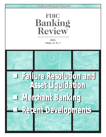

**2001 Volume 14, No. 1**

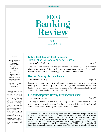# **FDIC Banking Review**

**2001 Volume 14, No. 1**

Chairman Donald E. Powell

Division of Research and Statistics, **Director** Wm. Roger Watson

> Deputy Director Barry Kolatch

Editor James A. Marino

Managing Editors Detta Voesar Lynne Montgomery

Editorial Secretary Cathy Wright

Design and Production Geri Bonebrake Cora Gibson

The views expressed are those of the authors and do not necessarily reflect official positions of the Federal Deposit Insurance Corporation. Articles may be reprinted or abstracted if the *FDIC Banking Review*  and author(s) are credited. Please provide the FDIC's Division of Research and Statistics with a copy of any publications containing reprinted material.

Single-copy subscriptions are available to the public free of charge. Requests for subscriptions, back issues or address changes should be mailed to: *FDIC Banking Review*, Public Information Center, 801 17th Street,<br>N.W., Washington, DC Washington, DC 20434.

# *Failure Resolution and Asset Liquidation: Results of an International Survey of Depositors*

*by Rosalind L. Bennett* Page 1

The author summarizes and discusses results of a Federal Deposit Insurance Corporation survey of foreign deposit insurance organizations. focuses on procedures for resolving and liquidating failed banks. The article

#### *Merchant Banking: Past and Present by Valentine V. Craig Page 29*

Recent legislation permits financial holding companies to engage in merchant banking, a lucrative activity for a handful of large commercial and investment banks for many years. The author provides a history of merchant banking and commercial bank involvement in this specialty.

# *Recent Developments Affecting Depository Institutions*

*by Lynne Montgomery Page 37* 

This regular feature of the *FDIC Banking Review* contains information on regulatory agency actions, state legislation and regulation, and articles and studies pertinent to banking and deposit insurance issues.

Editor's note: In "The Cost of the Savings and Loan Crisis: Truth and Consequences," which appeared in the last issue of the FDIC Banking Review, footnote 2 referenced an American Banker commentary by Kenneth H. Thomas in which he wrote "The public did not realize the monster Congress had created until taxpayers got the roughly \$500 billion bill for bailing out the thrift industry." Subsequent to publication, Mr. Thomas informed us the \$500 billion figure was a typographical error and that he meant to write \$150 billion, a figure he had used in previous articles and more in concert with the cost of the S&L crisis calculated in this article.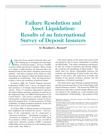# **Failure Resolution and Asset Liquidation: Results of an International Survey of Deposit Insurers**

by Rosalind L. Bennett\*

Alarge part of any country's financial safety net<sup>1</sup><br>is the winding up, or resolution and asset liqui-<br>dation, of insolvent banks.<sup>2</sup> Even in a healthy<br>economy banks may become troubled. When a bank is the winding up, or resolution and asset liquidation, of insolvent banks.<sup>2</sup> Even in a healthy economy, banks may become troubled. When a bank is no longer a viable business, the financial safety net should provide for that bank's resolution and asset liquidation. And often a majority of the claims on a failing bank are the deposits, which the deposit insurer is responsible for reimbursing. Thus, the deposit insurer plays a role in the resolution of insolvent banks.

In January 2000, the Federal Deposit Insurance Corporation (FDIC) sent a survey on deposit insurance practices to 73 foreign deposit insurance organizations. These 73 insurance organizations represent all explicit deposit guarantee programs in existence at the beginning of the year 2000 (excluding those in the United States). The survey's questions address the characteristics of deposit insurance systems by focusing on five general areas: (1) risk assessment, (2) funds availability, (3) failure-resolution methods, (4) the role of the receiver, and (5) asset liquidation.

As of June 2000, 37 deposit insurers in 34 locations had completed and returned the survey.<sup>3</sup> The locations of the respondents can be categorized as "advanced economies," "developing economies," or "economies in transition."<sup>4</sup> At year-end 1999, these 34 economies—which account for over one-half of world gross domestic product (GDP)—contained 6,000 banks and over 65 percent of the banking assets in the world. (See Table 1.)

This article reports on the nature and extent of the role played by the 37 survey respondents in winding up failed banks. The article summarizes and discusses only the results of questions that directly address the resolving and liquidating of failed banks.5 The article does not discuss relationships between the resolving and liquidating of failed banks and other topics in the survey (the supervision of banks, the funding of the deposit insurance scheme, and the transparency of financial reporting).6

The article draws upon both the academic literature and the practical experience of the United States with deposit insurance systems. The lessons the FDIC has learned may help other countries design effective policies related to the winding up, or the resolution and asset liquidation, of failed banks. The position of this

- 2 For simplicity, in this article the term "bank" refers to any deposit-taking financial institution.
- 3 Some locations have more than one deposit insurer. Not every question was answered by each respondent so there may be less than 37 responses to each question.
- 4 The classification of economies into "advanced," "developing," or "in transition" is from International Monetary Fund (2000). In the tables, the second and third categories are combined into one.
- 5 Articles summarizing and discussing the risk assessment and funds availability portions of the survey will appear in future issues of the *FDIC Banking Review*.
- 6 One example of these kinds of connections: how the appropriate authority will resolve a failed bank is affected by the funding of the deposit insurance scheme.

<sup>\*</sup> Rosalind L. Bennett is a financial economist in the FDIC's Division of Research and Statistics.

<sup>1</sup> For the purposes of this article, the safety net refers to the deposit insurance system, the resolution of failed banks, and the liquidation of failed-bank assets.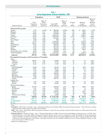| Table 1 |  |  |  |                                                     |  |  |  |
|---------|--|--|--|-----------------------------------------------------|--|--|--|
|         |  |  |  | <b>Survey Respondents, Summary Statistics, 1999</b> |  |  |  |

|                                                  | Population                        |                                              | <b>GDP</b>                          |                                              | <b>Banking Industry</b>      |                                      |                                                     |  |
|--------------------------------------------------|-----------------------------------|----------------------------------------------|-------------------------------------|----------------------------------------------|------------------------------|--------------------------------------|-----------------------------------------------------|--|
| Deposit Insurer                                  | Total<br>Population<br>(millions) | Share of<br>World<br>Population<br>(percent) | <b>Total GDP</b><br>(US\$ millions) | Share of<br>World<br><b>GDP</b><br>(percent) | Number<br>of<br><b>Banks</b> | Banking<br>Assets<br>(US\$ billions) | Share of<br>World<br>Banking<br>Assets<br>(percent) |  |
| <b>Advanced Economies</b>                        |                                   |                                              |                                     |                                              |                              |                                      |                                                     |  |
| Austria                                          | 8.18                              | 0.14%                                        | \$<br>208,949                       | 0.69%                                        | 844                          | \$<br>608.3                          | 1.32%                                               |  |
| Belgium                                          | 10.15                             | 0.17                                         | 245,706                             | 0.81                                         | 84                           | 938.1                                | 2.03                                                |  |
| Canada                                           | 30.49                             | 0.52                                         | 612,049                             | 2.03                                         | 112                          | 584.6                                | 1.27                                                |  |
| France                                           | 59.10                             | 1.01                                         | 1,410,262                           | 4.67                                         | 328                          | 3,506.3                              | 7.59                                                |  |
| Germany                                          | 82.09                             | 1.40                                         | 2,081,202                           | 6.89                                         | 2,517                        | 6,877.7                              | 14.89                                               |  |
| Greece                                           | 10.63                             | 0.18                                         | 123,934                             | 0.41                                         | 28                           | 82.1                                 | 0.18                                                |  |
| Isle of Mana                                     | 0.08                              | 0.00                                         | 985                                 | 0.00                                         | 49                           | n.a.                                 | n.a.                                                |  |
| Italy                                            | 57.34                             | 0.98                                         | 1,149,958                           | 3.81                                         | 363                          | 2,263.2                              | 4.90                                                |  |
| Japan                                            | 126.51                            | 2.15                                         | 4,395,083                           | 14.55                                        | 177                          | 7,620.0                              | 16.50                                               |  |
| Netherlands                                      | 15.81                             | 0.27                                         | 384,766                             | 1.27                                         | 80                           | 1,328.5                              | 2.88                                                |  |
| Portugal                                         | 9.96                              | 0.17                                         | 107,716                             | 0.36                                         | 50                           | 334.2                                | 0.72                                                |  |
| Spain                                            | 39.42                             | 0.67                                         | 562,245                             | 1.86                                         | 154                          | 1,470.1                              | 3.18                                                |  |
| Sweden                                           | 8.86                              | 0.15                                         | 226,338                             | 0.75                                         | 40                           | 260.1                                | 0.56                                                |  |
| Taiwan Province of China                         | 22.00                             | 0.37                                         | 362,000                             | 1.20                                         | 49                           | n.a.                                 | n.a.                                                |  |
| United Kingdom                                   | 58.74                             | 1.00                                         | 1,373,612                           | 4.55                                         | 302                          | 3,628.3                              | 7.86                                                |  |
| Subtotal                                         | 539.36                            | 9.18%                                        | \$13,244,805                        | 43.85%                                       | 5,177                        | $>$ \$29,501.5                       | $>63.88\%$                                          |  |
| Developing Economies and Economies in Transition |                                   |                                              |                                     |                                              |                              |                                      |                                                     |  |
| Africa                                           |                                   |                                              |                                     |                                              |                              |                                      |                                                     |  |
| Nigeria                                          | 108.95                            | 1.85                                         | 43,286                              | 0.14                                         | 81                           | 9.5                                  | 0.02                                                |  |
| Tanzania                                         | 32.79                             | 0.56                                         | 8,777                               | 0.03                                         | 10                           | 1.3                                  | 0.00                                                |  |
| Uganda                                           | 21.62                             | 0.37                                         | 6,349                               | 0.02                                         | 21                           | 0.9                                  | 0.00                                                |  |
| Europe                                           |                                   |                                              |                                     |                                              |                              |                                      |                                                     |  |
| Czech Republic                                   | 10.28                             | 0.17                                         | 56,379                              | 0.19                                         | 36                           | 84.5                                 | 0.18                                                |  |
| Hungary                                          | 10.07                             | 0.17                                         | 48,355                              | 0.16                                         | 46                           | 26.7                                 | 0.06                                                |  |
| Latvia                                           | 2.43                              | 0.04                                         | 6,664                               | 0.02                                         | 25                           | 3.2                                  | 0.01                                                |  |
| Lithuania                                        | 3.66                              | 0.06                                         | 10,454                              | 0.03                                         | 11                           | 2.7                                  | 0.01                                                |  |
| Poland                                           | 38.65                             | 0.66                                         | 154,146                             | 0.51                                         | 87                           | 76.2                                 | 0.17                                                |  |
| Romania                                          | 22.46                             | 0.38                                         | 33,750                              | 0.11                                         | 18                           | 8.0                                  | 0.02                                                |  |
| Slovak Republic                                  | 5.40                              | 0.09                                         | 19,307                              | 0.06                                         | 25                           | 15.6                                 | 0.03                                                |  |
| Turkey                                           | 64.39                             | 1.10                                         | 188,374                             | 0.62                                         | 67                           | 96.2                                 | 0.21                                                |  |
| Middle East                                      |                                   |                                              |                                     |                                              |                              |                                      |                                                     |  |
| Bahrain                                          | 0.67                              | 0.01                                         | 5,350                               | 0.02                                         | 36                           | 8.1                                  | 0.02                                                |  |
| Oman                                             | 2.46                              | 0.04                                         | 14,962                              | 0.05                                         | 18                           | 9.4                                  | 0.02                                                |  |
| Western Hemisphere                               |                                   |                                              |                                     |                                              |                              |                                      |                                                     |  |
| Brazil                                           | 163.95                            | 2.79                                         | 760,345                             | 2.52                                         | 208                          | 286.5                                | 0.62                                                |  |
| El Salvador                                      | 6.15                              | 0.10                                         | 12,229                              | 0.04                                         | 18                           | 7.6                                  | 0.02                                                |  |
| <b>Iamaica</b>                                   | 2.56                              | 0.04                                         | 6.134                               | 0.02                                         | 16                           | 4.1                                  | 0.01                                                |  |
| Mexico                                           | 97.37                             | 1.66                                         | 474,951                             | 1.57                                         | 63                           | 202.7                                | 0.44                                                |  |
| Peru                                             | 25.23                             | 0.43                                         | 57,318                              | 0.19                                         | 20                           | 20.4                                 | 0.04                                                |  |
| Trinidad and Tobago                              | 1.29                              | $0.02\,$                                     | 6,998                               | $0.02\,$                                     | 17                           | 3.7                                  | 0.01                                                |  |
| Subtotal                                         | 620.38                            | 10.54%                                       | \$1,914,128                         | 6.34%                                        | 823                          | 867.3<br>\$                          | 1.88%                                               |  |
| Total                                            | 1,159.74                          | 19.72                                        | 15,158,933                          | 50.18                                        | 6,000                        | >30,368.8                            | >65.77                                              |  |
| <b>United States</b>                             | 273.13                            | 4.65                                         | 8,708,870                           | 28.83                                        | 8,907                        | 7,956.9                              | 17.23                                               |  |
| World                                            | 5,879.00                          | 100.00%                                      | \$30,211,993                        | 100.00%                                      | n.a.                         | \$46,177.5                           | 100.00%                                             |  |

*Note:* 

Population—1999 midyear estimates. *Source:* International Monetary Fund (June 2000), *International Financial Statistics*. Taiwan Province of China and Isle of Man statistics from CIA (1999), *World Factbook*.

GDP—1999. *Source:* World Bank, 2000, Development Indicators. Taiwan Province of China and Isle of Man statistics are 1998 estimates from CIA (1999), *World Factbook*.

Banking Industry—Number of banks. *Source:* Thomson Bank Directory (2000), Thomson Financial Publishing. Banking assets as of 1999: International Monetary Fund (June 2000), *International Financial Statistics* (bank assets are summations of lines 20 through 22 in the International Financial Statistics, converted to December 1999 U.S. dollars). World total does not include Afghanistan, Dem. Rep. of Congo, People's Dem. Rep. of Yemen, St. Pierre & Miquelon, and Vietnam. December 1999 data were not available for Djibouti, Greece, Guinea, Republic of Yemen, so data from second-quarter 1998 were used. aBritish Crown Dependency.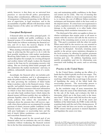article, however, is that there are no universal best practices or one-size-fits-all policy prescriptions. Among other considerations, differences in the level of transparency of financial reporting, in the effectiveness of supervision, in legal structures, and in the accountability of public officials will determine which design features of the safety net will best fit any one country.

#### *Conceptual Background*

A financial safety net has three principal goals: (1) to maintain stability and public confidence in the financial system, (2) to minimize the cost of resolving failed banks but without weakening the financial system, and (3) to have the receiver dispose of the remaining assets as soon as practicable.

When dealing with failed or failing banks, the challenge in achieving the first goal is to do it with the least possible interference with market mechanisms. Resolving failed banks in a manner that undermines market discipline (for example, by covering all deposit and creditor claims) will simply weaken the financial system in the long run by encouraging excessive risk taking. But not resolving failed banks promptly will also undermine the market mechanism—and may, in addition, substantially increase the costs of a resolution.

Accordingly, the financial safety net includes policies on failure resolution, and it is advantageous to make the policies clear to the public. Transparency in the rules governing the resolution of failed banks helps to produce order in the financial system. Clear, specific, and publicly known regulatory policies provide banks and their customers with more information on which to base their decisions. And when depositors and other bank creditors know which claims the deposit insurer will honor quickly, they are unlikely to generate liquidity crises in well-run banks. In other words, policies that reduce the uncertainty of claimants about the amounts they will recover, especially when these policies are accompanied by prompt payment of claims, increase public confidence in the financial system. Unclear regulatory policies—along with poor bankruptcy or receivership laws and the lack of timely failure resolutions—can contribute to and exacerbate financial crises.

The challenge posed by the second goal of any financial safety net (to minimize the cost of a failure resolution without weakening the financial system) lies in the fact that minimizing disruption to the economy and maintaining public confidence in the financial system can be costly. One way of meeting this challenge is to adhere to a least-cost requirement; that is, to evaluate the cost of different failure-resolution techniques and determine which is the least costly to the deposit insurer. If a strict least-cost requirement is in place, regulators are not allowed to weigh secondary damage to the community or to other banks when determining which resolution transaction to use.

The third goal of the safety net applies to those resolution techniques that require some or all assets to remain with the receiver and calls for the receiver to dispose of the remaining assets as soon as is practicable. This goal is consistent with the other two goals. When assets held by the receiver are not returned to the private markets as soon as is practicable, the economy may be disrupted. Inversely, returning assets quickly to the private sector minimizes disruption to the local economy by allowing for quicker payments to the remaining creditors of the failed bank, thereby meeting goal one. In addition, liquidating assets quickly accomplishes goal two by eliminating costs associated with holding the assets, such as servicing costs.

#### *Practice in the United States*

In the United States, winding up the affairs of a bank that has failed typically involves two stages. The first stage—the resolution stage—is the process of resolving a failed bank; the second stage is the process of liquidating the assets of the failed bank (the receivership process). The receivership process is used for all resolutions except open-bank assistance.

In the resolution stage of most transactions the FDIC values the assets of the failed bank, solicits bids for the sale of the bank, and evaluates the bids to determine which one is the least costly to the insurance fund.7 If the least costly bid involves the acquisition by a bank of some or all of the assets and liabilities of the failed bank, the FDIC works with the acquiring bank until the end of the closing process. If the least costly bid does not involve an acquirer, the FDIC ensures timely payment to insured depositors and liquidates the assets over time.

<sup>7</sup> Typically, the FDIC places similar assets in pools and allows bidders to bid on the asset pools. Bidders have the option to bid on some or all of the asset pools and on some or all of the deposits of the failed bank.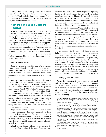During the second stage—the receivership process8—the FDIC liquidates any remaining assets of the failed bank and distributes the proceeds, first to the uninsured depositors, then to the general creditors, and finally to the shareholders.<sup>9</sup>

# *When and How a Bank is Closed and Resolved*

Before the winding-up process, the bank must first be closed. This section discusses three issues surrounding bank closure: the rules for closure, the timing of closure, and who has the authority to close banks. After the bank is closed, and before the winding-up process can begin, a receiver must be appointed for the failed bank. This section also discusses many aspects of the appointment of a receiver, such as who appoints the receiver and who usually acts as the receiver. The last part of the section discusses the differences between the receivership process for a failed bank, as conducted in the United States, and the corporate bankruptcy process.

#### *Bank Closure Rules*

Banks are typically closed for one of two reasons: insolvency or illiquidity. Insolvency occurs when the value of the assets held by a bank is less than the value of the liabilities held. Illiquidity occurs when a bank is not able to meet its current obligations as they come due.

Insolvency can be measured by either book value or market value. Accounting conventions usually require that banks report assets and liabilities at book value, and the Federal Deposit Insurance Corporation Improvement Act of 1991 (FDICIA) requires regulatory agencies in the United States to close banks before they reach book-value insolvency.<sup>10</sup> The reason for this closing rule is that the market value of the assets of a bank is uncertain and in troubled banks is typically below the book value. Closing a bank before it reaches book-value insolvency allows for this uncertainty and helps limit the losses incurred by the deposit insurance funds.

Illiquidity may arise because banks issue demand deposits—obligations due upon demand—to fund lending activity, and are therefore susceptible to bank runs. When depositors know or believe that a bank is in danger of failing, they may attempt to withdraw their deposits as quickly as possible, causing a liquidity crisis at the bank.

A bank can be illiquid without being insolvent. In the United States, primarily because of deposit insurance and the central bank's ability to provide liquidity, banks usually fail because they are insolvent rather than because they are illiquid. In most of the cases when a U.S. bank was closed for illiquidity, the liquidity problem had been caused by a belief that the bank was insolvent, even though the insolvency had not yet been realized in the accounting statements.

In contrast, the European Union (EU) directive on deposit-guarantee schemes (94/19/EEC) is concerned with illiquid—not necessarily insolvent—banks. The directive requires the activation of the deposit-guarantee scheme when deposits become unavailable. Although the EU also has adopted directives 89/647/EEC and 89/299/EEC that outline capital standards consistent with the Basel capital standards, no EU directive currently requires the closure of an insolvent bank.11

The responses to the survey of deposit insurers indicate that in practice a majority of respondents close banks when they become insolvent. Of the 37 deposit insurers that had responded as of June 2000, over two-thirds answered "Yes" to the following survey question: *Are troubled insured depository institutions routinely closed and liquidated or otherwise reorganized when equity capital is exhausted?* This proportion was roughly similar for both groups of deposit insurers, those in advanced economies and those in developing economies and economies in transition. (See Table 2.)

#### *Timing of Bank Closure*

When the resolution of a failed bank is performed quickly and smoothly, benefits accrue to the economy and to the financial system. The swift resolution of a small bank minimizes disruption to the local community. The swift resolution of a large bank is especially critical because the failure of the bank may affect the national economy.

<sup>&</sup>lt;sup>8</sup> The receivership process is similar to the bankruptcy process used in countries other than the United States. However, as discussed later in the article, the receivership process differs from the bankruptcy process in important ways.

<sup>&</sup>lt;sup>9</sup> In the resolution stage, the FDIC provides timely payment to the insured depositors; then, during the receivership process, the FDIC stands in the place of the insured depositors. Claimants on the receivership (including the FDIC itself, as the receiver that has administrative expenses and as the stand-in for the insured depositors) receive payment according to their assigned priority, as dictated by the Omnibus Budget Reconciliation Act of 1993; the relevant provisions are commonly known as National Depositor Preference. The priority is as follows: administrative expenses of the receiver, secured claims, domestic deposits (insured and uninsured), foreign deposits and other general creditor claims, subordinated creditor claims, and shareholders. For more detail on National Depositor Preference, see Marino and Bennett (1999).

<sup>10</sup> The prompt corrective action provisions of FDICIA require the regulatory agency to close a bank that has a ratio of tangible equity to assets that is less than or equal to 2 percent.

<sup>11</sup> For more information on financial developments in the EU, see Murphy (2000).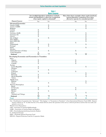#### **Failure Resolution and Asset Liquidation**

|                                                  |                           | <b>Bank Closures</b>                                                                                                                  |                                                                                                                                           |                 |  |
|--------------------------------------------------|---------------------------|---------------------------------------------------------------------------------------------------------------------------------------|-------------------------------------------------------------------------------------------------------------------------------------------|-----------------|--|
|                                                  |                           | Are troubled depository institutions routinely<br>closed and liquidated or otherwise reorganized<br>when equity capital is exhausted? | Have there been examples where equity-insolvent,<br>insured depository institutions have been<br>allowed to operate for extended periods? |                 |  |
| Deposit Insurer                                  | Yes                       | $\rm No$                                                                                                                              | Yes                                                                                                                                       | $\rm No$        |  |
| <b>Advanced Economies</b>                        |                           |                                                                                                                                       |                                                                                                                                           |                 |  |
| Austria (AAR)                                    |                           | X                                                                                                                                     |                                                                                                                                           | X               |  |
| Austria (AABB)                                   |                           | $\mathbf X$                                                                                                                           |                                                                                                                                           | $\mathbf X$     |  |
| Belgium                                          |                           | $\boldsymbol{\mathrm{X}}$                                                                                                             |                                                                                                                                           | $\mathbf X$     |  |
| Canada                                           | $\mathbf X$               |                                                                                                                                       | X                                                                                                                                         |                 |  |
| France                                           | $\bar{X}$                 |                                                                                                                                       |                                                                                                                                           |                 |  |
| Germany (EdB)                                    | $\boldsymbol{\mathrm{X}}$ |                                                                                                                                       |                                                                                                                                           | $\mathbf X$     |  |
| Germany (E)                                      | X                         |                                                                                                                                       |                                                                                                                                           | $\mathbf X$     |  |
| Greece                                           | $\mathbf X$               |                                                                                                                                       |                                                                                                                                           | X               |  |
| Isle of Mana                                     |                           | X                                                                                                                                     |                                                                                                                                           | X               |  |
| Italy (IDPF)                                     | $\overline{X}$            |                                                                                                                                       |                                                                                                                                           | X               |  |
| Italy (DPFCB)                                    | X                         |                                                                                                                                       |                                                                                                                                           | X               |  |
| Japan                                            | X                         |                                                                                                                                       | $\mathbf X$                                                                                                                               |                 |  |
| Netherlands                                      |                           | X                                                                                                                                     |                                                                                                                                           | X               |  |
| Portugal                                         |                           | $\boldsymbol{\mathrm{X}}$                                                                                                             |                                                                                                                                           |                 |  |
| Spain                                            | X                         |                                                                                                                                       |                                                                                                                                           | X               |  |
| Sweden                                           | X                         |                                                                                                                                       |                                                                                                                                           |                 |  |
| Taiwan Province of China                         |                           | X                                                                                                                                     | $\mathbf X$                                                                                                                               |                 |  |
| United Kingdom                                   | $\boldsymbol{\mathrm{X}}$ |                                                                                                                                       |                                                                                                                                           |                 |  |
| Subtotal                                         | $\overline{11}$           | $\overline{7}$                                                                                                                        | $\overline{3}$                                                                                                                            | $\overline{11}$ |  |
|                                                  |                           |                                                                                                                                       |                                                                                                                                           |                 |  |
| Developing Economies and Economies in Transition |                           |                                                                                                                                       |                                                                                                                                           |                 |  |
| Africa                                           |                           |                                                                                                                                       |                                                                                                                                           |                 |  |
| Nigeria                                          | X                         |                                                                                                                                       | X                                                                                                                                         |                 |  |
| Tanzania                                         | $\bar{X}$                 |                                                                                                                                       | $\mathbf X$                                                                                                                               |                 |  |
| Uganda                                           | X                         |                                                                                                                                       | $\boldsymbol{\mathrm{X}}$                                                                                                                 |                 |  |
| Europe                                           |                           |                                                                                                                                       |                                                                                                                                           |                 |  |
| Czech Republic                                   | X                         |                                                                                                                                       |                                                                                                                                           | X               |  |
| Hungary                                          | $\overline{X}$            |                                                                                                                                       |                                                                                                                                           |                 |  |
| Latvia                                           |                           | X                                                                                                                                     |                                                                                                                                           |                 |  |
| Lithuania                                        | X                         |                                                                                                                                       | $\mathbf X$                                                                                                                               |                 |  |
| Poland                                           |                           | X                                                                                                                                     |                                                                                                                                           | $\mathbf X$     |  |
| Romania                                          | $\boldsymbol{\mathrm{X}}$ |                                                                                                                                       |                                                                                                                                           | $\mathbf X$     |  |
| Slovak Republic                                  | X                         |                                                                                                                                       |                                                                                                                                           | X               |  |
| Turkey                                           | X                         |                                                                                                                                       |                                                                                                                                           |                 |  |
| Middle East                                      |                           |                                                                                                                                       |                                                                                                                                           |                 |  |
| Bahrain                                          | X                         |                                                                                                                                       |                                                                                                                                           | X               |  |
| Oman                                             |                           | $\mathbf X$                                                                                                                           |                                                                                                                                           | $\mathbf X$     |  |
| Western Hemisphere                               |                           |                                                                                                                                       |                                                                                                                                           |                 |  |
| <b>Brazil</b>                                    |                           | X                                                                                                                                     |                                                                                                                                           |                 |  |
| El Salvador                                      | $\overline{X}$            |                                                                                                                                       | $\mathbf X$                                                                                                                               |                 |  |
| <b>Jamaica</b>                                   | X                         |                                                                                                                                       | $\mathbf X$                                                                                                                               |                 |  |
| Mexico                                           |                           | $\mathbf X$                                                                                                                           |                                                                                                                                           |                 |  |
| Peru                                             | X                         |                                                                                                                                       |                                                                                                                                           | Х               |  |
| Trinidad and Tobago                              | X                         |                                                                                                                                       | $\mathbf X$                                                                                                                               |                 |  |
| Subtotal                                         | $\overline{14}$           | $\overline{5}$                                                                                                                        | $\overline{7}$                                                                                                                            | $\overline{7}$  |  |
| Total                                            | 25                        | 12                                                                                                                                    | 10                                                                                                                                        | 18              |  |
|                                                  |                           |                                                                                                                                       |                                                                                                                                           |                 |  |

# **Table 2**

*Note:* Classification of economies into "Advanced," "Developing," or "Economies in Transition" is from International Monetary Fund (2000). Deposit insurers without an "X" in either the Yes or No column did not answer the question on the survey or did not provide an answer that was easily categorized as yes or no.

aBritish Crown Dependency.

AAR = Association of Austrian Raiffesenbanks

AABB = Association of Austrian Banks and Bankers

EdB = Entschadigungseinrichtung deutscher Banken

E = Einlagensicherungs

IDPF = Interbank Deposit Protection Fund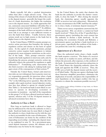#### **FDIC Banking Review**

Banks typically fail after a gradual deterioration rather than after a single adverse event. Thus, the timing of the closure of a bank directly affects the costs to the deposit insurer: generally the longer the condition of a bank deteriorates, the higher the resolution cost to the deposit insurer. As a bank approaches failure, uninsured, unsecured liabilities will either flee or attempt to become insured or secured.12 In addition, managers of the bank will have an incentive to take on more risk in an attempt to earn sufficient returns to save the bank from failure. Usually, however, these actions result not in high returns to the bank but in higher losses to the deposit insurer.

In the United States, FDICIA contains prompt corrective action provisions that formalize the timing of regulatory actions and closure on the basis of capital ratios. As the capital of a bank deteriorates, prompt corrective action requires bank regulators to initiate progressively more-stringent restrictions on the activities of the bank. Thus, prompt corrective action requires the bank regulators to intervene early; and, by formalizing the process, prompt corrective action significantly reduces the potential for regulators to apply forbearance.<sup>13</sup> Formalizing early intervention may also limit excessive risk taking by making bank managers aware of the consequences of their actions.14

Outside the United States, formal early-intervention rules are not widespread, but in practice most survey respondents generally do intervene when a bank is insolvent. Eighteen of the 28 respondents replied "No" to the following survey question: *Have there been examples where equity-insolvent, insured depository institutions have been allowed to operate for extended periods?*  (See Table 2.) An insolvent bank is more likely to continue to operate in developing economies or economies in transition: one-half of the respondents in this group (7 of 14) have allowed insolvent banks to operate, whereas only 3 of the 14 deposit insurers in advanced economies have done so.

#### *Authority to Close a Bank*

How long an insolvent bank is allowed to linger may be influenced by who has the authority to close a bank. Insolvent banks may be more likely to linger if the authority to close a bank does not lie with the entity that is accountable for the costs of forbearance. The costs of forbearance are borne by the creditors of the impending receivership—including the deposit insurer (as explained in note 9). In a government-sponsored deposit insurance system, the ultimate cost of forbearance may be borne by the taxpayer.

In the United States, the entity that charters the bank has the authority to revoke the charter—essentially, to close the bank.<sup>15</sup> After closing the insured bank, the chartering agency usually appoints the FDIC as receiver (see next subsection). Alternatively, in some circumstances the FDIC itself has the authority to close a bank, or terminate deposit insurance.16

Thirty-seven survey respondents answered the following question: *Who can declare a commercial bank legally insolvent?* Thirty-five of the 37 specified that a government agency (including the court system) has the authority to declare a bank insolvent. In the remaining two economies (Canada and Bahrain), a government agency can declare a bank insolvent or a private party—specifically the creditors of the bank can petition the court for a winding-up order.

#### *Appointment of a Receiver*

Once the authorized entity closes a bank, usually the bank requires a receiver. The duties of a receiver for a bank are to market its assets, sell them, and distribute the proceeds, after expenses, to the creditors of the bank. As mentioned in the previous subsection, in the United States the chartering authority closes the bank and appoints the FDIC as receiver. Thus, the FDIC acts as both the deposit insurer and the receiver of failed banks. Having one agency discharge both these functions simplifies procedures, eliminates the duplication of records, and places the responsibility of asset liquidation on the largest creditor who has an incentive to obtain the maximum possible recovery.<sup>17</sup>

- 14 For a discussion of early intervention, see European Shadow Financial Regulatory Committee (1998).
- 15 To engage in the business of deposit-taking in the United States, organizations must obtain a charter. The chartering authority for statechartered banks is usually the state banking department; for national banks, the Office of the Comptroller of the Currency (OCC); and for federal savings institutions, the Office of Thrift Supervision (OTS).
- 16 FDICIA gave the FDIC the authority to close any bank that is considered to be critically undercapitalized and that does not have a plan to restore capital to an adequate level. FDICIA also gave the FDIC authority to close any bank that (1) has a substantial dissipation of assets because of the violation of law, (2) is operating in an unsafe and unsound manner, (3) is engaging in a willful violation of a cease-anddesist order, (4) is concealing records, or (5) is no longer insured. Twice the FDIC has closed banks and appointed itself receiver (see note 18). Section 8 of the Federal Deposit Insurance Act provides details of the conditions under which the Board of Directors of the FDIC can terminate deposit insurance.
- 17 Chapter 8 of FDIC (1998a) and Chapter 7 of FDIC (1998b) discuss the role of the FDIC as receiver in more detail.

<sup>&</sup>lt;sup>12</sup> For evidence on the shifting of liabilities in large banks, see Marino and Bennett (1999).

<sup>13</sup> When regulators refrain from taking actions that are normally required by statute, they are adopting a policy of forbearance. The reasons behind using forbearance can be complex. In the United States, regulators have applied forbearance successfully in the past to avoid a financial crisis. Forbearance, however, can create an opportunity for the troubled bank to deteriorate further and may therefore increase resolution costs.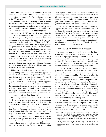The FDIC not only has the authority to act as a receiver but also, under FDICIA, has the authority to appoint itself as receiver.18 That authority was given to the FDIC to make it independent of the chartering authorities and able to act in a timely fashion to protect the insurance fund. The deposit insurer has an incentive to protect the insurance fund and therefore might act more swiftly than the supervisory authorities that are not directly accountable for protecting the fund.

As receiver, the FDIC is responsible for settling the affairs of the closed bank or thrift—including (as mentioned above) collecting on the assets of the failed bank and, from the proceeds, satisfying the creditor claims against the receivership. When the FDIC is appointed receiver, it succeeds to the rights, powers, and privileges of the bank. It may collect all obligations and money due to the bank, preserve and liquidate its assets and property, and perform any other function of the bank consistent with being a receiver.

Some of the powers of the FDIC as a receiver of failed banks are similar to those of a bankruptcy trustee, but the FDIC has additional powers that make its role as a receiver critically different from that of a bankruptcy trustee. These additional powers are discussed in the next subsection.

Thirty-seven deposit insurers responded to the following survey question: *Who generally appoints a receiver?* Only 13 of the 37 respondents have a structure similar to that in the United States. These 13 respondents indicated only the central bank, the ministry of finance, or the supervisory authority appoints the receiver. The court appoints a receiver in most of the remaining locations, either alone or in conjunction with the central bank, the ministry of finance, and/or the deposit insurer. In two places (Mexico and Romania) the deposit insurer is solely responsible for appointing a receiver. (See Table 3.)19

The survey responses indicate that the role of the FDIC as both insurer and receiver is uncommon. Many countries do not give their deposit insurers the authority to act as receiver. Only 10 of the 36 respondents answered "Yes" to the following survey question: *Does the deposit insurer have the authority to act as the receiver of a failed depository institution?* Of the 10, only 3 operate in advanced economies. (See Table 3.)

The deposit insurer typically does not act as the receiver; in most places a private party acts as receiver, either alone or in conjunction with a government agency other than the deposit insurer. Thirty deposit insurers responded to the following survey question:

*If the deposit insurer is not the receiver, is another government agency or a private party the receiver?* Of these 30 respondents, 21 indicated that only a private party is the receiver, 5 indicated a combination of a private party and a government agency, and only 4 indicated a government agency acts alone as receiver.

The deposit insurer rarely has the authority to appoint itself receiver. Of the ten deposit insurers that do have the authority to act as receiver, only three answered "Yes" to the following survey question: *Does the deposit insurer have the authority to appoint itself receiver of the failed depository institution?* Two of these three respondents (Mexico and Uganda) are in developing economies, and one (Canada) is in an advanced economy. (See Table 3.)

#### *Bankruptcy or Receivership Process*

As mentioned above, in the United States the liquidation system that is used to resolve a bank differs from bankruptcy proceedings for other types of business entities. The liquidation system is governed by receivership laws that seek to ensure the speedy resolution of banks and that therefore allow the receiver broader powers than the bankruptcy laws allow.

There are many reasons for the FDIC's special powers as a receiver. One is to ensure common standards and uniform expectations among creditors, shareholders, and the public. Another is to allow for prompt reimbursement of insured depositors and a speedy liquidation process. The special powers conferred on the FDIC allow it to expedite the liquidation process for banks and thus maintain confidence in the banking system; for example, the special powers do not allow any of the creditors of the bank to delay closure, although they do have the right to sue the receivership after the closure of the bank. The special powers also allow the FDIC to protect the insurance fund by minimizing receivership costs.

FDIC (1998a) outlines five essential differences between receivership and bankruptcy. These differences involve (1) the claims determination process, (2) contract repudiation, (3) stay of litigation, (4) avoidance powers, and (5) special defenses.

<sup>18</sup> The FDIC has appointed itself receiver twice since 1991: in 1994 and 1999. In 1994 the FDIC closed and appointed itself receiver of the Meriden Trust & Safe Deposit Company in Meriden, Connecticut. For more details, see FDIC (1998a), 181. In 1999 the FDIC closed and appointed itself receiver of Victory State Bank in Columbia, South Carolina.

<sup>19</sup> On Table 3 and many of the subsequent tables, the total number of respondents differs from the sum of the total number of responses in each column because some deposit insurers gave more than one answer.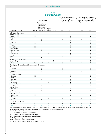#### **Table 3 Receivership Authority**

|                                                  |                  | Who generally<br>appoints a receiver? <sup>a</sup>                              |                |                         | Does the deposit insurer<br>have the authority to act<br>as the receiver of a failed<br>depository institution? |                             | Does the deposit insurer<br>have the authority to appoint<br>itself receiver of a failed | depository institution?     |
|--------------------------------------------------|------------------|---------------------------------------------------------------------------------|----------------|-------------------------|-----------------------------------------------------------------------------------------------------------------|-----------------------------|------------------------------------------------------------------------------------------|-----------------------------|
| Deposit Insurer                                  | Court            | Central Bank,<br>Ministry of<br>Finance, or<br>Supervisory Deposit<br>Authority | Insurer Other  |                         | Yes                                                                                                             | $\rm No$                    | Yes                                                                                      | No                          |
|                                                  |                  |                                                                                 |                |                         |                                                                                                                 |                             |                                                                                          |                             |
| <b>Advanced Economies</b>                        |                  |                                                                                 |                |                         |                                                                                                                 |                             |                                                                                          |                             |
| Austria (AAR)                                    |                  | Χ                                                                               |                |                         |                                                                                                                 | X                           |                                                                                          | X                           |
| Austria (AABB)                                   | X<br>$\mathbf X$ |                                                                                 |                |                         |                                                                                                                 | $\bar{X}$<br>$\overline{X}$ |                                                                                          | $\mathbf X$<br>$\mathbf X$  |
| Belgium                                          |                  |                                                                                 |                |                         |                                                                                                                 |                             | X                                                                                        |                             |
| Canada                                           | $\mathbf X$      | X<br>X                                                                          |                |                         | $\mathbf X$                                                                                                     |                             |                                                                                          |                             |
| France                                           | $\mathbf X$      |                                                                                 |                |                         |                                                                                                                 | X<br>$\mathbf X$            |                                                                                          | X<br>$\mathbf X$            |
| Germany (EdB)                                    |                  |                                                                                 |                |                         |                                                                                                                 | $\mathbf X$                 |                                                                                          | $\mathbf X$                 |
| Germany (E)                                      | X                |                                                                                 |                |                         |                                                                                                                 | $\bar{X}$                   |                                                                                          | $\bar{X}$                   |
| Greece<br>Isle of Man <sup>b</sup>               | X                | $\mathbf X$                                                                     |                |                         |                                                                                                                 | $\mathbf X$                 |                                                                                          | $\mathbf X$                 |
| Italy (IDPF)                                     |                  | $\mathbf X$                                                                     |                |                         |                                                                                                                 | $\mathbf X$                 |                                                                                          | $\mathbf X$                 |
| Italy (DPFCB)                                    |                  | X                                                                               |                |                         |                                                                                                                 | X                           |                                                                                          | $\bar{X}$                   |
| Japan                                            | $\mathbf X$      |                                                                                 |                |                         |                                                                                                                 |                             |                                                                                          |                             |
| Netherlands                                      | $\mathbf X$      |                                                                                 |                |                         |                                                                                                                 | X                           |                                                                                          | X                           |
| Portugal                                         |                  |                                                                                 |                | X                       |                                                                                                                 | $\bar{X}$                   |                                                                                          |                             |
| Spain                                            | $\mathbf X$      |                                                                                 |                |                         | $\mathbf X$                                                                                                     |                             |                                                                                          | $\overline{X}$ X            |
| Sweden                                           | $\bar{X}$        | $\mathbf X$                                                                     |                |                         |                                                                                                                 | $\mathbf X$                 |                                                                                          | $\mathbf X$                 |
| Taiwan Province of China                         |                  | $\mathbf X$                                                                     |                |                         | X                                                                                                               |                             |                                                                                          | $\mathbf X$                 |
| United Kingdom                                   |                  |                                                                                 |                | $\mathbf X$             |                                                                                                                 | $\mathbf X$                 |                                                                                          | $\mathbf X$                 |
| Subtotal                                         | $\overline{10}$  | 8                                                                               |                | $\overline{2}$          | $\overline{3}$                                                                                                  | $\overline{14}$             | 1                                                                                        | $\overline{16}$             |
|                                                  |                  |                                                                                 |                |                         |                                                                                                                 |                             |                                                                                          |                             |
| Developing Economies and Economies in Transition |                  |                                                                                 |                |                         |                                                                                                                 |                             |                                                                                          |                             |
| Africa                                           |                  |                                                                                 |                |                         |                                                                                                                 |                             |                                                                                          |                             |
| Nigeria                                          |                  | X                                                                               |                |                         | $_{\rm X}^{\rm X}$                                                                                              |                             |                                                                                          | $\frac{\text{X}}{\text{X}}$ |
| Tanzania                                         |                  | $\mathbf X$                                                                     |                |                         |                                                                                                                 |                             |                                                                                          |                             |
| Uganda                                           |                  | X                                                                               |                |                         | $\mathbf X$                                                                                                     |                             | X                                                                                        |                             |
| Europe                                           |                  |                                                                                 |                |                         |                                                                                                                 |                             |                                                                                          |                             |
| Czech Republic                                   | X                |                                                                                 |                |                         |                                                                                                                 | X                           |                                                                                          | X                           |
| Hungary                                          | $\mathbf X$      |                                                                                 |                |                         |                                                                                                                 | $\mathbf X$                 |                                                                                          | $\mathbf X$                 |
| Latvia                                           | $\mathbf X$      |                                                                                 |                |                         |                                                                                                                 | $\mathbf X$                 |                                                                                          | $\mathbf X$                 |
| Lithuania                                        | $\mathbf X$      | $\mathbf X$                                                                     |                |                         |                                                                                                                 | $\bar{X}$                   |                                                                                          | $\mathbf X$                 |
| Poland                                           | X                |                                                                                 |                |                         |                                                                                                                 | $\mathbf X$                 |                                                                                          | $\mathbf X$                 |
| Romania                                          |                  |                                                                                 | $\mathbf X$    |                         |                                                                                                                 | $\mathbf X$<br>X            |                                                                                          | $\mathbf X$<br>$\mathbf X$  |
| Slovak Republic                                  | X                |                                                                                 |                |                         |                                                                                                                 |                             |                                                                                          | X                           |
| Turkey                                           |                  | $\mathbf X$                                                                     |                |                         | X                                                                                                               |                             |                                                                                          |                             |
| Middle East                                      |                  |                                                                                 |                |                         |                                                                                                                 |                             |                                                                                          |                             |
| Bahrain                                          | X                | X<br>$\bar{X}$                                                                  |                |                         |                                                                                                                 | X<br>$\bar{X}$              |                                                                                          | X<br>$\mathbf X$            |
| Oman                                             |                  |                                                                                 |                |                         |                                                                                                                 |                             |                                                                                          |                             |
| Western Hemisphere                               |                  |                                                                                 |                |                         |                                                                                                                 |                             |                                                                                          |                             |
| <b>Brazil</b>                                    |                  | X                                                                               |                |                         |                                                                                                                 | $\mathbf X$                 |                                                                                          | X                           |
| El Salvador                                      | $\mathbf X$      |                                                                                 |                |                         |                                                                                                                 | $\bar{X}$                   |                                                                                          | X                           |
| <b>Jamaica</b>                                   | $\mathbf X$      |                                                                                 |                |                         | X<br>$\bar{X}$                                                                                                  |                             |                                                                                          | $\mathbf X$                 |
| Mexico                                           |                  |                                                                                 | $\mathbf X$    |                         |                                                                                                                 |                             | X                                                                                        |                             |
| Peru                                             |                  | X                                                                               |                |                         |                                                                                                                 | X                           |                                                                                          | X                           |
| Trinidad and Tobago                              | X                |                                                                                 |                |                         | $\mathbf X$                                                                                                     |                             |                                                                                          | $\mathbf X$                 |
| Subtotal                                         | $\overline{10}$  | $\overline{9}$                                                                  | $\overline{2}$ | $\mathbf{1}$            | $\overline{7}$                                                                                                  | $\overline{12}$             | $\overline{2}$                                                                           | $\overline{17}$             |
| <b>Total</b>                                     | 20               | 17                                                                              | $\overline{3}$ | $\overline{\mathbf{3}}$ | 10                                                                                                              | 26                          | 3                                                                                        | 33                          |

*Note:* Classification of economies into "Advanced," "Developing," or "Economies in Transition" is from International Monetary Fund (2000). aIf entities work together to appoint a receiver, an "X" will appear in more than one column.

bBritish Crown Dependency.

AAR = Association of Austrian Raiffesenbanks

AABB = Association of Austrian Banks and Bankers

EdB = Entschadigungseinrichtung deutscher Banken

E = Einlagensicherungs

IDPF = Interbank Deposit Protection Fund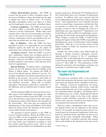Claims determination process*.* The FDIC as receiver has the power to allow or disallow claims. If the receiver disallows a claim, the holder has the right to litigate the claim in federal court. In contrast, although a bankruptcy trustee can object to a claim, only the bankruptcy court can allow or disallow claims.

Contract repudiation*.* The FDIC as receiver has the power, within a reasonable period, to repudiate contracts it deems burdensome. Banks often enter contracts that, at the time of receivership, are burdensome to the receiver in terms of duration or cost. In contrast, a bankruptcy trustee can repudiate only contracts that the parties have not fully executed.

Stay of litigation. After the FDIC has been appointed receiver, it is responsible for any pending litigation against the bank but has the option of requesting a stay of legal proceedings of up to 90 days.

Avoidance powers. Both the FDIC as receiver and a bankruptcy trustee have avoidance powers, or the power to pursue fraudulent transfers and recover property. However, the FDIC as receiver can pursue transfers made five years before or after the date of the receiver's appointment.

Special defenses. To defeat claims, a bankruptcy trustee can use only defenses that are available to the debtor to defeat claims. In contrast, the FDIC as receiver has special statutory defenses it can use. For example, improperly documented agreements are not binding on the receiver: the receiver relies solely on the records of the failed bank to evaluate the assets and liabilities accurately. Being able to disallow improperly documented agreements contributes to the efficiency and cost effectiveness of failure resolutions.

Another important difference between the receivership process and bankruptcy proceedings for other types of business entities is that the FDIC is not subject to the direction or supervision of any other agency or department of the United States in the operation of the receivership. The court does not supervise the administration of the assets and liabilities of the failed bank and cannot review the decisions of the receiver except under limited circumstances.

The granting of special authority to the FDIC as receiver is based on history. Before the FDIC was created, the Office of the Comptroller of the Currency (OCC) supervised the liquidation of national banks, and state banks were liquidated according to state laws, which varied from state to state. Even so, most liquidations of state banks were handled like any other

business insolvency. During the 1933 banking crisis in the United States there was a shortage of experienced receivers. In addition, there were concerns that the receivership appointments had been made as political favors. Such appointments were desirable because receivers earned large commissions and therefore had an incentive to extend the receivership work. On average, it took six years to liquidate the assets of a failed bank and to pay depositors.<sup>20</sup> (Depositors were treated like any other creditors in a bankruptcy, receiving funds after the bank's assets had been liquidated.) When Congress created the FDIC, it believed that making the largest creditor (the FDIC) responsible for liquidating the assets of failed banks would simplify procedures. After all, it is in the best interest of the largest creditor to obtain the maximum recovery as quickly as possible.

Outside the United States, most failed banks go through a regular corporate bankruptcy process. Approximately 62 percent of the 37 respondents answered "Yes" to the following survey question: *Does a failed bank go through the regular corporate bankruptcy process?* (See Table 4.) The proportions in both advanced economies and developing economies and economies in transition were roughly similar.

# *The Least-Cost Requirement and Exceptions to It*

The least-cost resolution refers to the resolution method that minimizes the present value of net losses incurred by the deposit insurer, regardless of other factors. Without a least-cost requirement, the choice among resolution methods would involve trade-offs among minimizing the cost of the resolution transaction, imposing market discipline, and limiting risk to the banking sector as a whole. Requiring the deposit insurer to resolve banks in the least costly manner imposes market discipline inasmuch as the deposit insurer must structure resolutions that impose losses on uninsured and unsecured creditors.

However, policy considerations other than cost to the deposit insurer may be important to the deposit insurer. For example, the deposit insurer may be concerned about the systemwide implications of the resolution of a particular bank, especially one that is very large and has many interbank relationships. When such a bank fails, a resolution structure that controls risk to other banks in the financial system may not be

```
20 FDIC (1998b), 64.
```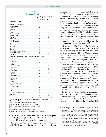|                                                  | Does a failed bank go through<br>the regular corporate<br>bankruptcy process? |    |  |  |
|--------------------------------------------------|-------------------------------------------------------------------------------|----|--|--|
| Deposit Insurer                                  | Yes                                                                           | No |  |  |
| <b>Advanced Economies</b>                        |                                                                               |    |  |  |
| Austria (AAR)                                    | Х                                                                             |    |  |  |
| Austria (AABB)                                   | Х                                                                             |    |  |  |
| Belgium                                          | X                                                                             |    |  |  |
| Canada                                           |                                                                               | X  |  |  |
| France                                           | Х                                                                             |    |  |  |
| Germany (EdB)                                    | $\boldsymbol{\mathrm{X}}$                                                     |    |  |  |
| Germany (E)                                      | X                                                                             |    |  |  |
| Greece                                           |                                                                               | X  |  |  |
| Isle of Mana                                     | X                                                                             |    |  |  |
| Italy (IDPF)                                     |                                                                               | X  |  |  |
| Italy (DPFCB)                                    | Х                                                                             |    |  |  |
| Japan                                            |                                                                               | Х  |  |  |
| Netherlands                                      |                                                                               | X  |  |  |
| Portugal                                         |                                                                               | X  |  |  |
| Spain                                            | X                                                                             |    |  |  |
| Sweden                                           | Х                                                                             |    |  |  |
| Taiwan Province of China                         | X                                                                             |    |  |  |
| United Kingdom                                   | X                                                                             |    |  |  |
|                                                  | $\overline{12}$                                                               | 6  |  |  |
| Subtotal                                         |                                                                               |    |  |  |
| Developing Economies and Economies in Transition |                                                                               |    |  |  |
| Africa                                           |                                                                               |    |  |  |
| Nigeria                                          |                                                                               | Χ  |  |  |
| Tanzania                                         |                                                                               | X  |  |  |
| Uganda                                           | Х                                                                             |    |  |  |
| Europe                                           |                                                                               |    |  |  |
| Czech Republic                                   |                                                                               | X  |  |  |
| Hungary                                          |                                                                               | Χ  |  |  |
| Latvia                                           |                                                                               | X  |  |  |
| Lithuania                                        | Х                                                                             |    |  |  |
| Poland                                           |                                                                               | X  |  |  |
| Romania                                          | X                                                                             |    |  |  |
| Slovak Republic                                  | Х                                                                             |    |  |  |
| Turkey                                           | X                                                                             |    |  |  |
| Middle East                                      |                                                                               |    |  |  |
| Bahrain                                          |                                                                               | X  |  |  |
| Oman                                             | Х                                                                             |    |  |  |
| Western Hemisphere                               |                                                                               |    |  |  |
| <b>Brazil</b>                                    |                                                                               | X  |  |  |
| El Salvador                                      | X                                                                             |    |  |  |
| Jamaica                                          | Х                                                                             |    |  |  |
| Mexico                                           | X                                                                             |    |  |  |
| Peru                                             | X                                                                             |    |  |  |
| Trinidad and Tobago                              | Х                                                                             |    |  |  |
| Subtotal                                         | 11                                                                            | 8  |  |  |

*Note:* Classification of economies into "Advanced," "Developing," or "Economies in Transition" is from International Monetary Fund (2000). aBritish Crown Dependency.

Total 23 14

AAR = Association of Austrian Raiffesenbanks

AABB = Association of Austrian Banks and Bankers

EdB = Entschadigungseinrichtung deutscher Banken

E = Einlagensicherungs

IDPF = Interbank Deposit Protection Fund

DPFCB = Deposit Protection Fund for Co-operative Banks

the least costly to the deposit insurer. A least-cost requirement that has enough flexibility to allow the deposit insurer to deal with systemic risks may be advantageous.

In the United States at the beginning of the 1980s, when the FDIC determined the structure of a resolution, it con-

**Table 4 Solution 2.1 State 1 and Solution 2.1 State 2.1 State 2.1 State 2.1 State 2.1 State 2.1 State 2.1 State 2.1 State 2.1 State 2.1 State 2.1 State 2.1 State 2.1 State 2.1 State 2.1 State 2.1 State 2.1 State 2.1 Sta** The four primary ones were (1) to maintain public confidence and stability in the U.S. banking system, (2) to encourage market discipline so as to prevent excessive risk taking, (3) to resolve failed banks in a timely and cost-effective manner, and (4) to be equitable and consistent in using resolution methods. There were also certain secondary objectives, one of which was the desire to minimize the FDIC's role in owning, financing, and managing banks and their assets. After passage of FDICIA, which mandated the least-cost requirement, all policy objectives became secondary to cost considerations in determining the resolution method.<sup>21</sup>

> To implement FDICIA, the FDIC evaluates all bids for failed banks solely on the basis of cost, not factoring into the decision any other policy considerations. The FDIC computes the cost of a resolution on a present-value basis, using a realistic discount rate. As discussed later in this section, the one exception to the leastcost test is the "systemic-risk" exception.

Outside the United States, a least-cost requirement like the one imposed on the FDIC is far from universal. Nineteen of the 35 respondents answered "Yes" to the following survey question: *Is the deposit insurer required to resolve failed or failing insured depository institutions in a manner that is least costly to the deposit insurer?*  (See Table 5.) Of the respondents in advanced economies, fewer than 50 percent have a leastcost requirement; in developing economies and economies in transition, approximately 63 percent have one.

In the United States, as already mentioned, FDICIA provided for one exception to the least-cost requirement, namely, the systemicrisk exception. Before the FDIC can invoke this exception, two-thirds of the FDIC Board of

<sup>21</sup> Before passage of FDICIA, resolution transactions were subject to a different type of cost test: the FDIC could resolve a bank using any transaction that was less costly than a deposit payoff, except that, if a bank was deemed to be essential to the provision of adequate banking services in the community, the FDIC could vary from the cost test and use a transaction that was more costly than a deposit payoff. Cost was always an important element of the decision on resolution structure, but other considerations (for example, avoiding disruption to the local community or passing more assets to the acquirer) sometimes influenced the choice. Under FDICIA, the FDIC no longer has that flexibility but is required to choose the least costly resolution transaction (except that a "systemic-risk" exception is possible, as discussed below).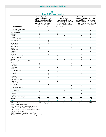#### **Table 5 Least-Cost Test and Exceptions**

|                                                  |                           | Is the deposit insurer<br>required to resolve failed or<br>failing insured depository<br>institutions in a manner<br>that is least costly to the<br>deposit insurer? |                | If yes,<br>under what<br>exceptions, if any,<br>can the deposit insurer<br>deviate from the<br>least-cost approach? |                         | Does either the size of an<br>institution or the fact that it<br>is owned by a governmental<br>entity influence the decision<br>whether and how an insured<br>bank should be resolved? |                                   |  |
|--------------------------------------------------|---------------------------|----------------------------------------------------------------------------------------------------------------------------------------------------------------------|----------------|---------------------------------------------------------------------------------------------------------------------|-------------------------|----------------------------------------------------------------------------------------------------------------------------------------------------------------------------------------|-----------------------------------|--|
| Deposit Insurer                                  | Yes                       | $\rm No$                                                                                                                                                             |                | None Systemic Risk Other                                                                                            |                         | Yes                                                                                                                                                                                    | N <sub>0</sub>                    |  |
| <b>Advanced Economies</b>                        |                           |                                                                                                                                                                      |                |                                                                                                                     |                         |                                                                                                                                                                                        |                                   |  |
| Austria (AAR)                                    |                           | X                                                                                                                                                                    |                |                                                                                                                     |                         |                                                                                                                                                                                        | X                                 |  |
| Austria (AABB)                                   |                           | X                                                                                                                                                                    |                |                                                                                                                     |                         |                                                                                                                                                                                        | $\mathbf X$                       |  |
| Belgium                                          | X                         |                                                                                                                                                                      | X              |                                                                                                                     |                         |                                                                                                                                                                                        | $\mathbf X$                       |  |
| Canada                                           | $\mathbf X$               |                                                                                                                                                                      |                | X                                                                                                                   |                         | $\mathbf X$                                                                                                                                                                            |                                   |  |
| France                                           | $\mathbf X$               |                                                                                                                                                                      |                |                                                                                                                     | X                       |                                                                                                                                                                                        | $\mathbf X$                       |  |
| Germany (EdB)                                    |                           | $\mathbf X$                                                                                                                                                          |                |                                                                                                                     |                         |                                                                                                                                                                                        | $\overline{X}$                    |  |
| Germany $(E)$                                    |                           | $\mathbf X$                                                                                                                                                          |                |                                                                                                                     |                         |                                                                                                                                                                                        | $\mathbf X$                       |  |
| Greece                                           |                           | $\mathbf X$                                                                                                                                                          |                |                                                                                                                     |                         | X                                                                                                                                                                                      |                                   |  |
| Isle of Mana                                     |                           | X                                                                                                                                                                    |                |                                                                                                                     |                         |                                                                                                                                                                                        | X                                 |  |
| Italy (IDPF)                                     | X                         |                                                                                                                                                                      |                |                                                                                                                     | X                       | $\mathbf X$                                                                                                                                                                            |                                   |  |
| Italy (DPFCB)                                    | $\mathbf X$               |                                                                                                                                                                      | Χ              |                                                                                                                     |                         |                                                                                                                                                                                        | $\mathbf X$                       |  |
| Japan                                            | X                         |                                                                                                                                                                      |                |                                                                                                                     | $\mathbf X$             |                                                                                                                                                                                        | X                                 |  |
| Netherlands                                      |                           |                                                                                                                                                                      |                |                                                                                                                     |                         | X                                                                                                                                                                                      |                                   |  |
| Portugal                                         |                           | X                                                                                                                                                                    |                |                                                                                                                     |                         |                                                                                                                                                                                        | $\mathbf X$                       |  |
| Spain                                            |                           | X                                                                                                                                                                    |                |                                                                                                                     |                         |                                                                                                                                                                                        | $\mathbf{X}$                      |  |
| Sweden                                           |                           | X                                                                                                                                                                    |                |                                                                                                                     |                         | X                                                                                                                                                                                      |                                   |  |
| Taiwan Province of China                         | X                         |                                                                                                                                                                      | X              |                                                                                                                     |                         | X                                                                                                                                                                                      |                                   |  |
| United Kingdom                                   |                           |                                                                                                                                                                      |                |                                                                                                                     |                         | $\mathbf{X}$                                                                                                                                                                           |                                   |  |
| Subtotal                                         | $\overline{7}$            | 9                                                                                                                                                                    | $\overline{3}$ | $\mathbf{1}$                                                                                                        | $\mathbf{3}$            | $\overline{7}$                                                                                                                                                                         | $\overline{11}$                   |  |
| Developing Economies and Economies in Transition |                           |                                                                                                                                                                      |                |                                                                                                                     |                         |                                                                                                                                                                                        |                                   |  |
| Africa                                           |                           |                                                                                                                                                                      |                |                                                                                                                     |                         |                                                                                                                                                                                        |                                   |  |
| Nigeria                                          | X                         |                                                                                                                                                                      |                |                                                                                                                     | $\mathbf X$             | $\mathbf X$                                                                                                                                                                            |                                   |  |
| Tanzania                                         | $\mathbf X$               |                                                                                                                                                                      |                |                                                                                                                     | X                       | X                                                                                                                                                                                      |                                   |  |
| Uganda                                           | X                         |                                                                                                                                                                      | X              |                                                                                                                     |                         |                                                                                                                                                                                        | X                                 |  |
| Europe                                           |                           |                                                                                                                                                                      |                |                                                                                                                     |                         |                                                                                                                                                                                        |                                   |  |
| Czech Republic                                   |                           | X                                                                                                                                                                    |                |                                                                                                                     |                         | X                                                                                                                                                                                      |                                   |  |
| Hungary                                          | $\mathbf X$               |                                                                                                                                                                      | X              |                                                                                                                     |                         |                                                                                                                                                                                        | X                                 |  |
| Latvia                                           |                           | X                                                                                                                                                                    |                |                                                                                                                     |                         | X                                                                                                                                                                                      |                                   |  |
| Lithuania                                        |                           | $\mathbf X$                                                                                                                                                          |                |                                                                                                                     |                         | $\mathbf X$                                                                                                                                                                            |                                   |  |
| Poland                                           | X                         |                                                                                                                                                                      | X              |                                                                                                                     |                         |                                                                                                                                                                                        | X                                 |  |
| Romania                                          |                           | X                                                                                                                                                                    |                |                                                                                                                     |                         |                                                                                                                                                                                        | $\mathbf X$                       |  |
| Slovak Republic                                  |                           | X                                                                                                                                                                    |                |                                                                                                                     |                         |                                                                                                                                                                                        | $\mathbf X$                       |  |
| Turkey                                           | X                         |                                                                                                                                                                      | X              |                                                                                                                     |                         |                                                                                                                                                                                        | X                                 |  |
| Middle East                                      |                           |                                                                                                                                                                      |                |                                                                                                                     |                         |                                                                                                                                                                                        |                                   |  |
| Bahrain                                          |                           | X                                                                                                                                                                    |                |                                                                                                                     |                         | Χ                                                                                                                                                                                      |                                   |  |
| Oman                                             | X                         |                                                                                                                                                                      |                |                                                                                                                     | X                       | $\bar{X}$                                                                                                                                                                              |                                   |  |
| Western Hemisphere                               |                           |                                                                                                                                                                      |                |                                                                                                                     |                         |                                                                                                                                                                                        |                                   |  |
| <b>Brazil</b>                                    | X                         |                                                                                                                                                                      |                |                                                                                                                     | X                       |                                                                                                                                                                                        | X                                 |  |
| El Salvador                                      | $\mathbf X$               |                                                                                                                                                                      |                | X                                                                                                                   |                         | $\mathbf X$                                                                                                                                                                            |                                   |  |
| <b>Jamaica</b>                                   | $\boldsymbol{\mathrm{X}}$ |                                                                                                                                                                      |                | X                                                                                                                   |                         | X                                                                                                                                                                                      |                                   |  |
| Mexico                                           | X                         |                                                                                                                                                                      | $\mathbf X$    |                                                                                                                     |                         | $\mathbf X$                                                                                                                                                                            |                                   |  |
| Peru                                             | X                         |                                                                                                                                                                      |                | X                                                                                                                   |                         | $\mathbf{X}$                                                                                                                                                                           |                                   |  |
| Trinidad and Tobago                              |                           |                                                                                                                                                                      |                |                                                                                                                     |                         |                                                                                                                                                                                        |                                   |  |
|                                                  | $\overline{12}$           | $\frac{X}{7}$                                                                                                                                                        | $\overline{5}$ | 3                                                                                                                   | $\overline{\mathbf{4}}$ | 11                                                                                                                                                                                     | $\underline{X}$<br>$\overline{8}$ |  |
| Subtotal                                         |                           |                                                                                                                                                                      |                |                                                                                                                     |                         |                                                                                                                                                                                        |                                   |  |
| <b>Total</b>                                     | 19                        | 16                                                                                                                                                                   | 8              | $\overline{\mathbf{4}}$                                                                                             | 7                       | 18                                                                                                                                                                                     | 19                                |  |

*Note:* Classification of economies into "Advanced," "Developing," or "Economies in Transition" is from International Monetary Fund (2000). aBritish Crown Dependency.

AAR = Association of Austrian Raiffesenbanks

AABB = Association of Austrian Banks and Bankers

EdB = Entschadigungseinrichtung deutscher Banken

E = Einlagensicherungs

IDPF = Interbank Deposit Protection Fund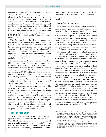Directors22 and two-thirds of the Board of Governors of the Federal Reserve System must agree that complying with the least-cost test would have serious adverse effects on economic conditions or financial stability; the two boards forward a written recommendation to the Secretary of the U.S. Treasury; and the Secretary, in consultation with the president of the United States, must agree. Since its creation in FDICIA, the systemic-risk exception has never been used. In imposing this rather stringent requirement, FDICIA clearly outlined the FDIC's options in resolving large banks.

The European Union directives on banking have not yet specifically addressed limits on the bailout of large banks that are considered "too big to fail." In fact, as Murphy (2000) points out, under the current system a large European bank that has a home office in a small country would probably be considered too big to fail. This decision could be made because the cost to the small country of resolving the large bank might be prohibitive.

In locations outside the United States, some flexibility is built into the least-cost requirement. Respondents who have a least-cost requirement answered the following survey question: *Under what exceptions, if any, can the deposit insurer deviate from the least-cost approach?* Of the 19 respondents to the question, 8 said the least-cost requirement cannot be violated for any reason; 4 said it can be violated for reasons of systemic risk; and 7 mentioned other reasons for violating it, including "political interference," "social connections," and "size." (See Table 5.)

In many economies, size or government ownership does affect the nature of the resolution of banks. Eighteen of the 37 respondents answered "Yes" to the following survey question: *Does either the size of an institution or the fact that it is owned by a governmental entity influence the decision whether and how an insured bank should be resolved?* (See Table 5.) Size or government ownership is more likely to influence the resolution decisions in developing economies and economies in transition than in advanced economies (58 percent and 39 percent, respectively).

# *Types of Resolution*

There are two basic types of resolution transactions: open-bank transactions and closed-bank transactions. Closed-bank transactions, in turn, are of two kinds: (1) purchase-and-assumption transactions and (2) deposit payoffs. Another type of resolution is a bridge bank, which is a temporary banking structure that the FDIC

12

controls until it finds a permanent resolution. Bridge banks are not used very often, inside or outside the United States, but in some circumstances they may be useful.

#### *Open-Bank Assistance*

In an open-bank assistance (OBA) transaction, the deposit insurer provides financial assistance to the bank while the bank remains open. The assistance can take the form of loans, asset purchases, or a note or cash to restore capital to a positive level; private investors will provide additional capital to restore the bank to an adequate capital position. Consequently, OBA transactions usually require the shareholders to dilute their ownership interests significantly; however, their interests may retain some value, so they could benefit from the government assistance.

The primary advantage of open-bank assistance is that it is least disruptive to the relationships between the bank and its customers. Another advantage is that most of the bank's assets remain in the private sector. Both of these advantages may be particularly important for averting a widespread financial crisis.

Open-bank assistance also has a number of disadvantages. First, it can increase the amount of moral hazard and decrease market discipline within the financial system. Moral hazard may increase because, according to general belief, if a bank thinks it will be bailed out when it gets into trouble, it will take on more risk than if the assistance were not available. Market discipline will be eroded because customers with uninsured and unsecured claims are protected, and shareholders may be partially protected. A second disadvantage is that OBA transactions raise the fairness issue: weak banks are allowed to remain open with government assistance and compete with banks that are not given assistance. Finally, OBA transactions can prove to be somewhat more costly to the deposit insurer: there may be recurring losses, and the process of preparing proposals and completing assistance transactions can be long and difficult.<sup>23</sup>

<sup>&</sup>lt;sup>22</sup> The Board of Directors of the FDIC is composed of the Comptroller of the Currency, the Director of the Office of Thrift Supervision, and three members appointed by the president of the United States and confirmed by the Senate. One of the appointed members of the Board must have experience supervising state banks. For more detail about the Board of Directors of the FDIC, see Section 2 of the Federal Deposit Insurance Act.

<sup>23</sup> Recurring losses characterized the case of First City Bancorporation. In 1988 the FDIC provided open-bank assistance to resolve the failure of 59 branches of First City, but the bank continued to incur losses. Finally, in 1992, the FDIC used a closed-bank transaction to resolve the bank.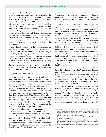Originally the FDIC provided open-bank assistance to banks that were considered essential to the community. Typically the FDIC would restore capital to a positive level by providing the distressed bank with a cash contribution, an FDIC note, or a loan, and private investors would provide additional capital to restore the bank to an adequate capital position. Because of the restrictions imposed by FDICIA, the FDIC no longer commonly uses OBA transactions. Closed-bank resolutions usually have a cost advantage over open-bank transactions. In a closed-bank transaction, costs are reduced because contingent liabilities are eliminated, burdensome contracts can be terminated, and troublesome assets can be left in the receivership.

Many deposit insurers have the authority to provide open-bank assistance. Of 35 survey respondents, 23 answered "Yes" to the following question: *Do you have the legal authority to provide financial assistance to an operating insured depository institution (open-bank assistance), either as a stand-alone entity or to facilitate an open-bank merger with a healthy insured depository institution?* (See Table 6.) Approximately one-half of the deposit insurers that said "Yes" indicated they have provided financial assistance to an operating bank in the last ten years.

#### *Closed-Bank Resolutions*

Closed-bank resolutions—purchase-and-assumption transactions and deposit payoffs—have the advantage of not allowing the problems in the bank to recur. Another advantage is that they are transparent. Deposit payoffs, however, are typically more disruptive to customers of the bank and perhaps the local economy. In purchase-and-assumption transactions, in contrast, there are ways of minimizing the disruption. For example, in the United States, when a bank is resolved by a purchase-and-assumption transaction, the chartering agency usually closes the bank on a Friday and the new bank reopens on Monday. The only change visible to most of the customers of the bank is a change in the name of the bank.

Purchase-and-assumption transactions. A purchase-and-assumption (P&A) transaction is a closedbank transaction in which a healthy bank purchases some or all of the assets of a failed bank and assumes some or all of the liabilities.<sup>24</sup> The acquirer usually receives assistance from the deposit insurer to complete the transaction. As part of the P&A transaction, the acquiring bank usually pays a premium to the deposit insurer for the deposits it acquires; the premi-

um decreases the total resolution cost to the insurer. The reason the acquirer pays this premium is that the deposit base has value in terms of the established customer relationships, usually referred to as franchise value.25

A P&A transaction has some of the advantages of an open-bank assistance transaction while eliminating some of the disadvantages. Like open-bank assistance, a purchase-and-assumption transaction is not disruptive to the customers of the bank. In addition, because most of the assets of the failed bank are transferred to the acquiring bank, they are kept in the private sector.<sup>26</sup> A P&A transaction can maintain market discipline to differing degrees, depending on the structure of the transaction. At the very least, shareholders will lose all of their investment.<sup>27</sup> If all deposits are not transferred to the acquiring bank, uninsured depositors may also incur a loss. However, if uninsured deposits are transferred to the acquiring bank as part of a least-cost transaction, they will be fully reimbursed even though they are uninsured. This transfer is more likely to occur when uninsured deposits are a relatively small portion of the failed bank's total deposits.

Many deposit insurers outside the United States have the authority to use a P&A transaction. Twenty of the 30 respondents answered "Yes" to the following survey question: *Do you have the legal authority to use a P&A transaction in handling failed or failing depository institutions?* (See Table 6.) Ten of these respondents have used a purchase-and-assumption transaction in the last ten years.

Deposit payoffs. In a deposit payoff, the appropriate authority closes the bank, and then the deposit insurer pays all of the failed bank's depositors the full amount of their insured deposits. No assets or liabilities are assumed by another bank; the receiver is responsible for liquidating the assets and paying off the claimants. A deposit payoff may be disruptive to the local community because the depositors are paid

<sup>24</sup> In the United States, banks that are interested in acquiring failed banks must have approval from their primary regulator and must meet the bid criteria established by the FDIC. The FDIC shares a list of eligible bidders with the other regulatory agencies and contacts potential bidders four or five days before the bank closing.

<sup>25</sup> For more detail on the types of P&A transactions the FDIC has used, see FDIC (1998b), chap. 3.

<sup>26</sup> Typically the acquirer will take the higher-quality assets and leave the distressed assets, such as nonperforming loans, in the receivership (see discussion of asset liquidation below).

<sup>27</sup> In the rare case when receivership proceeds remain after all the other claimants are paid in full, shareholders may recover some of their investment.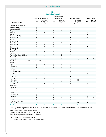| <b>INCONTRATION INICITIONS</b>                   |                       |                                                    |                           |                                           |                                 |                                           |                  |                                   |  |
|--------------------------------------------------|-----------------------|----------------------------------------------------|---------------------------|-------------------------------------------|---------------------------------|-------------------------------------------|------------------|-----------------------------------|--|
|                                                  |                       | Purchase and<br>Open-Bank Assistance<br>Assumption |                           |                                           | Deposit Payoff                  | <b>Bridge Bank</b>                        |                  |                                   |  |
| Deposit Insurer                                  | Has<br>authority      | Has used<br>authority in<br>past 10 years          | Has<br>authority          | Has used<br>authority in<br>past 10 years | Has<br>authority                | Has used<br>authority in<br>past 10 years | Has<br>authority | Has ever<br>used the<br>authority |  |
| <b>Advanced Economies</b>                        |                       |                                                    |                           |                                           |                                 |                                           |                  |                                   |  |
|                                                  |                       |                                                    |                           |                                           |                                 |                                           |                  |                                   |  |
| Austria (AAR)                                    | $\mathbf X$           |                                                    |                           |                                           |                                 |                                           |                  |                                   |  |
| Austria (AABB)                                   | $\mathbf X$           |                                                    |                           |                                           |                                 |                                           |                  |                                   |  |
| Belgium                                          | X                     |                                                    | X                         | X                                         | X                               | X                                         |                  |                                   |  |
| Canada                                           | $\mathbf X$           | $\mathbf X$                                        | $\boldsymbol{\mathrm{X}}$ | $\mathbf X$                               | $\mathbf X$                     | $\mathbf X$                               | $\mathbf X$      |                                   |  |
| France                                           | $\mathbf X$           |                                                    | X                         |                                           | $\mathbf X$                     |                                           | $\mathbf X$      |                                   |  |
| Germany (EdB)                                    |                       |                                                    |                           |                                           | $\mathbf X$                     |                                           |                  |                                   |  |
| Germany (E)                                      | $\mathbf X$           |                                                    | X                         |                                           | $\mathbf X$                     | $\mathbf X$                               | X                |                                   |  |
| Greece                                           |                       |                                                    |                           |                                           | $\mathbf X$                     | $\mathbf X$                               |                  |                                   |  |
| Isle of Mana                                     |                       |                                                    |                           |                                           | $\mathbf X$                     | $\mathbf X$                               |                  |                                   |  |
| Italy (IDPF)                                     | $\mathbf X$           | $\mathbf X$                                        | $\mathbf X$               | $\mathbf X$                               | $\mathbf X$                     | $\mathbf X$                               |                  |                                   |  |
| Italy (DPFCB)                                    | $\mathbf X$           | X                                                  | $\mathbf X$               | $\mathbf X$                               | $\mathbf X$                     | $\mathbf X$                               |                  |                                   |  |
| Japan                                            | $\mathbf X$           | $\mathbf X$                                        | $\boldsymbol{\mathrm{X}}$ |                                           | $\mathbf X$                     |                                           | $\mathbf X$      |                                   |  |
| Netherlands                                      |                       |                                                    |                           |                                           | $\mathbf X$                     |                                           |                  |                                   |  |
| Portugal                                         |                       |                                                    |                           |                                           | $\mathbf X$                     |                                           |                  |                                   |  |
| Spain                                            | X                     | X                                                  | X                         | X                                         | $\mathbf X$                     | X                                         |                  |                                   |  |
| Sweden                                           |                       |                                                    |                           |                                           | $\mathbf X$                     |                                           |                  |                                   |  |
| Taiwan Province of China<br>United Kingdom       | X                     | X                                                  | X                         | X                                         | $\mathbf X$                     |                                           |                  |                                   |  |
| Subtotal                                         | $\overline{11}$       | $\overline{6}$                                     | $\overline{9}$            | $\overline{6}$                            | $\overline{15}$                 | 8                                         | $\overline{4}$   | $\mathbf{0}$                      |  |
|                                                  |                       |                                                    |                           |                                           |                                 |                                           |                  |                                   |  |
| Developing Economies and Economies in Transition |                       |                                                    |                           |                                           |                                 |                                           |                  |                                   |  |
| Africa                                           |                       |                                                    |                           |                                           |                                 |                                           |                  |                                   |  |
| Nigeria                                          | X                     | X                                                  | X                         | X                                         | X                               | X                                         |                  |                                   |  |
| Tanzania                                         | $\mathbf X$           |                                                    | $\boldsymbol{\mathrm{X}}$ |                                           | X                               |                                           |                  |                                   |  |
| Uganda                                           | X                     | X                                                  | X                         | X                                         | X                               | X                                         |                  |                                   |  |
| Europe                                           |                       |                                                    |                           |                                           |                                 |                                           |                  |                                   |  |
| Czech Republic                                   |                       |                                                    |                           |                                           | $\mathbf X$                     | $\mathbf X$                               |                  |                                   |  |
| Hungary                                          | $\mathbf X$           | $\mathbf X$                                        | $\mathbf X$               |                                           | $\mathbf X$                     | $\mathbf X$                               | $\mathbf X$      |                                   |  |
| Latvia                                           |                       |                                                    |                           |                                           |                                 |                                           |                  |                                   |  |
| Lithuania                                        |                       |                                                    |                           |                                           | $\mathbf X$                     | $\mathbf X$                               |                  |                                   |  |
| Poland                                           | X                     | X                                                  |                           |                                           | X                               | X                                         |                  |                                   |  |
| Romania                                          |                       |                                                    |                           |                                           | $\mathbf X$                     | $\mathbf X$                               |                  |                                   |  |
| Slovak Republic                                  |                       |                                                    |                           | X                                         | $\mathbf X$                     | X                                         |                  |                                   |  |
| Turkey                                           | $\mathbf X$           | $\mathbf X$                                        | X                         |                                           | $\mathbf X$                     | $\mathbf X$                               | $\mathbf X$      |                                   |  |
| Middle East                                      |                       |                                                    |                           |                                           |                                 |                                           |                  |                                   |  |
| Bahrain                                          |                       |                                                    |                           |                                           |                                 |                                           |                  |                                   |  |
| Oman                                             | X                     |                                                    | X                         |                                           | $\mathbf X$                     |                                           |                  |                                   |  |
| Western Hemisphere                               |                       |                                                    |                           |                                           |                                 |                                           |                  |                                   |  |
| Brazil                                           |                       |                                                    |                           |                                           |                                 |                                           |                  |                                   |  |
| El Salvador                                      | $\mathbf X$           |                                                    | $\mathbf X$               |                                           | $\mathbf X$                     |                                           |                  |                                   |  |
| Jamaica                                          | $\mathbf X$           |                                                    | $\mathbf X$               |                                           | $\mathbf X$                     |                                           | $\mathbf X$      |                                   |  |
| Mexico                                           | $\mathbf X$           | $\mathbf X$                                        | $\mathbf X$               | $\mathbf X$                               |                                 |                                           | $\mathbf X$      | $\mathbf X$                       |  |
| Peru                                             | $\mathbf X$           |                                                    | $\mathbf X$               |                                           | $\frac{\mathbf{X}}{\mathbf{X}}$ | $\mathbf X$                               |                  |                                   |  |
| Trinidad and Tobago                              |                       |                                                    |                           |                                           |                                 |                                           |                  |                                   |  |
| Subtotal                                         | $\frac{\text{X}}{12}$ | $\overline{6}$                                     | $\frac{\text{X}}{11}$     | $\overline{4}$                            | $\frac{\text{X}}{16}$           | $\frac{\text{X}}{11}$                     | $\overline{4}$   | $\mathbf{1}$                      |  |
| <b>Total</b>                                     | 23                    | 12                                                 | 20                        | 10                                        | 31                              | 19                                        | 8                | 1                                 |  |
|                                                  |                       |                                                    |                           |                                           |                                 |                                           |                  |                                   |  |

#### **Table 6 Resolution Methods**

*Note:* Classification of economies into "Advanced," "Developing," or "Economies in Transition" is from International Monetary Fund (2000). aBritish Crown Dependency.

AAR = Association of Austrian Raiffesenbanks

AABB = Association of Austrian Banks and Bankers

EdB = Entschadigungseinrichtung deutscher Banken

E = Einlagensicherungs

IDPF = Interbank Deposit Protection Fund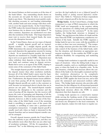the insured balance on their accounts as of the time of the bank failure. Any outstanding checks drawn on the accounts are not paid, for there is no successor bank to pay them. The depositors must quickly establish checking accounts in, and lending relationships with, another bank and must arrange with their creditors to cover the unpaid checks. In the United States, the FDIC makes the insured deposits available on the next business day in almost every bank failure.28 In other countries, depositors are reimbursed over time after the resolution of the bank. The longer depositors must wait to receive their insured funds, the more severe the disruption becomes.<sup>29</sup>

In the United States, there are two types of deposit payoff: a straight deposit payoff and an insureddeposit transfer. In a straight deposit payoff, the FDIC determines the amount of insured deposits and pays each depositor the appropriate amount by issuing a check. In an insured-deposit transfer, the insured deposits are transferred to a healthy bank that is willing to serve as an agent of the FDIC. Depositors may either withdraw their deposits or keep them in the new bank and continue using its deposit services. Banks bid to serve as an agent of the FDIC, hoping to retain some of the customers of the failed bank.

The straight deposit payoff is usually more costly to the deposit insurer than other resolution methods, because all of the failed bank's assets must be liquidated by the receiver and the bank's franchise value is lost. Furthermore, the deposit insurer incurs additional costs from paying off all the insured depositors. Straight deposit payoffs are costly to the customer as well, because (as mentioned above) checks that are in process are not paid. The insured-deposit transfer eliminates the disruption to the customer and the costs of paying off the deposits, but the receiver still incurs the costs of managing and disposing of all the failed-bank assets. The bank that assumes the insured deposits, however, is able to realize some of the franchise value of the failed bank, even if the assuming bank is unwilling to acquire some of the assets (for example, is unwilling to enter into a purchase-andassumption transaction). A straight deposit payoff is usually used only when no bank is interested in the deposit franchise and an insured-deposit transfer cannot be arranged.

Overall, deposit insurers outside the United States have the authority to pay off depositors, and they use this authority more often than they use any other type of resolution technique. Of the 36 respondents, 31 answered "Yes" to the following survey question: *Do* 

*you have the legal authority to use a [deposit] payoff in handling failed or failing insured depository institutions?* (See Table 6.) Nineteen of these respondents have used a deposit payoff in the last ten years.

Bridge banks. In the United States, a bridge-bank transaction is a type of P&A transaction in which the FDIC itself acts temporarily as the acquirer, taking over the operations of a failing bank and maintaining banking services for the customers.<sup>30</sup> As the name implies, the bridge-bank structure is designed to "bridge" the gap between the failure of a bank and the time when the FDIC can implement a satisfactory resolution of the bank. Initially the FDIC organizes a bridge bank for up to two years, with the possibility of as many as three one-year extensions.<sup>31</sup> The temporary bridge structure provides the FDIC with time to take control of the business of the failed bank, stabilize the situation, and determine an appropriate permanent resolution. It also enables the FDIC to gain sufficient flexibility for reorganizing and marketing the bank.

A bridge-bank resolution is especially useful in two types of situations: when the failing bank is large or unusually complex, such as a multibank holding company, or when the bank is in a liquidity crisis. In the first situation, a bridge-bank structure allows the condition of the bank to be thoroughly examined and further resolution alternatives to be completely evaluated. Before the failed bank goes into the bridge bank, the FDIC applies the least-cost test, and at this point the uninsured and unsecured creditors suffer losses. The bridge-bank structure also provides additional time for due diligence by all interested potential acquirers. In the second situation (a liquidity crisis), a bridge-bank structure allows the FDIC to assure depositors that their deposits are safe.

A bridge bank operates in a conservative manner while serving the banking needs of the community. Its management goal is to preserve the franchise value and lessen any disruption to the local community. It accepts deposits, makes low-risk loans to regular cus-

<sup>28</sup> Banks are generally closed at the end of business on Friday, and depositors are given access to their funds on the following Monday.

<sup>29</sup> For a discussion of the treatment of depositors at failed banks, see Kaufman and Seelig (2000).

<sup>30</sup> The FDIC Board of Directors selects the chief executive officer of the bridge bank and retains a presence on the bank's board of directors.

<sup>31</sup> Most of the bridge banks created by the FDIC lasted less than seven months. For more detail on the FDIC's experience with bridge banks, see FDIC (1998a), chap. 6.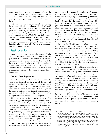tomers, and honors the commitments made by the failed bank if those commitments would not create additional losses. By continuing the failed bank's lending relationships, it supports the franchise value of the bank.

Not many deposit insurers outside the United States have bridge-bank authority. Only 8 of the 37 respondents answered "Yes" to the following survey question: *Does the deposit insurer have the authority to temporarily own a bridge bank, an institution into which some or all of the assets and liabilities of a failed insured depository institution can be transferred?* (See Table 6.) Of these 8 respondents, only 1 (Mexico) has ever used its bridge-bank authority. Outside the United States, therefore, a bridge bank is by far the least commonly used resolution technique.

# *Asset Liquidation*

Asset liquidation can be a complex process. To be effective, the receiver must first be familiar with the goals of asset liquidation. The responsibility for asset liquidation must be clearly established as part of the financial safety net. It also is useful if the receiver is familiar with past asset-liquidation experience, in order to determine the most effective manner of marketing the assets to meet the established goals of asset liquidation.

#### *Goals of Asset Liquidation*

With the exception of a transaction where the acquirer purchases all of the assets of the bank, all types of closed-bank resolutions require a receiver to liquidate some or all of the assets of the failed bank. Three possible goals of asset liquidation are (1) to sell the assets as quickly as possible, (2) to maximize net present value of the assets in liquidation, and (3) to manage the assets to obtain the highest price.

The three goals can be mutually exclusive. For example, suppose the deposit insurer intends to manage assets to obtain the highest price (meeting goal 3), but prices are currently low. The deposit insurer may keep the assets until the price of the assets increases again, but in doing so the insurer will not be meeting the goal of selling the assets quickly as stated in goal 1. In addition, by holding and managing the assets the insurer will incur costs—including the time cost of money—that will cause the net present value to decline, and the insurer will not meet goal 2.

During the banking crisis in the United States in the 1980s and early 1990s, the FDIC had two basic

goals in asset disposition: (1) to dispose of assets as soon as possible and (2) to maximize the return on the receiverships. Disposing of assets quickly minimizes disruption to the public during the resolution of failed banks. Maximizing the return on the receivership minimizes the loss to the insurance fund. These two goals are linked, since disposing of assets quickly allows the receiver to avoid asset-management and servicing costs and any loss in value that might occur simply because the asset is held by a receiver. On the other hand, if there is an excess supply of assets in a market that has depressed prices, disposing of the assets quickly may bring an abnormally low price and thereby a low return on the receivership.

Currently, the FDIC is required by law to minimize the loss to the insurance funds and to maximize the return on the assets of the failed bank or thrift.<sup>32</sup> Beyond these statutory requirements, the FDIC has an incentive to maximize the return on assets of the failed bank: by paying insured depositors and then standing in their place, the FDIC becomes a major creditor of the receivership—typically the largest creditor. Thus, it is in the FDIC's own best interest to maximize the return on assets.

In places outside the United States, obtaining the highest prices for the assets is the most common goal of asset disposition. This goal was mentioned by 11 of the 31 respondents who answered the following survey question: *What is the primary goal of the asset liquidation process (for example, maximize the net present value of assets in liquidation, sell the assets as quickly as possible, manage the assets to obtain the highest price)?*  (See Table 7.) The next most often cited goal, mentioned by 10 of the 31 respondents, was to liquidate the assets as quickly as possible; 9 respondents mentioned maximizing the net present value of assets in liquidation; and 8 mentioned satisfying the creditors of the receivership. Most respondents mentioned a combination of asset-disposition goals, indicating that the asset-liquidation process entails several competing goals.

<sup>&</sup>lt;sup>32</sup> FDICIA contains provisions that explicitly define standards for asset disposition. In Section 123 (amending Section 11 of the FDI Act), FDICIA states that the FDIC shall conduct operations in a manner that (1) maximizes the net present value of return from the sale or disposition of assets, (2) minimizes the amount of any loss realized in the resolution of cases, (3) ensures adequate competition and fair and consistent treatment of those who submit bids for the assets, (4) prohibits discrimination on the basis of race, sex, or ethnic group in the solicitation and consideration of bids, and (5) preserves to the greatest extent possible the availability and affordability of residential realestate property for low- and moderate-income individuals.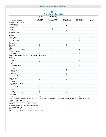#### **Failure Resolution and Asset Liquidation**

|                                                  |                                                      | Table 7                                                                |                                                |                                                 |                         |
|--------------------------------------------------|------------------------------------------------------|------------------------------------------------------------------------|------------------------------------------------|-------------------------------------------------|-------------------------|
|                                                  |                                                      | <b>Goals of Asset Liquidation</b>                                      |                                                |                                                 |                         |
| Deposit Insurer                                  | Liquidate<br>the assets<br>as quickly<br>as possible | Maximize the<br>net present value<br>(NPV) of assets<br>in liquidation | Obtain the<br>highest prices<br>for the assets | Satisfy the<br>creditors of the<br>receivership | Other                   |
| <b>Advanced Economies</b>                        |                                                      |                                                                        |                                                |                                                 |                         |
| Austria (AAR)                                    |                                                      |                                                                        |                                                |                                                 |                         |
| Austria (AABB)                                   |                                                      |                                                                        | $\mathbf X$                                    |                                                 |                         |
| Belgium                                          |                                                      |                                                                        |                                                | X                                               |                         |
| Canada                                           |                                                      | $\mathbf X$                                                            |                                                |                                                 |                         |
| France                                           |                                                      |                                                                        | X                                              |                                                 |                         |
| Germany (EdB)                                    |                                                      |                                                                        |                                                |                                                 |                         |
| Germany (E)                                      |                                                      |                                                                        |                                                |                                                 |                         |
| Greece                                           | $\mathbf X$                                          |                                                                        | $\mathbf X$                                    |                                                 |                         |
| Isle of Mana                                     |                                                      |                                                                        |                                                |                                                 |                         |
| Italy (IDPF)                                     |                                                      |                                                                        |                                                | $\mathbf X$                                     |                         |
| Italy (DPFCB)                                    |                                                      | X                                                                      |                                                | X                                               |                         |
| Japan                                            |                                                      |                                                                        |                                                |                                                 |                         |
| Netherlands                                      |                                                      |                                                                        |                                                | $\mathbf X$                                     |                         |
| Portugal                                         | X                                                    |                                                                        | $\mathbf X$                                    |                                                 |                         |
| <b>Spain</b>                                     | $\boldsymbol{\mathrm{X}}$                            |                                                                        |                                                |                                                 |                         |
| Sweden                                           |                                                      |                                                                        |                                                |                                                 |                         |
| Taiwan Province of China                         |                                                      | X                                                                      |                                                | X                                               |                         |
| <b>United Kingdom</b>                            |                                                      |                                                                        |                                                |                                                 |                         |
| Subtotal                                         | $\overline{3}$                                       | $\overline{3}$                                                         | $\overline{4}$                                 | $\overline{5}$                                  | $\mathbf{1}$            |
| Developing Economies and Economies in Transition |                                                      |                                                                        |                                                |                                                 |                         |
| Africa                                           |                                                      |                                                                        |                                                |                                                 |                         |
| Nigeria                                          | $\mathbf X$                                          |                                                                        | X                                              |                                                 |                         |
| Tanzania                                         |                                                      |                                                                        |                                                | $\mathbf X$                                     |                         |
| Uganda                                           | X                                                    | X                                                                      |                                                |                                                 |                         |
|                                                  |                                                      |                                                                        |                                                |                                                 |                         |
| Europe<br>Czech Republic                         |                                                      |                                                                        |                                                | $\mathbf X$                                     |                         |
| Hungary                                          |                                                      |                                                                        |                                                |                                                 | X                       |
| Latvia                                           |                                                      |                                                                        |                                                |                                                 | $\bar{X}$               |
| Lithuania                                        |                                                      |                                                                        | X                                              |                                                 |                         |
| Poland                                           |                                                      |                                                                        |                                                | $\mathbf X$                                     |                         |
| Romania                                          |                                                      |                                                                        | $\mathbf X$                                    |                                                 |                         |
| Slovak Republic                                  |                                                      |                                                                        | $\mathbf X$                                    |                                                 |                         |
| Turkey                                           |                                                      | X                                                                      |                                                |                                                 |                         |
| Middle East                                      |                                                      |                                                                        |                                                |                                                 |                         |
| Bahrain                                          | X                                                    | X                                                                      | X                                              |                                                 |                         |
| Oman                                             |                                                      |                                                                        |                                                |                                                 | $\mathbf X$             |
| Western Hemisphere                               |                                                      |                                                                        |                                                |                                                 |                         |
| <b>Brazil</b>                                    |                                                      | X                                                                      |                                                |                                                 |                         |
| El Salvador                                      | $\mathbf X$                                          | $\mathbf X$                                                            |                                                |                                                 |                         |
| <i>Jamaica</i>                                   |                                                      | $\bar{X}$                                                              |                                                |                                                 |                         |
| Mexico                                           | $\mathbf X$                                          |                                                                        | $\mathbf X$                                    |                                                 |                         |
| Peru                                             | $\mathbf X$                                          |                                                                        |                                                |                                                 |                         |
| Trinidad and Tobago                              |                                                      |                                                                        |                                                |                                                 |                         |
| Subtotal                                         | $\frac{\overline{X}}{7}$                             | $\overline{6}$                                                         | $\frac{X}{7}$                                  | $\overline{3}$                                  | $\overline{3}$          |
|                                                  |                                                      |                                                                        |                                                |                                                 |                         |
| <b>Total</b>                                     | 10                                                   | 9                                                                      | 11                                             | 8                                               | $\overline{\mathbf{4}}$ |

*Note:* Classification of economies into "Advanced," "Developing," or "Economies in Transition" is from International Monetary Fund (2000). aBritish Crown Dependency.

AAR = Association of Austrian Raiffesenbanks

AABB = Association of Austrian Banks and Bankers

EdB = Entschadigungseinrichtung deutscher Banken

E = Einlagensicherungs

IDPF = Interbank Deposit Protection Fund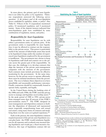In most places, the primary goal of asset liquidation is set either by policy or by regulation. Thirtyone respondents answered the following survey question: *Is the primary goal of the asset-liquidation process established by regulation, statute, or policy?* (See Table 8.) Fifteen of the 31 respondents mentioned policy, 14 mentioned regulation, and 4 mentioned statute. Some of the deposit insurers indicated that asset-liquidation goals were established by some combination of regulation, statute, and policy.

#### *Responsibility for Asset Liquidation*

Responsibility for asset liquidation can lie with either a government entity or a private party. If the government entity is responsible for asset liquidation, it may be allowed to contract out the responsibility to the private sector. This power is particularly useful if the amount of failed-bank assets that needs to be liquidated is large and/or the number of experienced asset liquidators employed by the government is insufficient. The government may choose to keep its liquidation staff small and contract out to the private sector the greater part of the responsibility. In that case, the challenge is to develop contracts that align the interests of the private asset-management companies with the interests of the government. Such contracts must include provisions for effective monitoring by the government. At the same time, however, for the private sector to operate efficiently, there must be minimal interference from the government. The way to balance these objectives is to have identifiable and measurable performance outcomes. Finally, contractors should be contractually bound to operate fairly, equitably, and legally.

In the United States during the banking crisis of the 1980s and early 1990s, the FDIC used the private sector to manage and liquidate receivership assets.<sup>33</sup> In the peak period of 1988 to 1993, private-sector firms managed more than 45 percent of the FDIC's post-resolution assets.34 The FDIC designed its asset-management and disposition contracts to facilitate the disposition of distressed and repossessed assets (especially nonperforming loans and owned real estate), using many forms of contracts and modifying them over the years as it gained experience.<sup>35</sup>

Early in the process, the asset-liquidation contracts required payment of the private asset liquidators on a cost-plus basis: the FDIC would reimburse liquidators for all expenses and overhead costs incurred during liquidation and would pay a fixed incentive fee. However, this type of liquidation contract did not

|                                                  | Is the primary goal of the asset-<br>liquidation process established<br>by regulation, statute, or policy? |                |        |              |  |  |
|--------------------------------------------------|------------------------------------------------------------------------------------------------------------|----------------|--------|--------------|--|--|
| Deposit Insurer                                  | Regulation                                                                                                 | Statute        | Policy | Other        |  |  |
| <b>Advanced Economies</b>                        |                                                                                                            |                |        |              |  |  |
| Austria (AAR)                                    |                                                                                                            |                |        |              |  |  |
| Austria (AABB)                                   | Х                                                                                                          |                |        |              |  |  |
| Belgium                                          |                                                                                                            |                |        |              |  |  |
| Canada                                           |                                                                                                            |                | Х      |              |  |  |
| France                                           |                                                                                                            |                | Х      |              |  |  |
| Germany (EdB)                                    |                                                                                                            |                | Х      |              |  |  |
| Germany (E)                                      |                                                                                                            |                | X      |              |  |  |
| Greece                                           |                                                                                                            |                | Х      |              |  |  |
| Isle of Man <sup>a</sup>                         |                                                                                                            | Х              |        |              |  |  |
| Italy (IDPF)                                     | Х                                                                                                          |                |        |              |  |  |
| Italy (DPFCB)                                    | Х                                                                                                          |                |        |              |  |  |
| Japan                                            |                                                                                                            |                |        |              |  |  |
| Netherlands                                      | Х                                                                                                          |                |        |              |  |  |
| Portugal                                         | X                                                                                                          |                |        |              |  |  |
| Spain                                            |                                                                                                            | Χ              |        |              |  |  |
| Sweden                                           |                                                                                                            |                |        |              |  |  |
| Taiwan Province of China                         |                                                                                                            |                | Х      |              |  |  |
| United Kingdom                                   |                                                                                                            |                |        |              |  |  |
| Subtotal                                         | $\overline{5}$                                                                                             | $\overline{2}$ | 6      | $\mathbf{0}$ |  |  |
| Developing Economies and Economies in Transition |                                                                                                            |                |        |              |  |  |
| Africa                                           |                                                                                                            |                |        |              |  |  |
| Nigeria                                          |                                                                                                            |                | Х      |              |  |  |
| Tanzania                                         |                                                                                                            |                |        | Х            |  |  |
| Uganda                                           |                                                                                                            |                | X      |              |  |  |
|                                                  |                                                                                                            |                |        |              |  |  |
| Europe<br>Czech Republic                         | Х                                                                                                          |                |        |              |  |  |
|                                                  | X                                                                                                          |                |        |              |  |  |
| Hungary<br>Latvia                                | X                                                                                                          | Χ              | X      |              |  |  |
| Lithuania                                        | Х                                                                                                          |                |        |              |  |  |
| Poland                                           | X                                                                                                          |                |        |              |  |  |
| Romania                                          |                                                                                                            |                |        |              |  |  |
|                                                  | X                                                                                                          |                |        |              |  |  |
| Slovak Republic<br>Turkey                        |                                                                                                            |                | X      |              |  |  |
| Middle East                                      |                                                                                                            |                |        |              |  |  |
|                                                  |                                                                                                            | X              | X      |              |  |  |
| Bahrain                                          | Х                                                                                                          |                |        |              |  |  |
| Oman                                             |                                                                                                            |                |        |              |  |  |
| Western Hemisphere                               |                                                                                                            |                |        |              |  |  |
| Brazil                                           |                                                                                                            |                | X      |              |  |  |
| El Salvador                                      | Х                                                                                                          |                |        |              |  |  |
| Jamaica                                          |                                                                                                            |                | Х      |              |  |  |
| Mexico                                           | Х                                                                                                          |                |        |              |  |  |
| Peru                                             |                                                                                                            |                | Х      |              |  |  |
| Trinidad and Tobago                              |                                                                                                            |                | Х      |              |  |  |
| Subtotal                                         | 9                                                                                                          | $\overline{c}$ | 9      | 1            |  |  |
| Total                                            | 14                                                                                                         | 4              | 15     | 1            |  |  |

**Table 8 Establishing the Goals of Asset Liquidation** 

*Note:* Classification of economies into "Advanced," "Developing," or "Economies in Transition" is from International Monetary Fund (2000). aBritish Crown Dependency.

AAR = Association of Austrian Raiffesenbanks

AABB = Association of Austrian Banks and Bankers

EdB = Entschadigungseinrichtung deutscher Banken

E = Einlagensicherungs

IDPF = Interbank Deposit Protection Fund

DPFCB = Deposit Protection Fund for Co-operative Banks

33 This discussion focuses on the evolution of asset-liquidation contracts at the FDIC. For more information on the development of asset-liquidation and management contracts at the Resolution Trust Corporation (RTC), see FDIC (1998a), chap. 13.

34 FDIC (1998a), 50.

35 For details on the evolution of asset-disposition practices, see FDIC (1998b), chap. 12.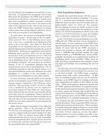give the private asset liquidators any incentive to contain costs. To maximize the net present value of cash flows from the liquidation, the FDIC had to build in incentives for the private contractors to control costs, and more complicated contract structures evolved. For example, incentive fees came to be based on the ratio of net collections to the value of the asset pool. Thus, the FDIC learned from experience to design contracts that more closely aligned contractors' incentives with its own goals of asset liquidation.

In many places the receiver is responsible for the liquidation of assets. Twenty-nine of the 34 respondents answered "Yes" to the following survey question: *Is the receiver responsible for the liquidation of the assets of the receivership?* (See Table 9.) But being responsible for the liquidation does not always mean that the deposit insurer directly liquidates the assets of failed banks. Thirty-seven respondents answered the following survey question: *What role does the deposit insurer have in the asset-liquidation process?* Only 6 of the 37 indicated that the deposit insurer has a direct role in liquidating assets, and 5 of the 6 are located in developing economies and economies in transition. Sixteen of the 37 respondents indicated that the deposit insurer has no role in asset liquidation. The 15 remaining respondents said the deposit insurer oversees asset liquidation, exerts some influence over asset liquidation as a creditor of the receivership, or is involved in asset liquidation in some other capacity.

In some economies, both the public sector and the private sector liquidate assets of failed banks. Sixteen deposit insurers responded to the following survey question: *What percentage of effort involved in selling assets is handled by the private sector (as compared to government employees)?* (See Table 10.) Nine respondents indicated that the private sector handles all the asset sales, and two respondents (Turkey and Brazil) indicated that the private sector does not handle any of the asset sales, but the remaining five said the responsibility for asset sales is shared by the government and the private sector.

Eight deposit insurers responded to the following survey question: *What is the percentage [of effort involved in] asset management [handled by the private sector (as compared with government employees)]?* (See Table 10.) Only one deposit insurer (Isle of Man) indicated that the private sector is solely responsible for asset management; three said the private sector has no involvement; and four said the private sector and the government share the responsibility.

#### *Asset-Liquidation Experience*

Typically the assets that remain with the receivership are those that are hardest to liquidate. For example, in a purchase-and-assumption transaction the distressed assets are left in the receivership while the higher-quality assets are taken by the acquirer. Because distressed assets are usually retained in the receivership, they are sold after the resolution is completed. Or, instead of attempting to sell the assets, the receiver can wait for borrowers to repay the troubled loans, or negotiate compromises with the borrowers.

In the United States during the banking crisis of the 1980s and early 1990s, the focus was on attempting to sell the assets. At first, employees at the FDIC managed and liquidated each asset individually. But as the volume of assets held by the FDIC increased, it became less practical to manage and sell individual assets (a \$100,000 loan required roughly the same amount of labor as a \$1,000,000 loan). So the FDIC gradually developed more-sophisticated methods of liquidating assets; these included selling assets in bulk, providing representations and warranties, forming equity partnerships, and securitizing the sales of assets.<sup>36</sup>

The first step, when it became apparent that selling assets individually was increasingly less practical, was to sell them in bulk: the FDIC began to package together loans with similar characteristics. At that time an established market did not exist for such loan packages, so the FDIC began by creating small packages, ranging from \$1 million to \$2.5 million in book value. These small packages generated interest and the FDIC gathered information on potential buyers. As the initial buyers gained experience, they were able to attract capital and funding that enabled them to expand their businesses. Gradually, the book value of the loan packages grew, and the FDIC was able to sell large portfolios to an expanded marketplace of buyers.

To facilitate the sale of troubled assets, the FDIC and the Resolution Trust Corporation (RTC) also provided representations and warranties. These are legally binding statements made to buyers to assure them that the assets being sold meet certain minimum quality criteria. If these criteria are not met, the seller is obligated either to cure the condition or to offer a remedy, such as a repurchase or a substitution of another

<sup>36</sup> For more details on the evolution of asset-disposition practices in the United States, see FDIC (1998a), chap. 12.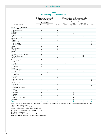| Table 9                                     |  |  |  |  |  |  |
|---------------------------------------------|--|--|--|--|--|--|
| <b>Responsibility for Asset Liquidation</b> |  |  |  |  |  |  |

|                                                  | Is the receiver responsible<br>for the liquidation of<br>the assets of the |                         |                |                | What role does the deposit insurer have<br>in the asset liquidation process? |                                      |                           |
|--------------------------------------------------|----------------------------------------------------------------------------|-------------------------|----------------|----------------|------------------------------------------------------------------------------|--------------------------------------|---------------------------|
|                                                  | receivership                                                               |                         |                | Liquidates     | Oversees<br>asset                                                            | Exerts influence<br>as a creditor of |                           |
| Deposit Insurer                                  | Yes                                                                        | No                      | None           | assets         | liquidation                                                                  | the receivership                     | Other                     |
| <b>Advanced Economies</b>                        |                                                                            |                         |                |                |                                                                              |                                      |                           |
| Austria (AAR)                                    |                                                                            |                         | X              |                |                                                                              |                                      |                           |
| Austria (AABB)                                   | $\mathbf X$                                                                |                         | $\mathbf X$    |                |                                                                              |                                      |                           |
| Belgium                                          | $\bar{X}$                                                                  |                         | $\bar{X}$      |                |                                                                              |                                      |                           |
| Canada                                           |                                                                            | $\mathbf X$             |                |                | $\mathbf X$                                                                  |                                      |                           |
| France                                           | X                                                                          |                         | X              |                |                                                                              |                                      |                           |
| Germany (EdB)                                    | $\mathbf X$                                                                |                         |                |                |                                                                              | $\mathbf X$                          |                           |
| Germany $(E)$                                    | X                                                                          |                         |                |                |                                                                              | X                                    |                           |
| Greece                                           | $\mathbf X$                                                                |                         | $\mathbf X$    |                |                                                                              |                                      |                           |
| Isle of Man <sup>a</sup>                         |                                                                            |                         |                |                |                                                                              |                                      | X                         |
| Italy (IDPF)                                     | $\mathbf X$                                                                |                         |                |                |                                                                              |                                      | $\mathbf X$               |
| Italy (DPFCB)                                    | X                                                                          |                         |                |                |                                                                              |                                      | $\boldsymbol{\mathrm{X}}$ |
| Japan                                            | $\mathbf X$                                                                |                         | $\mathbf X$    |                |                                                                              |                                      |                           |
| Netherlands                                      | X                                                                          |                         | $\mathbf X$    |                |                                                                              |                                      |                           |
| Portugal                                         | X                                                                          |                         | $\mathbf X$    |                |                                                                              |                                      |                           |
| Spain                                            | $\overline{X}$                                                             |                         |                |                |                                                                              | X                                    |                           |
| Sweden                                           |                                                                            |                         | $\mathbf X$    |                |                                                                              |                                      |                           |
| Taiwan Province of China                         | X                                                                          |                         |                | X              |                                                                              |                                      |                           |
|                                                  |                                                                            |                         |                |                |                                                                              |                                      |                           |
| <b>United Kingdom</b>                            | $\mathbf{X}$                                                               |                         | $\overline{9}$ |                |                                                                              | $\underline{X}$                      |                           |
| Subtotal                                         | $\overline{14}$                                                            | $\mathbf{1}$            |                | $\mathbf{1}$   |                                                                              | $\overline{\mathbf{4}}$              | $\mathbf{3}$              |
| Developing Economies and Economies in Transition |                                                                            |                         |                |                |                                                                              |                                      |                           |
| Africa                                           |                                                                            |                         |                |                |                                                                              |                                      |                           |
| Nigeria                                          | $\mathbf X$                                                                |                         |                | $\mathbf X$    |                                                                              |                                      |                           |
| Tanzania                                         | X                                                                          |                         |                | X              |                                                                              |                                      |                           |
| Uganda                                           | X                                                                          |                         |                | X              |                                                                              |                                      |                           |
| Europe                                           |                                                                            |                         |                |                |                                                                              |                                      |                           |
| Czech Republic                                   |                                                                            | X                       | Х              |                |                                                                              |                                      |                           |
|                                                  | $\mathbf X$                                                                |                         |                |                |                                                                              | X                                    |                           |
| Hungary                                          |                                                                            |                         |                |                |                                                                              |                                      |                           |
| Latvia                                           |                                                                            | X                       | X              |                |                                                                              |                                      |                           |
| Lithuania                                        | $\mathbf X$                                                                |                         |                | X              |                                                                              |                                      |                           |
| Poland                                           | X                                                                          |                         | X              |                |                                                                              |                                      |                           |
| Romania                                          |                                                                            | $\mathbf X$             | $\mathbf X$    |                |                                                                              |                                      |                           |
| Slovak Republic                                  | X                                                                          |                         |                |                |                                                                              |                                      | X                         |
| Turkey                                           | X                                                                          |                         |                |                |                                                                              |                                      | $\mathbf X$               |
| Middle East                                      |                                                                            |                         |                |                |                                                                              |                                      |                           |
| Bahrain                                          | X                                                                          |                         | Х              |                |                                                                              |                                      |                           |
| Oman                                             | X                                                                          |                         |                |                |                                                                              |                                      | X                         |
| Western Hemisphere                               |                                                                            |                         |                |                |                                                                              |                                      |                           |
| <b>Brazil</b>                                    | X                                                                          |                         | X              |                |                                                                              |                                      |                           |
| El Salvador                                      |                                                                            | $\mathbf X$             |                | $\mathbf X$    |                                                                              |                                      |                           |
| <b>Iamaica</b>                                   | X                                                                          |                         |                |                | X                                                                            |                                      |                           |
| Mexico                                           | $\mathbf X$                                                                |                         |                |                | $\mathbf X$                                                                  |                                      |                           |
| Peru                                             | $\overline{X}$                                                             |                         | X              |                |                                                                              |                                      |                           |
|                                                  |                                                                            |                         |                |                |                                                                              |                                      |                           |
| Trinidad and Tobago                              | $\underline{X}$                                                            |                         |                |                | $\frac{X}{3}$                                                                |                                      |                           |
| Subtotal                                         | $\overline{15}$                                                            | $\overline{\mathbf{4}}$ | $\overline{7}$ | $\overline{5}$ |                                                                              | $\mathbf{1}$                         | $\mathbf{3}$              |
| <b>Total</b>                                     | 29                                                                         | 5                       | 16             | 6              | $\overline{\mathbf{4}}$                                                      | 5                                    | 6                         |

*Note:* Classification of economies into "Advanced," "Developing," or "Economies in Transition" is from International Monetary Fund (2000). aBritish Crown Dependency.

AAR = Association of Austrian Raiffesenbanks

AABB = Association of Austrian Banks and Bankers

EdB = Entschadigungseinrichtung deutscher Banken

E = Einlagensicherungs

IDPF = Interbank Deposit Protection Fund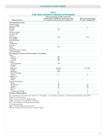| Table 10                                                 |                                                                                                                                      |                                                 |  |  |  |  |  |
|----------------------------------------------------------|--------------------------------------------------------------------------------------------------------------------------------------|-------------------------------------------------|--|--|--|--|--|
| Private-Sector Involvement in Asset Sales and Management |                                                                                                                                      |                                                 |  |  |  |  |  |
| Deposit Insurer                                          | What percentage of effort involved in<br>selling assets is handled by the private sector<br>(as compared with government employees)? | What is the percentage<br>for asset management? |  |  |  |  |  |
| <b>Advanced Economies</b>                                |                                                                                                                                      |                                                 |  |  |  |  |  |
| Austria (AAR)                                            |                                                                                                                                      |                                                 |  |  |  |  |  |
| Austria (AABB)                                           |                                                                                                                                      |                                                 |  |  |  |  |  |
| Belgium                                                  |                                                                                                                                      | $\theta$                                        |  |  |  |  |  |
| Canada                                                   | 100                                                                                                                                  |                                                 |  |  |  |  |  |
| France                                                   |                                                                                                                                      |                                                 |  |  |  |  |  |
| Germany (EdB)                                            |                                                                                                                                      |                                                 |  |  |  |  |  |
| Germany (E)                                              |                                                                                                                                      |                                                 |  |  |  |  |  |
| Greece                                                   |                                                                                                                                      |                                                 |  |  |  |  |  |
| Isle of Mana                                             | 100                                                                                                                                  | 100                                             |  |  |  |  |  |
| Italy (IDPF)                                             |                                                                                                                                      |                                                 |  |  |  |  |  |
| Italy (DPFCB)                                            |                                                                                                                                      |                                                 |  |  |  |  |  |
| Japan                                                    |                                                                                                                                      |                                                 |  |  |  |  |  |
| Netherlands                                              |                                                                                                                                      |                                                 |  |  |  |  |  |
| Portugal<br>Spain                                        | 100                                                                                                                                  |                                                 |  |  |  |  |  |
| Sweden                                                   |                                                                                                                                      |                                                 |  |  |  |  |  |
| Taiwan Province of China                                 |                                                                                                                                      |                                                 |  |  |  |  |  |
| United Kingdom                                           |                                                                                                                                      |                                                 |  |  |  |  |  |
| Developing Economies and Economies in Transition         |                                                                                                                                      |                                                 |  |  |  |  |  |
| Africa                                                   |                                                                                                                                      |                                                 |  |  |  |  |  |
| Nigeria                                                  | 100                                                                                                                                  |                                                 |  |  |  |  |  |
| Tanzania                                                 | 100                                                                                                                                  |                                                 |  |  |  |  |  |
| Uganda                                                   | 100                                                                                                                                  |                                                 |  |  |  |  |  |
| Europe                                                   |                                                                                                                                      |                                                 |  |  |  |  |  |
| Czech Republic                                           | 100                                                                                                                                  |                                                 |  |  |  |  |  |
| Hungary                                                  |                                                                                                                                      |                                                 |  |  |  |  |  |
| Latvia                                                   |                                                                                                                                      |                                                 |  |  |  |  |  |
| Lithuania                                                | $80 - 100$                                                                                                                           | $80 - 100$                                      |  |  |  |  |  |
| Poland                                                   | 100                                                                                                                                  |                                                 |  |  |  |  |  |
| Romania                                                  | 100                                                                                                                                  |                                                 |  |  |  |  |  |
| Slovak Republic                                          |                                                                                                                                      |                                                 |  |  |  |  |  |
| Turkey                                                   | $\overline{0}$                                                                                                                       | $\overline{0}$                                  |  |  |  |  |  |
| Middle East                                              |                                                                                                                                      |                                                 |  |  |  |  |  |
| Bahrain                                                  |                                                                                                                                      |                                                 |  |  |  |  |  |
| Oman                                                     |                                                                                                                                      |                                                 |  |  |  |  |  |
| Western Hemisphere                                       |                                                                                                                                      |                                                 |  |  |  |  |  |
| <b>Brazil</b>                                            | $\boldsymbol{0}$                                                                                                                     |                                                 |  |  |  |  |  |
| El Salvador                                              | 10                                                                                                                                   | 10                                              |  |  |  |  |  |
| Jamaica                                                  | 70                                                                                                                                   | 98                                              |  |  |  |  |  |
| Mexico                                                   | 30                                                                                                                                   | 30                                              |  |  |  |  |  |
| Peru                                                     |                                                                                                                                      |                                                 |  |  |  |  |  |
| Trinidad and Tobago                                      | <1                                                                                                                                   | $\Omega$                                        |  |  |  |  |  |
| Number of Respondents                                    | 16                                                                                                                                   | 8                                               |  |  |  |  |  |

*Note:* Classification of economies into "Advanced," "Developing," or "Economies in Transition" is from International Monetary Fund (2000). aBritish Crown Dependency.

AAR = Association of Austrian Raiffesenbanks

AABB = Association of Austrian Banks and Bankers

EdB = Entschadigungseinrichtung deutscher Banken

E = Einlagensicherungs

IDPF = Interbank Deposit Protection Fund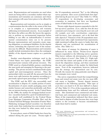asset. Representations and warranties are used when assets are being sold in a secondary market where representations and warranties are customary and where their omission will cause lower prices to be offered for the assets.37

Representations and warranties can be as simple as a representation that the seller is the owner of the loan or as complex as a representation and warranty addressing environmental concerns. As an example of the latter, the sellers can offer the buyers the opportunity to perform an environmental inspection before bidding or can offer an indemnification if environmental contamination turns out to be present. Because representations and warranties create ongoing obligations, or contingent liabilities, for the deposit insurer, estimating the expected costs of the transaction may be difficult. Representations and warranties usually include termination dates; thus, the contingent liability of the deposit insurer expires on a particular date.

Another asset-disposition technique used in the United States was equity partnerships: the FDIC structured joint ventures with private investors. The FDIC acted as a limited-liability partner, contributing the asset pools and arranging for financing to the partnership. The private investor contributed both equity capital and asset-management services. Once the partnership's debt was paid off, the proceeds from the assets were split between the partners according to a previously agreed-upon percentage of ownership.38

The FDIC and the RTC also successfully used securitization to dispose of a sizable portion of assets. Securitization of assets entails packaging assets with similar features and somewhat predictable cash flows into an interest-bearing security. In the United States in the 1980s, the market for mortgage-backed securities—securities backed by a pool of residential loans was already well established by the Federal Home Loan Mortgage Corporation (Freddie Mac) and the Federal National Mortgage Association (Fannie Mae). Marketing mortgage-backed securities was therefore much easier than marketing less-conventional securities that were backed by other assets, such as commercial loans.

In most places, assets of failed banks have been liquidated during the past ten years. Twenty-eight of

the 34 respondents answered "Yes" to the following survey question: *Have assets of failed banks been liquidated during the past ten years?* (See Table 11.) Of the 19 respondents in developing economies and economies in transition, four have not liquidated assets of failed banks in the past ten years.

Twenty-eight deposit insurers responded to the follow-up survey question: *If yes, what has been the most commonly used strategy for converting the assets into cash (for example, asset sales, securitizations, compromises with borrowers, loan repayments, sale to the bank that takes deposits)?* Nineteen of the 28 respondents mentioned asset sales; eight mentioned loan repayments; eight mentioned selling the assets to banks that take deposits; and one mentioned the securitization of assets. (See Table 11.)

The choice of strategy for disposing of assets is influenced by many factors. Twenty-seven deposit insurers responded to the following survey question: *What factors influence the determination of the strategy used to dispose of assets?* (See Table 12.) Eight indicated that the nature and quality of the assets influenced the disposition strategy, and three mentioned the size and condition of the market for failed-bank assets. Four of the respondents, however, indicated that the strategy was determined case by case. Overall, the reasons for using particular asset-disposition strategies were varied.

The survey respondents found that nonperforming loans and owned real estate were the two most difficult assets to liquidate. Twenty deposit insurers responded to the following question: *What types of assets have you found to be the most difficult to dispose of?* (See Table 13.) Five of the respondents indicated nonperforming loans and five indicated owned real estate. Also mentioned were commercial and industrial loans and commercial and industrial real estate. Many of the respondents indicated that these assets were hard to dispose of either because they were large relative to the economy or because encumbrances made them hard to market.

<sup>37</sup> For more information on representations and warranties, see Moreland-Gunn et al. (1995).

<sup>38</sup> For more detail on the use of equity partnerships in the United States, see FDIC (1998a), chap. 17.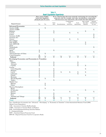|                                                  | Have assets of failed<br>banks been liquidated<br>during the past 10 years? |                |                           | If yes, what has been the most commonly used strategy for converting the<br>assets into cash (for example, asset sales, securitizations, compromises<br>with borrowers, loan repayments, sale to bank that takes deposits)? |                         |                    |                             |                         |  |  |
|--------------------------------------------------|-----------------------------------------------------------------------------|----------------|---------------------------|-----------------------------------------------------------------------------------------------------------------------------------------------------------------------------------------------------------------------------|-------------------------|--------------------|-----------------------------|-------------------------|--|--|
|                                                  |                                                                             |                |                           |                                                                                                                                                                                                                             | Compromises             |                    | Sale to bank                | Strategy                |  |  |
| Deposit Insurer                                  | Yes                                                                         | $\rm No$       | Asset<br>sales            | Securitizations                                                                                                                                                                                                             | with<br>borrowers       | Loan<br>repayments | that takes<br>deposits      | decided case<br>by case |  |  |
| <b>Advanced Economies</b>                        |                                                                             |                |                           |                                                                                                                                                                                                                             |                         |                    |                             |                         |  |  |
| Austria (AAR)                                    |                                                                             | X              |                           |                                                                                                                                                                                                                             |                         |                    |                             |                         |  |  |
| Austria (AABB)                                   | $\mathbf X$                                                                 |                |                           |                                                                                                                                                                                                                             |                         |                    |                             | $\mathbf X$             |  |  |
| Belgium                                          | $\mathbf X$                                                                 |                | X                         |                                                                                                                                                                                                                             |                         |                    | X                           |                         |  |  |
| Canada                                           | $\mathbf X$                                                                 |                | $\mathbf X$               |                                                                                                                                                                                                                             | $\mathbf X$             | $\mathbf X$        |                             |                         |  |  |
| France                                           | X                                                                           |                |                           |                                                                                                                                                                                                                             |                         |                    |                             | X                       |  |  |
| Germany (EdB)                                    | $\mathbf X$                                                                 |                |                           |                                                                                                                                                                                                                             |                         |                    |                             | $\mathbf X$             |  |  |
| Germany(E)                                       | X                                                                           |                |                           |                                                                                                                                                                                                                             |                         |                    |                             | X                       |  |  |
| Greece                                           | $\mathbf X$                                                                 |                | $\mathbf X$               |                                                                                                                                                                                                                             | $\mathbf X$             | $\mathbf X$        |                             |                         |  |  |
| Isle of Mana                                     | X                                                                           |                | $\boldsymbol{\mathrm{X}}$ |                                                                                                                                                                                                                             |                         |                    |                             |                         |  |  |
| Italy (IDPF)                                     | $\frac{X}{X}$                                                               |                |                           |                                                                                                                                                                                                                             |                         |                    | $\frac{\text{X}}{\text{X}}$ |                         |  |  |
| Italy (DPFCB)                                    |                                                                             |                |                           |                                                                                                                                                                                                                             |                         |                    |                             |                         |  |  |
| Japan                                            |                                                                             |                |                           |                                                                                                                                                                                                                             |                         |                    |                             |                         |  |  |
| Netherlands                                      |                                                                             |                |                           |                                                                                                                                                                                                                             |                         |                    |                             | X                       |  |  |
| Portugal                                         |                                                                             |                |                           |                                                                                                                                                                                                                             |                         |                    |                             |                         |  |  |
| Spain                                            | $\mathbf X$                                                                 |                | Χ                         |                                                                                                                                                                                                                             |                         |                    |                             |                         |  |  |
| Sweden                                           | X                                                                           |                |                           |                                                                                                                                                                                                                             |                         |                    |                             | $\mathbf X$             |  |  |
| Taiwan Province of China                         |                                                                             | $\mathbf X$    |                           |                                                                                                                                                                                                                             |                         |                    |                             |                         |  |  |
| United Kingdom                                   | $\underline{X}$                                                             |                |                           |                                                                                                                                                                                                                             |                         |                    |                             |                         |  |  |
| Subtotal                                         | $\overline{13}$                                                             | $\overline{c}$ | 5                         | $\mathbf{0}$                                                                                                                                                                                                                | 2                       | 2                  | 3                           | 6                       |  |  |
| Developing Economies and Economies in Transition |                                                                             |                |                           |                                                                                                                                                                                                                             |                         |                    |                             |                         |  |  |
| Africa                                           |                                                                             |                |                           |                                                                                                                                                                                                                             |                         |                    |                             |                         |  |  |
| Nigeria                                          | X                                                                           |                | X                         |                                                                                                                                                                                                                             |                         | X                  |                             |                         |  |  |
| Tanzania                                         | $\mathbf X$                                                                 |                | $\mathbf X$               |                                                                                                                                                                                                                             |                         | $\mathbf X$        |                             |                         |  |  |
| Uganda                                           | X                                                                           |                | X                         |                                                                                                                                                                                                                             |                         | X                  | X                           |                         |  |  |
| Europe                                           |                                                                             |                |                           |                                                                                                                                                                                                                             |                         |                    |                             |                         |  |  |
| Czech Republic                                   | $\bar{X}$                                                                   |                | $\mathbf X$               |                                                                                                                                                                                                                             |                         |                    | $\bar{X}$                   |                         |  |  |
| Hungary                                          | $\mathbf X$                                                                 |                | $\mathbf X$               |                                                                                                                                                                                                                             |                         |                    |                             |                         |  |  |
| Latvia                                           | $\mathbf X$                                                                 |                | $\mathbf X$               | $\mathbf X$                                                                                                                                                                                                                 | $\mathbf X$             | $\mathbf X$        | X                           |                         |  |  |
| Lithuania                                        | $\mathbf X$                                                                 |                | $\mathbf X$               |                                                                                                                                                                                                                             |                         | X                  |                             |                         |  |  |
| Poland                                           | $\mathbf X$                                                                 |                | $\mathbf X$               |                                                                                                                                                                                                                             |                         |                    | $\mathbf X$                 |                         |  |  |
| Romania                                          | $\boldsymbol{\mathrm{X}}$                                                   |                | X                         |                                                                                                                                                                                                                             |                         |                    |                             |                         |  |  |
| Slovak Republic                                  |                                                                             | $\mathbf X$    |                           |                                                                                                                                                                                                                             |                         |                    |                             |                         |  |  |
| Turkey                                           | X                                                                           |                | X                         |                                                                                                                                                                                                                             | X                       |                    |                             |                         |  |  |
| Middle East                                      |                                                                             |                |                           |                                                                                                                                                                                                                             |                         |                    |                             |                         |  |  |
| Bahrain                                          |                                                                             | $\mathbf X$    |                           |                                                                                                                                                                                                                             |                         |                    |                             |                         |  |  |
| Oman                                             |                                                                             | $\mathbf X$    |                           |                                                                                                                                                                                                                             |                         |                    |                             |                         |  |  |
|                                                  |                                                                             |                |                           |                                                                                                                                                                                                                             |                         |                    |                             |                         |  |  |
| Western Hemisphere<br><b>Brazil</b>              |                                                                             | $\mathbf X$    |                           |                                                                                                                                                                                                                             |                         |                    |                             |                         |  |  |
| El Salvador                                      | X                                                                           |                | Χ                         |                                                                                                                                                                                                                             |                         |                    | Х                           |                         |  |  |
| <i>Iamaica</i>                                   | $\mathbf X$                                                                 |                |                           |                                                                                                                                                                                                                             | $\mathbf X$             |                    |                             | $\mathbf X$             |  |  |
| Mexico                                           | $\mathbf X$                                                                 |                | X                         |                                                                                                                                                                                                                             |                         |                    |                             |                         |  |  |
| Peru                                             | $\mathbf X$                                                                 |                | $\mathbf X$               |                                                                                                                                                                                                                             |                         | X                  |                             |                         |  |  |
| Trinidad and Tobago                              | $\mathbf X$                                                                 |                | $\mathbf X$               |                                                                                                                                                                                                                             |                         |                    |                             |                         |  |  |
| Subtotal                                         | 15                                                                          | $\overline{4}$ | 14                        | $\overline{1}$                                                                                                                                                                                                              | $\overline{\mathbf{3}}$ | $\overline{6}$     | $\overline{5}$              | $\mathbf{1}$            |  |  |
| <b>Total</b>                                     | 28                                                                          | 6              | 19                        | 1                                                                                                                                                                                                                           | 5                       | 8                  | 8                           | $\overline{7}$          |  |  |

**Table 11 Asset-Liquidation Experience** 

*Note:* Classification of economies into "Advanced," "Developing," or "Economies in Transition" is from International Monetary Fund (2000). aBritish Crown Dependency.

AAR = Association of Austrian Raiffesenbanks

AABB = Association of Austrian Banks and Bankers

EdB = Entschadigungseinrichtung deutscher Banken

E = Einlagensicherungs

IDPF = Interbank Deposit Protection Fund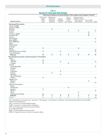#### **FDIC Banking Review**

|                                               | Table 12 |  |
|-----------------------------------------------|----------|--|
| <b>Reasons for Using Asset-Sales Strategy</b> |          |  |

|                                                  |                                           | What factors influence the determination of the strategy used to dispose of assets? |                                      |                                                |                                                                            |                                |                |
|--------------------------------------------------|-------------------------------------------|-------------------------------------------------------------------------------------|--------------------------------------|------------------------------------------------|----------------------------------------------------------------------------|--------------------------------|----------------|
| Deposit Insurer                                  | Nature and<br>quality<br>of the<br>assets | Minimizing<br>the time to<br>reimburse<br>depositors                                | Statute,<br>regulation,<br>or policy | Size or<br>condition<br>of the<br>asset market | Macroeconomic<br>conditions, interest<br>rates, state of<br>credit markets | Factors differ<br>case by case | Other          |
| <b>Advanced Economies</b>                        |                                           |                                                                                     |                                      |                                                |                                                                            |                                |                |
| Austria (AAR)                                    |                                           |                                                                                     |                                      |                                                |                                                                            |                                |                |
| Austria (AABB)                                   |                                           |                                                                                     |                                      |                                                |                                                                            |                                |                |
| Belgium                                          |                                           | $\mathbf X$                                                                         |                                      |                                                |                                                                            |                                |                |
| Canada                                           |                                           |                                                                                     |                                      | $\mathbf X$                                    | $\mathbf X$                                                                |                                | $\mathbf X$    |
| France                                           |                                           |                                                                                     |                                      |                                                |                                                                            | X                              |                |
| Germany (EdB)                                    |                                           |                                                                                     |                                      |                                                |                                                                            | $\mathbf X$                    |                |
| Germany (E)                                      |                                           |                                                                                     |                                      |                                                |                                                                            | X                              |                |
| Greece                                           |                                           |                                                                                     |                                      |                                                |                                                                            |                                |                |
| Isle of Man <sup>a</sup>                         |                                           |                                                                                     |                                      |                                                |                                                                            |                                | X              |
| Italy (IDPF)<br>Italy (DPFCB)                    |                                           |                                                                                     |                                      |                                                |                                                                            |                                | X              |
| Japan                                            |                                           |                                                                                     |                                      |                                                |                                                                            |                                |                |
| Netherlands                                      |                                           |                                                                                     |                                      |                                                |                                                                            |                                |                |
| Portugal                                         |                                           |                                                                                     |                                      |                                                |                                                                            |                                |                |
| Spain                                            | X                                         |                                                                                     |                                      |                                                | X                                                                          |                                |                |
| Sweden                                           |                                           |                                                                                     |                                      |                                                |                                                                            |                                | $\mathbf X$    |
| Taiwan Province of China                         | X                                         |                                                                                     | X                                    |                                                |                                                                            |                                | $\mathbf X$    |
| United Kingdom                                   |                                           |                                                                                     |                                      |                                                |                                                                            |                                |                |
| Subtotal                                         | $\overline{2}$                            | $\overline{1}$                                                                      | $\overline{1}$                       | $\mathbf{1}$                                   | $\overline{2}$                                                             | $\overline{3}$                 | $\overline{5}$ |
| Developing Economies and Economies in Transition |                                           |                                                                                     |                                      |                                                |                                                                            |                                |                |
| Africa                                           |                                           |                                                                                     |                                      |                                                |                                                                            |                                |                |
| Nigeria                                          | $\mathbf X$                               |                                                                                     |                                      |                                                |                                                                            |                                |                |
| Tanzania                                         | $\mathbf X$                               |                                                                                     | $\mathbf X$                          |                                                |                                                                            |                                | $\mathbf X$    |
| Uganda                                           | $\boldsymbol{\mathrm{X}}$                 |                                                                                     |                                      | X                                              |                                                                            |                                |                |
| Europe                                           |                                           |                                                                                     |                                      |                                                |                                                                            |                                |                |
| Czech Republic                                   |                                           |                                                                                     |                                      |                                                |                                                                            |                                | X              |
| Hungary                                          |                                           |                                                                                     |                                      |                                                |                                                                            |                                |                |
| Latvia                                           |                                           |                                                                                     |                                      |                                                |                                                                            |                                |                |
| Lithuania                                        |                                           |                                                                                     | X                                    |                                                |                                                                            |                                |                |
| Poland                                           |                                           | $\mathbf X$                                                                         |                                      |                                                |                                                                            |                                |                |
| Romania                                          |                                           |                                                                                     | X                                    |                                                |                                                                            |                                |                |
| Slovak Republic                                  |                                           |                                                                                     |                                      |                                                |                                                                            |                                |                |
| Turkey                                           | X                                         |                                                                                     |                                      |                                                |                                                                            |                                | X              |
| Middle East                                      |                                           |                                                                                     |                                      |                                                |                                                                            |                                |                |
| Bahrain                                          |                                           |                                                                                     |                                      |                                                |                                                                            | $\mathbf X$                    |                |
| Oman                                             |                                           |                                                                                     |                                      |                                                |                                                                            |                                | X              |
| Western Hemisphere<br><b>Brazil</b>              |                                           |                                                                                     |                                      |                                                |                                                                            |                                |                |
| El Salvador                                      |                                           |                                                                                     |                                      | X                                              |                                                                            |                                |                |
| Jamaica                                          | $\mathbf X$                               |                                                                                     |                                      |                                                |                                                                            |                                |                |
| Mexico                                           |                                           |                                                                                     |                                      |                                                |                                                                            |                                | X              |
| Peru                                             |                                           |                                                                                     |                                      |                                                | $\mathbf X$                                                                |                                |                |
| Trinidad and Tobago                              | $\underline{X}$                           |                                                                                     |                                      |                                                |                                                                            |                                |                |
| Subtotal                                         | $\overline{6}$                            | $\overline{1}$                                                                      | $\overline{3}$                       | $\overline{2}$                                 | $\overline{1}$                                                             | $\overline{1}$                 | $\overline{5}$ |
| <b>Total</b>                                     | 8                                         | $\overline{2}$                                                                      | $\overline{\mathbf{4}}$              | $\overline{\mathbf{3}}$                        | 3                                                                          | $\overline{4}$                 | <b>10</b>      |

*Note:* Classification of economies into "Advanced," "Developing," or "Economies in Transition" is from International Monetary Fund (2000). aBritish Crown Dependency.

AAR = Association of Austrian Raiffesenbanks

AABB = Association of Austrian Banks and Bankers

EdB = Entschadigungseinrichtung deutscher Banken

E = Einlagensicherungs

IDPF = Interbank Deposit Protection Fund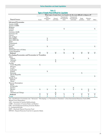#### **Failure Resolution and Asset Liquidation**

**Table 13 Types of Assets Most Difficult to Liquidate** 

|                                                  |                |                               |                         | What types of assets have you found to be the most difficult to dispose of? |                                             |                  |                    |                         |
|--------------------------------------------------|----------------|-------------------------------|-------------------------|-----------------------------------------------------------------------------|---------------------------------------------|------------------|--------------------|-------------------------|
| Deposit Insurer                                  | Loans          | Non-<br>performing<br>loans   | Owned<br>real estate    | Commercial<br>and industrial<br>loans                                       | Commercial<br>and industrial<br>real estate | Bank<br>premises | Obsolete<br>assets | Other                   |
| <b>Advanced Economies</b>                        |                |                               |                         |                                                                             |                                             |                  |                    |                         |
| Austria (AAR)                                    |                |                               |                         |                                                                             |                                             |                  |                    |                         |
| Austria (AABB)                                   |                |                               |                         |                                                                             |                                             |                  |                    |                         |
| Belgium                                          |                |                               |                         |                                                                             |                                             |                  |                    |                         |
| Canada                                           |                |                               |                         | $\mathbf X$                                                                 |                                             |                  |                    | $\mathbf X$             |
| France                                           |                |                               |                         |                                                                             |                                             |                  |                    |                         |
| Germany (EdB)                                    |                |                               |                         |                                                                             |                                             |                  |                    |                         |
| Germany (E)                                      |                |                               |                         |                                                                             |                                             |                  |                    |                         |
|                                                  |                |                               |                         |                                                                             |                                             |                  |                    |                         |
| Greece                                           |                |                               |                         |                                                                             |                                             |                  |                    |                         |
| Isle of Man <sup>a</sup>                         |                |                               |                         |                                                                             |                                             |                  |                    |                         |
| Italy (IDPF)                                     |                | $\mathbf X$<br>$\overline{X}$ |                         |                                                                             |                                             |                  |                    |                         |
| Italy (DPFCB)                                    |                |                               |                         |                                                                             |                                             |                  |                    |                         |
| Japan                                            |                |                               |                         |                                                                             |                                             |                  |                    |                         |
| Netherlands                                      |                |                               |                         |                                                                             |                                             |                  |                    |                         |
| Portugal                                         |                |                               |                         |                                                                             |                                             |                  |                    |                         |
| Spain                                            |                | X                             |                         |                                                                             |                                             |                  |                    | X                       |
| Sweden                                           |                |                               |                         |                                                                             |                                             |                  |                    |                         |
| Taiwan Province of China                         |                |                               |                         | X                                                                           |                                             |                  |                    |                         |
| United Kingdom                                   |                |                               |                         |                                                                             |                                             |                  |                    |                         |
| Subtotal                                         | $\overline{0}$ | $\overline{3}$                | $\overline{0}$          | $\overline{2}$                                                              | $\Omega$                                    | $\overline{0}$   | $\overline{0}$     | $\overline{2}$          |
| Developing Economies and Economies in Transition |                |                               |                         |                                                                             |                                             |                  |                    |                         |
| Africa                                           |                |                               |                         |                                                                             |                                             |                  |                    |                         |
| Nigeria                                          |                |                               |                         |                                                                             | $\mathbf X$                                 |                  | $\mathbf X$        |                         |
| Tanzania                                         |                |                               | X                       |                                                                             |                                             |                  |                    |                         |
| Uganda                                           |                |                               | $\mathbf X$             |                                                                             |                                             |                  |                    |                         |
| Europe                                           |                |                               |                         |                                                                             |                                             |                  |                    |                         |
| Czech Republic                                   | X              |                               |                         |                                                                             |                                             |                  |                    |                         |
|                                                  |                |                               |                         |                                                                             |                                             |                  |                    |                         |
| Hungary                                          |                |                               |                         |                                                                             |                                             |                  |                    |                         |
| Latvia                                           |                |                               |                         |                                                                             |                                             |                  |                    |                         |
| Lithuania                                        |                |                               |                         |                                                                             |                                             |                  |                    |                         |
| Poland                                           |                | $\mathbf X$                   |                         |                                                                             |                                             |                  |                    |                         |
| Romania                                          |                |                               |                         |                                                                             |                                             | X                |                    |                         |
| Slovak Republic                                  |                |                               |                         |                                                                             |                                             |                  |                    |                         |
| Turkey                                           |                |                               |                         |                                                                             |                                             |                  |                    | X                       |
| Middle East                                      |                |                               |                         |                                                                             |                                             |                  |                    |                         |
| Bahrain                                          |                |                               |                         |                                                                             |                                             |                  |                    |                         |
| Oman                                             |                |                               |                         |                                                                             |                                             |                  |                    |                         |
| Western Hemisphere                               |                |                               |                         |                                                                             |                                             |                  |                    |                         |
| <b>Brazil</b>                                    |                |                               |                         |                                                                             |                                             |                  |                    |                         |
| El Salvador                                      |                |                               | X                       |                                                                             |                                             |                  |                    |                         |
| Jamaica                                          |                |                               |                         |                                                                             |                                             |                  |                    |                         |
| Mexico                                           | X              | X                             | X                       | X                                                                           | $\frac{\text{X}}{\text{X}}$                 | X                | X                  | X                       |
| Peru                                             |                |                               |                         |                                                                             |                                             |                  | $\mathbf X$        |                         |
| Trinidad and Tobago                              |                |                               | $\underline{X}$         |                                                                             |                                             |                  |                    |                         |
| Subtotal                                         | $\overline{2}$ | $\overline{2}$                | $\overline{\mathbf{5}}$ | $\mathbf{1}$                                                                | $\overline{3}$                              | $\overline{c}$   | $\mathbf{3}$       | $\sqrt{2}$              |
|                                                  |                |                               |                         |                                                                             |                                             |                  |                    |                         |
| <b>Total</b>                                     | $\overline{2}$ | 5                             | 5                       | $\overline{3}$                                                              | $\overline{3}$                              | $\overline{2}$   | $\overline{3}$     | $\overline{\mathbf{4}}$ |

*Note:* Classification of economies into "Advanced," "Developing," or "Economies in Transition" is from International Monetary Fund (2000).

aBritish Crown Dependency.

AAR = Association of Austrian Raiffesenbanks

AABB = Association of Austrian Banks and Bankers

EdB = Entschadigungseinrichtung deutscher Banken

E = Einlagensicherungs

IDPF = Interbank Deposit Protection Fund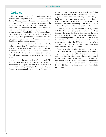### *Conclusions*

The results of the survey of deposit insurers clearly indicate that, compared with other deposit insurers, the FDIC has a unique role in resolving bank failures and disposing of failed-bank assets. In contrast to the FDIC's role as a receiver, in other places the court establishes a receivership and court-appointed receivers run the receivership. The FDIC's authority to act as receiver of a failed bank, and the special powers it possesses as receiver, allow it to reimburse insured depositors quickly and to expedite the assetliquidation process. However, these additional powers should not, and do not, go unchecked.

One check is a least-cost requirement. The FDIC is allowed to deviate from the least-cost requirement only if a systemic-risk determination has been made. In places outside the United States, some flexibility is built into the least-cost test: many deposit insurers are allowed some exceptions to their least-cost requirement.

In arriving at the least costly resolution, the FDIC has authority to choose among various types of resolution structures. Deposit insurers in other places also have some flexibility in the type of resolution they can choose. Most commonly, insurers have the authority

to use open-bank assistance or a deposit payoff, but many can also use a P&A transaction. Not many deposit insurers have the authority to use a bridgebank structure. Consistent with the general finding that deposit insurers act as paying agents and not as receivers, the most commonly used resolution type outside the United States is a deposit payoff.

Even so, some deposit insurers have liquidated failed-bank assets in the past ten years, and for these insurers, the assets hardest to liquidate are the same types that are hardest to liquidate in the United States. Perhaps the experience of the FDIC and the RTC in liquidating failed-bank assets, and the techniques they created during the U.S. banking crisis of the 1980s and early 1990s, will help other locations to market distressed assets in the future.

More generally, despite the uniqueness of the FDIC's role in resolving failed banks, the FDIC's experience may be helpful to other countries that are designing financial safety nets. Of course, it is crucial to take into account each country's political, cultural, and market infrastructure. Nevertheless, some of the resolution and asset-liquidation techniques developed by the FDIC can very likely be applied effectively in other countries.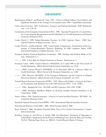### *BIBLIOGRAPHY*

- Bartholomew, Philip F., and Benton E. Gup. 1997. A Survey of Bank Failures, Near Failures, and Significant Incidents in the Foreign G-10 Countries since 1980. Unpublished manuscript.
- Cobos, Dean Forrester. 1989. Forbearance: Practices and Proposed Standards. *FDIC Banking Review* 2, no. 1:20–28.
- Commission of the European Communities (CEC). 1988. Amended Proposal for a Council Directive Concerning the Reorganisation and the Winding Up of Credit Institutions and Deposit Guarantee Schemes (CEC).
- Cooke, David C. 1998. Failure-Resolution Practices. In *FDIC Conference Papers: FDIC International Conference on Deposit Insurance*. Vol. 2.
- Cooke, David C., and Ryoji Kitami. 1998. Cross-Country Comparisons—Examination of the Continuum of Failure-Resolution Practices Workshop. In *FDIC Conference Papers: FDIC International Conference on Deposit Insurance*. Vol. 1.
- European Shadow Financial Regulatory Committee. 1998. Dealing with Problem Banks in Europe. Statement no. 1.
	- ———. 1999. A New Role for Deposit Insurance in Europe*.* Statement no. 5.
- European Union. 1989a. Council Directive 89/647/EEC of 17 April 1989 on the Own Funds of Credit Institutions. *Official Journal of the European Communities*, no. L124.
- ———. 1989b. Council Directive 89/299/EEC of 18 December 1989 on a Solvency Ratio for Credit Institutions. *Official Journal of the European Communities*, no. L386.
- ———. 1994. Directive 94/19/EEC of the European Parliament and the Council on Deposit Protection Schemes. *Official Journal of the European Communities*, no. L135.
- Federal Deposit Insurance Corporation (FDIC). 1997. *History of the Eighties—Lessons for the Future: An Examination of the Banking Crises of the 1980s and Early 1990s*. 2 vols. FDIC.
- ———. 1998a. *Managing the Crisis: The FDIC and RTC Experience 1980–1994*. FDIC.
- ———. 1998b. *Resolutions Handbook: Methods for Resolving Troubled Financial Institutions in the United States*. FDIC.
- Garcia, Gillian. 1999. Deposit Insurance: A Survey of Actual and Best Practices. WP 99/54. International Monetary Fund.
- Interbank Deposit Protection Fund (IDPF). 1999. International Deposit Insurance Systems.

International Monetary Fund (IMF). 2000. *World Economic Outlook*. IMF.

- Kane, Edward J. 2000. Designing Financial Safety Nets to Fit Country Circumstances. Unpublished manuscript.
- Kaufman, George G., and Steven A. Seelig. 2000. Post-Resolution Treatment of Depositors at Failed Banks: Implications for the Severity of Banking Crises, Systemic Risk, and Too-Big-To-Fail. Working Paper Series*,* no. 2000-16. Federal Reserve Bank of Chicago.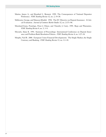- Marino, James A., and Rosalind L. Bennett. 1999. The Consequences of National Depositor Preference. *FDIC Banking Review* 12, no. 2, 19–38.
- McKenzie, George, and Manzoor Khalidi. 1994. The EU Directive on Deposit Insurance: A Critical Evaluation. *Journal of Common Market Studies* 32, no. 2:171–90.
- Moreland-Gunn, Penelope, Peter J. Elmer, and Timothy J. Curry. 1995. Reps and Warranties. *FDIC Banking Review* 8, no. 3, 1–9.
- Moysich, Alane K. 1991. Summary of Proceedings: International Conference on Deposit Insurance and Problem-Bank Resolution Policies. *FDIC Banking Review* 4, no. 1:27–34.
- Murphy, Neil B. 2000. European Union Financial Developments: The Single Market, the Single Currency, and Banking. *FDIC Banking Review* 13, no. 1:1–18.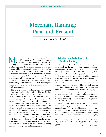# **Merchant Banking: Past and Present**

by Valentine V. Craig\*

erchant banking has been a very lucrative and risky—endeavor for the small number of bank holding companies and banks that have engaged in it under existing law. Recent legislation has expanded the merchant-banking activity that is permissible to commercial banks and is therefore likely to spur interest in this lucrative specialty on the part of a greater number of such institutions. Although for much of the past half-century commercial banks have been permitted (subject to certain restrictions) to engage in merchant-banking activities, the term *merchant banking* itself is undefined in U.S. banking and securities laws and its exact meaning is not always clearly understood.

This article begins by defining merchant banking and provides a short history of it. The article then looks at the private equity market in the United States, examining that market in terms of its evolution, typical uses of funds, and forms taken by the investments. (In examining the private equity market, one needs to be aware that the private equity market is, in fact, private. Data are limited and could be subject to error.) Discussed next is commercial bank involvement in merchant banking: the structure of commercial bank involvement, the evolution of that involvement, and the recent track record. The major provisions of the Gramm-Leach-Bliley Act of 1999, legislation which authorizes financial holding companies to engage in merchant banking, is looked at next. The final section focuses on the relationship among merchant banking, risk, and the regulators.

# *Definition and Early History of Merchant Banking*

Although not defined in U.S. federal banking and securities laws, the term merchant banking is generally understood to mean *negotiated private equity investment by financial institutions in the unregistered securities of either privately or publicly held companies*. Both investment banks and commercial banks engage in merchant banking, and the type of security in which they most commonly invest is common stock. They also invest in securities with an equity participation feature; these may be convertible preferred stock or subordinated debt with conversion privileges or warrants. Other investment bank services—raising capital from outside sources, advising on mergers and acquisitions, and providing bridge loans while bond financing is being raised in a leveraged buyout (LBO)—are also typically offered by financial institutions engaged in merchant banking.

Merchant banks first arose in the Italian states in the Middle Ages,<sup>1</sup> when Italian merchant housesgenerally small, family-owned import-export and commodity trading businesses—began to use their excess capital to finance foreign trade in return for a share of the profits. This trade generally consisted of lengthy

<sup>\*</sup> Valentine V. Craig is a Chartered Financial Analyst in the FDIC's Division of Research and Statistics. The author gratefully acknowledges the comments of the FDIC's Legal Division in preparing this article.

<sup>1</sup> Much of the history of merchant banking is derived from Banks (1999).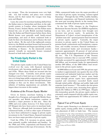sea voyages. Thus, the investments were very high risk: war, bad weather, and piracy were constant threats, and by their nature the voyages were longterm and illiquid.

Later, the center for merchant banking shifted from the Italian states to Amsterdam and then, in the eighteenth century, to London, where immigrants from Prussia, France, Ireland, Russia, and the Italian states formed the core of early British merchant banking. Like the Italian and Dutch houses before them, these British houses were generally small, family-owned partnerships, and most of them continued both to trade for their own businesses and to finance the trading by others. By the end of the eighteenth century, however, the British merchant houses had increased in size and sophistication and began specializing in trade, marketing, or finance. As the nineteenth century opened, virtually no mercantile houses remained focused on both trade and finance.

# *The Private Equity Market in the United States*

The private equity market in the United States has evolved over the years, with financial institution involvement only becoming significant in the 1960s and 1970s. Where these funds are invested also has changed over time. Currently, most private equity funding is used to fund start-up or early-stage companies or to bring large public companies private. Private equity investments can be made through limited partnerships or they can be direct investments. Subsidiaries of banking organizations are probably the largest direct investors in this market.

#### *Evolution of the Private Equity Market*

Given its history, merchant banking is often thought of as a European, and especially British, financial specialty, and British institutions continue to maintain a major presence in this area. Since the 1800s and even earlier, however, U.S. firms (such as J.P. Morgan) also have been active in merchant banking. However, although both investment banks and commercial banks, as well as other types of businesses, have been authorized to engage in private equity investment in the United States, financial institutions have not been major providers of private equity.

Until the 1950s, U.S. investors in private equity were primarily wealthy individuals and families. In the 1960s and 1970s, corporations and financial institutions joined them in this type of investment. (In the

1960s, commercial banks were the major providers of one kind of private equity investing, venture-capital financing.) Through the late 1970s, wealthy families, industrial corporations, and financial institutions, for the most part investing directly in the issuing firms, constituted the bulk of private equity investors.

In the late 1970s, changes in the Employee Retirement Income Security Act (ERISA) regulations, in tax laws, and in securities laws brought new investors into private equity. In particular, the Department of Labor's revised interpretation of the "prudent man rule" spurred pension fund investment in private equity capital.2 Currently, the major investors in private equity in the United States are pension funds, endowments and foundations, corporations, and wealthy investors; financial institutions both commercial banks and investment banks represent approximately 20 percent of total private equity capital, divided approximately equally between the two. The U.S. Department of the Treasury (Treasury) estimates that at year-end 1999, commercial banks accounted for approximately \$35 billion to \$40 billion, and investment banks for approximately another \$40 billion, of the \$400 billion total investment in the private equity market.

At \$400 billion as of year-end 1999, the private equity market is approximately one-quarter the size of the commercial and industrial bank-loan market and the commercial-paper market. 3 In recent years, funds raised through private equity have approximately equaled and sometimes exceeded funds raised through initial public offerings and public high-yield corporate bond issuance.4 The market also has grown dramatically in recent years, increasing from approximately \$4.7 billion in 1980 to its 1999 figure. Despite this tremendous growth, the private equity market is extremely small compared with the public equity market, which was approximately \$17 trillion at year-end 1999.

#### *Typical Uses of Private Equity*

Private equity financing is an alternative to raising public equity, issuing public debt, or arranging a private placement of debt or bank loan. The reasons

4 Ibid.

<sup>2</sup> The "prudent man rule" refers to the fiduciary responsibility of investment managers. In the earlier interpretation, each investment in a portfolio was expected to meet safety standards in and of itself. Under the revised interpretation, the Department of Labor accepted the concept of portfolio diversification of risk, thereby permitting portfolio managers to invest a small portion of the portfolio in riskier investments as long as the portfolio in the aggregate met fiduciary standards of risk.

<sup>3</sup> Fenn, Liang, and Prowse (2000).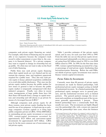| Year | <b>Total Private</b><br>Equity | Venture<br>Capital | Buyout/Mezzanine<br>Financinga | Other  |
|------|--------------------------------|--------------------|--------------------------------|--------|
| 1999 | \$108.1                        | \$46.6             | \$44.6                         | \$16.9 |
| 1998 | 105.4                          | 28.0               | 61.2                           | 16.3   |
| 1997 | 73.8                           | 15.7               | 48.7                           | 9.4    |
| 1996 | 45.2                           | 10.6               | 29.8                           | 4.9    |
| 1995 | 41.1                           | 8.2                | 27.3                           | 5.6    |
| 1994 | 30.9                           | 7.2                | 20.5                           | 3.2    |
| 1993 | 22.0                           | 3.9                | 16.9                           | 1.2    |

# **Table 1 U.S. Private Equity Funds Raised by Year**

*Source: Venture Economic News*.

aMezzanine financing generally consists of subordinated debt with equity conversion privilege or warrants issued in tandem with the equity issue in a buyout.

companies seek private equity financing are varied. For example, other forms of financing may be unavailable or too expensive because the company's track record is either nonexistent or poor (that is, the company is in financial distress). Or a private company may want to expand or change its ownership but not go public. Or a firm may not want to take on the fixed cost of debt financing.

Public firms may seek private equity financing when their capital needs are very limited and do not warrant the expense, time, and regulatory paperwork required for a public issue. They also may seek private equity to keep a planned acquisition confidential or to avoid other public disclosures. They may use the private equity market because the public market for new issues in general is bad or because the public equity market is temporarily unimpressed with their industry's prospects. Finally, very often in recent years, managements of large public firms have felt their firms will benefit from a change in capital structure and ownership and will choose to go private by means of a leveraged buyout (LBO).5

Although companies seek private equity for all these reasons, most private equity funding has been used for one of two purposes: to fund start-up or earlystage companies (venture capital) or to bring large public companies private in LBOs. Of the \$400 billion in outstanding private equity investment at year-end 1999, venture-capital investments accounted for approximately \$125 billion and nonventure-capital investments for approximately \$275 billion. LBOs were by far the most common use of nonventure-capital private equity.

Table 1 provides estimates of the private equity raised, and its uses, for each year from 1993 to 1999. From the table one can see that private equity investment increased substantially over this seven-year period, going from \$22 billion raised in 1993 to over \$108 billion raised in 1999. In 1999, for the first time since 1985, venture-capital fundraising accounted for a larger percentage of total private equity fundraising than buyout/mezzanine financing. Before the mid-1980s, two-thirds of private equity investments were used to finance venture-capital investments.

#### *Forms Taken by Investments*

Currently, more than 80 percent of private equity investments are made by limited partnerships, with professional private equity managers acting on behalf of institutional investors. In a limited partnership, the professional equity managers serve as general partners, and the institutional investors serve as limited partners. The general partners manage the investment and contribute an insignificant part of the investment, generally approximately 1 percent. These limited partnerships have a contractually fixed life, usually ten years. The investments are highly illiquid over the partnership's life, with a return not expected until the partnership's later years, when the business

<sup>5</sup> A leveraged buyout is the purchase of a company's stock or assets by a very leveraged acquirer, one whose debt financing is based solely on the value of the acquired firm. The LBO began as a means for the owners of small, privately held companies to cash out and shift ownership to family or management when these buyers did not have much equity capital (the major LBO transactions of the 1970s). Today's LBOs more typically involve bringing large public companies private, with a small group of investors acquiring most of a firm's common stock and issuing a combination of private equity and a large amount of debt, much of it junk bonds.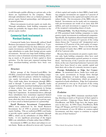is sold through a public offering or a private sale, or the shares are repurchased by the company. Banks (through subsidiaries) often act as limited partners in private equity limited partnerships, and infrequently as general partners.

Direct investments in private equity are made also. Through subsidiaries, bank holding companies and banks are probably the largest direct investors in the private equity market.

# *Commercial Bank Involvement in Merchant Banking*

Commercial banks have historically utilized Small Business Investment Corporations (SBICs) or "5 percent subs" (defined below) for their domestic private equity investments, and Edge Act Corporations or foreign subsidiaries to make their foreign private equity investments. Several very large bank holding companies have come to dominate merchant banking, directing as much as 10 percent of their capital to these activities. For the most part, reported earnings from these merchant-banking activities have been very good.

#### *Structure*

Before passage of the Gramm-Leach-Bliley Act (GLBA), commercial banks and bank holding companies (BHCs) had two primary vehicles for making private equity investments in domestic corporations. They could make these investments through SBICs and/ or through "5 percent subs." Typically, banks engaged in domestic merchant banking have used both of these vehicles; for equity investments in foreign companies, they have used foreign subsidiaries or Edge Act Corporations. As mentioned above, although these subsidiaries have sometimes organized limited partnerships in which they acted as general partners, more often they have invested directly in private equity or have acted as limited partners in a partnership.

Small Business Investment Corporations. SBICs were authorized by the Small Business Investment Act of 1958 to promote small-business equity funding. This act authorized BHCs and banks to provide equity capital to small companies through SBICs, which can be subsidiaries of either BHCs or banks. A very significant percentage of the largest SBICs are subsidiaries of banks rather than of BHCs.

Investments in SBICs are direct and subject to certain limits. Banks are allowed to invest only 5 percent of their capital and surplus in their SBICs; bank holding company investments are capped at 5 percent of the BHC's interest in the capital and surplus of its subsidiary banks. The investments of the SBICs also are limited. Investments can be made only in companies with pre-investment net worth of no more than \$18 million, and each investment is capped at 50 percent of the recipient's outstanding shares of stock.

5 Percent Subs. The Bank Holding Company Act of 1956 permitted bank holding companies to make passive equity investments in nonfinancial companies. Specifically, the legislation allowed bank holding companies to own a maximum of 5 percent of the voting shares (hence the "5 percent sub" designation) and a maximum of 25 percent of the total equity of companies engaged in any activity. There is no limit on the total amount of equity that a BHC can invest through all of its 5 percent subs.

Because these investments are passive equity interests only, bank holding companies often have used unregulated independent general partners to oversee them. And because of the 5 percent sub investment limits, in the case of growing businesses 5 percent subs often have been forced to raise outside capital and limit their role to that of a minority investor or agent.

Foreign Subsidiaries or Edge Act Corporations. As mentioned above, banks have made private equity investments in foreign firms through foreign subsidiaries of bank holding companies or through Edge Act Corporations, which are generally organized as bank subsidiaries. Edge Act Corporations are permitted to own up to 20 percent of the voting shares or 40 percent of the total equity of a foreign company.

#### *Evolution*

A few very large BHCs dominate merchant banking, directing as much as 10 percent of their capital to these activities. Citigroup, Chase, Bank of America, FleetBoston, and Wells Fargo have the largest presence in this area. In 1999, Chase, FleetBoston, Wells Fargo, J.P. Morgan, and First Union reported an aggregate investment of over \$5 billion in venture-capital investments, and they expect to continue to expand this area of their business.6

6 What's Really Driving Banks' Profits (2000).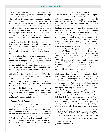Many banks entered merchant banking in the 1960s to take advantage of the economies of scope produced when private equity investing is added to other bank services, particularly commercial lending. As lenders to small and medium-sized companies, banks become knowledgeable about individual firms' products and prospects and consequently are natural providers of direct private equity investment to these firms. As mentioned above, commercial banks were the largest providers of venture capital in the 1960s.

In the middle to late 1980s, the decision to enter merchant banking was thrust on other banks and bank holding companies by unforeseen events. In those years, as a result of the LDC (less-developed-country) debt crisis, many banks received private equity from developing nations in return for their defaulted loans. At that time, many of these banks set up merchantbanking subsidiaries to try to get some value from this private equity.

Also at about that time, most commercial banks began refocusing their private equity investments to middle-market and public companies (often low-tech, already profitable companies) and, rather than providing seed capital, financed expansion or changes in capital structure and ownership. Most particularly, they took equity positions in LBOs, takeovers, or recapitalizations or provided subordinated debt in the form of bridge loans to facilitate the transaction. Often they did both. Commercial banks financed much of the LBO activity of the 1980s.

Then, in the mid-1990s, major commercial banks began once again focusing on venture capital, where they had substantial expertise from their previous exposure to this kind of investment. Some of these recent venture-capital investments have been spectacularly successful. For example, the Internet search engine Lycos was a 1998 investment of Chase Manhattan's venture-capital arm.

#### *Recent Track Record*

Commercial banks are permitted to report either realized or unrealized gains on their merchant-banking portfolios, as long as they are consistent in the reporting.7 This option makes it difficult for one to compare different entities' financial results and could lead to an overly liberal reporting of profits. However, the Federal Reserve Board (FRB) generally considers bank holding companies that are engaged in merchant banking to have reported their earnings conservatively on these equity investments.

These reported earnings have been good. The FRB estimates that revenue from private equity investment for the small number of BHCs with a significant presence in this field8 was approximately 12 percent to 13 percent of total BHC net income in the three-year period from 1995 through 1997. The FRB further estimates that rates of return on merchantbanking activities have averaged approximately 30 percent annually over the past five years. Another source, the National Venture Capital Association, estimates an overall 85 percent rate of return for venture capital funds invested in early-stage companies in 1999.9 Most bank subsidiaries' venture-capital investments have recently been averaging returns of approximately 40 percent, compared with 10 percent to 15 percent on commercial lending.10

The merchant-banking subsidiaries of Chase, Wells Fargo, J.P. Morgan, First Union, and FleetBoston reported in the aggregate \$5 billion in net income for 1999. Chase's merchant-banking subsidiary Chase Capital Partners reported \$2.5 billion in net income in 1999—22 percent of Chase's total reported net income. Wells Fargo's merchant-banking activities accounted for 13 percent of its 1999 reported income; J.P. Morgan's for 15 percent; First Union's for 8 percent; and FleetBoston's for 9 percent.

These merchant-bank subsidiary returns are particularly good when one considers that merchant banking requires very low overhead. For instance, Wells Fargo has 92,000 employees, but only 14 partners ran its merchant-bank subsidiary, which was responsible for 16 percent of Wells Fargo's total fourth-quarter 1999 net income. Similarly, First Union has 70,000 employees, but only 16 people conducted its merchant-banking activities, which brought in 13 percent of First Union's fourth-quarter 1999 net income.11

With the long bull market in stocks—and a particularly hot IPO market for technology stocks in 1999— BHC merchant-banking subsidiaries have increased their venture-capital investments in recent years. As already mentioned, Chase, Wells Fargo, J.P. Morgan, First Union, and FleetBoston invested over \$5 billion

<sup>&</sup>lt;sup>7</sup> Unrealized gains generally occur after a company has an initial public offering (IPO) but the stock has not been sold because of its lock-up period. A bank would typically apply a discount, or "haircut," to the value of the unsold IPO shares to account for volatility, with the gain being the difference between this discounted value and the investment's cost.

<sup>&</sup>lt;sup>8</sup> The FRB does not identify the institutions or their individual financial information.

<sup>0</sup> 9 *The New York Times* (1999).

<sup>10</sup> What's Really Driving (2000).

<sup>11</sup> Ibid.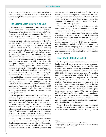in venture-capital investments in 1999 and plan to continue to expand this area of their business. Chase alone has tripled its venture-capital investments since 1996.12

# *The Gramm-Leach-Bliley Act of 1999*

To some extent, commercial bank activities have been restricted throughout U.S. history.13 Restrictions of particular importance to banks' merchant-banking activities are contained in the 1933 Glass-Steagall Act,14 which formalized the separation between commercial banking and certain investmentbanking activities. Blaming bank failures of the 1930s on the banks' speculative securities activities, Congress passed this legislation to draw a firm line between commercial and investment banking. Although there is little evidence that the investmentbanking activities of commercial bank affiliates actually were a major factor in the bank failures of that time, differences of opinion have continued to exist between those who seek to exclude commercial banks from investment-banking activities and those who favor permitting such activities. GLBA, enacted on November 12, 1999, specifically recognizes merchant banking as an activity "financial in nature" and provides authority to financial holding companies (FHCs) to provide merchant-banking services. (The legislation does not define merchant banking.) To qualify as a financial holding company, a bank holding company and all of its insured depository subsidiaries must be well-capitalized and well-managed and its Community Reinvestment Act rating must be at least satisfactory. According to the FRB, as of May 2000, 270 domestic banking institutions and 17 foreign banking organizations had filed to become financial holding companies.15

GLBA specifically authorizes FHCs to "directly or indirectly acquire or control any kind of ownership interest in an entity engaged in any kind of trade or business whatsoever" if (1) the shares are purchased and held through a securities affiliate or "an affiliate thereof" of the FHC; (2) the shares are held for the sole purpose of appreciation and ultimate resale; and (3) the FHC does not routinely manage the company in which it has invested except as necessary to obtain an ultimate reasonable return on investment.

Maintaining the historical separation between banking and commerce, this legislation specifically disallows routine management by the FHC subsidiary of the nonfinancial company in which it has invested. These investments are for investment purposes only

and are not to be used as a back door for the holding company to control or operate a commercial business. This legislation also prohibits subsidiaries of banks from engaging in merchant-banking activities, although that prohibition may be reexamined by the FRB and the Treasury in 2004.

Under the new law, FHCs' portfolio investments in nonfinancial companies are not limited to the 5 percent sub limits restricting control of the portfolio company. In a major departure from existing policy regarding 5 percent sub investments, GLBA provides that investments made under the new law need not be passive; FHCs may in fact purchase a controlling interest in a company. Nor does GLBA restrict these merchant-banking subsidiaries to SBIC investment limits on the size of the company in which the SBIC can invest, on the percentage of shares that can be owned, and on the amount of BHC or bank capital devoted to these investments.

# *Final Word: Attention to Risk*

GLBA opens up new opportunities for commercial banks that wish to enter or expand their merchantbanking activities. For the most part, pre-GLBA commercial bank merchant-banking activities were very lucrative, and often spectacular. However, in the years 2000–2001 the stock market and the IPO market became substantially more volatile. It is hoped that this greater volatility will emphasize to newer merchant-banking participants the risky nature of this market. Participants might also pay heed to the fact that in the not-so-distant past some financial institutions engaged in merchant banking suffered substantial losses, albeit in their nonventure-capital investments. In particular, in 1990, with the collapse of Drexel Burnham Lambert and the junk-bond market, First Boston's losses were so severe that Credit Suisse, its parent, had to launch a multimillion-dollar rescue. In that same year, Merrill Lynch left the merchant-banking business altogether.

The FRB and the Treasury have been concerned with the increased risks to which merchant-banking activities expose commercial banks. Although GLBA

<sup>12</sup> Ibid.

<sup>13</sup> For more information on this issue, see Blair (1994).

<sup>14</sup> Sections 16, 20, 21, and 32 of the Banking Act of 1933 are commonly referred to as the Glass-Steagall Act.

<sup>15</sup> Ferguson (2000).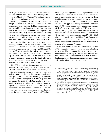was largely silent on limitations to banks' merchantbanking activities, the FRB and the Treasury have not been. On March 17, 2000, the FRB and the Treasury jointly adopted an interim rule implementing the merchant-banking authority of the GLBA: the interim rule placed a cap on the amount of merchant-banking investments that financial holding companies may hold. Specifically, the interim rule placed an aggregate limit of \$6 billion or 30 percent of Tier 1 capital on the amount the FHC may devote to merchant-banking activities. In addition, the interim rule required that investments be sold within ten years—although this time limit could be extended on a case-by-case basis.

Merchant-banking participants expressed vehement opposition to the FRB–Treasury interim rule's restrictions on the amount and time limit of merchantbanking investments. On January 10, 2001, the FRB and the Treasury issued a final rule replacing the earlier interim rule. The final rule removed the \$6 billion cap on merchant-banking investments of financial holding companies. Although the final rule maintained the ten-year limit on investments, the rule simplified ways to obtain extensions to this limit.

The FRB also offered for comment last year a proposal that would have required FHCs to set aside significant capital for their merchant-banking investments. A capital charge of 50 percent on all nontrade-account equities held by banking organizations was proposed. Merchant-banking participants expressed particular opposition to this proposed rule. On January 18, 2001, the FRB released a revised proposal. It proposed a sliding scale tying a company's capital requirements to the amount of its equity investments in nonfinancial companies. The proposed scale ranges from an 8 percent capital charge for equity investments of up to 15 percent of Tier l capi-

tal; a 12 percent capital charge for equity investments of between 15 percent and 25 percent of Tier l capital; and a maximum 25 percent capital charge for those banking companies with equity investments exceeding 25 percent of Tier 1 capital. These capital charges also are to be applied to equity investments by banks and BHCs made under other authorities besides GLBA.16 An exception applies to SBIC investments. Under the proposal, no capital charge would be required for SBIC investments if they do not exceed 15 percent of the organization's capital.17 The FRB also issued regulations prohibiting FHCs from crossmarketing with any company in which the BHC makes a merchant-banking investment that exceeds 5 percent of the company's equity.

Observers will be paying close attention to how the FRB proceeds regarding FHC merchant-banking activity, as this represents the latest chapter in the debate over the mixing of banking and commerce in the United States. How banks fare in their merchantbanking activities during the next economic downturn will also be followed with great interest.

<sup>16</sup> These capital charges apply to some investments held by state banks under Section 24 of the Federal Deposit Insurance Act. Section 24(d) allows a state bank to hold, through subsidiaries, equity investments that are not permissible for a national bank if the investment poses no harm to the deposit fund and the bank is and continues to be in compliance with applicable capital standards. Under the proposed rule, the FDIC may permit a lower capital deduction for such investments under Section 24 in certain instances. The FDIC and the other banking agencies also reserve the authority to impose higher capital charges where appropriate.

<sup>17</sup> Also exempt are investments held under Section 24(f) of the Federal Deposit Insurance Act. Section 24(f) permits state banks to retain and acquire stock that does not exceed 100 percent of the bank's capital if the bank is located in a state that permitted, as of September 30, 1991, investment in publicly traded companies and registered investment companies, and the bank made or maintained an investment in such securities during the period beginning September 30, 1990, and ending November 26, 1991.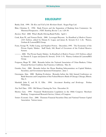# *BIBLIOGRAPHY*

Banks, Erik. 1999. *The Rise and Fall of the Merchant Banks*. Kogan Page Ltd.

Blair, Christine E. 1994. Bank Powers and the Separation of Banking from Commerce: An Historical Perspective. *FDIC Banking Review* 7, no. 1:28–38.

*Business Week.* 2000. What's Really Driving Bank Profits. April 3.

- Cook, Kate W., and Noreen Doyle. 2000. Leveraged Buyouts. In *Handbook of Modern Finance 2000 Edition*, edited by Dennis E. Logue and James K. Seward, E-2: 1–26. Warren, Gorham & Lamont/RIA Group.
- Fenn, George W., Nellie Liang, and Stephen Prowse. December, 1995. The Economics of the Private Equity Market. Staff Study 168, Board of Governors of the Federal Reserve System.
- ———. 2000. The Private Equity Market. In *Handbook of Modern Finance 2000 Edition*, edited by Dennis E. Logue and James K. Seward, D-10: 1–51. Warren, Gorham & Lamont/RIA Group.
- Ferguson, Roger W. 2000. Remarks before the National Association of Urban Bankers, Urban Financial Services Coalition, San Francisco, California. May 26.
- Gensler, Gary. 2000. Remarks before the House Banking Subcommittee on Capital Markets, Securities, and Government Sponsored Enterprises. June 7.
- Greenspan, Alan. 2000. Banking Evolution. Remarks before the 36th Annual Conference on Bank Structure and Competition of the Federal Reserve Bank of Chicago, Chicago, Illinois. May 4.
- Marshall, John F., and M. E. Ellis. 1994. *Investment Banking and Brokerage*. Probus Publishing.
- *New York Times*. 1999. Old Money Chasing the New. December 24.
- Shorter, Gary. 1999. Financial Modernization Legislation in the 106th Congress: Merchant Banking. Congressional Research Service, Library of Congress.
- *Venture Economic News*. 2000. Thomson Financial Securities Data and National Venture Capital Association. Various issues.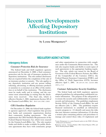# **Recent Developments Affecting Depository Institutions**

by Lynne Montgomery\*

# **REGULATORY AGENCY ACTIONS**

#### *Interagency Actions*

#### *Consumer-Protection Rule for Insurance*

The federal bank and thrift regulatory agencies announced on December 4, 2000, a final consumerprotection rule for the sale of insurance products by depository institutions. The rule outlines disclosures that are required before the completion of the sale of an insurance product or annuity. The rule applies to any depository institution and any person selling, soliciting, advertising, or offering insurance products or annuities to a consumer at an office of the institution or on behalf of the institution. The disclosures must be made orally and in writing, and the consumer must acknowledge in writing that the disclosures were received. The final rule, which is effective October 1, 2001, implements Section 305 of the Gramm-Leach-Bliley Act. *PR-87-2000, FDIC, 12/4/00.* 

#### *CRA Sunshine Regulation*

On December 21, 2000, the federal bank regulatory agencies approved a final regulation that governs how banks and community organizations disclose their community lending agreements. The rule implements the CRA Sunshine Requirements of the Federal Deposit Insurance Act, which were enacted by the Gramm-Leach-Bliley Act. The rule requires banks and thrifts to make available for public disclosure agreements they have with community groups and other organizations in connection with compliance under the Community Reinvestment Act. The rule also requires banks and thrifts to send copies of such agreements to the appropriate banking regulator. The rule, which was issued by the Board of Governors of the Federal Reserve System, the Office of the Comptroller of the Currency (OCC), the Federal Deposit Insurance Corporation (FDIC), and the Office of Thrift Supervision (OTS), becomes effective April 1, 2001. *NR 2000-105, OCC, 12/21/00; BBR, 1/8/01, p. 9–10.* 

#### *Customer Information Security Guidelines*

The federal bank and thrift regulatory agencies adopted guidelines for safeguarding confidential customer information. The purpose of the safeguards is to ensure the security and confidentiality of customer records and information. The guidelines implement Section 501(b) of the Gramm-Leach-Bliley Act and are effective July 1, 2001. The guidelines require financial institutions to establish an information security program to: (1) identify and assess the risks that may threaten customer information; (2) develop a written plan containing policies and procedures to manage and control these risks; (3) implement and

<sup>\*</sup>Lynne Montgomery is a senior financial analyst in the FDIC's Division of Research and Statistics.

Reference sources: American Banker (AB), Federal Register (FR), and BNA's Banking Report (BBR).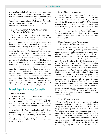test the plan; and (4) adjust the plan on a continuing basis to account for changes in technology, the sensitivity of customer information, and internal or external threats to information security. The guidelines also outline responsibilities of directors of financial institutions in overseeing the protection of customer information. *OTS 01-04, OTS, 1/17/01.* 

#### *Debt Requirements for Banks that Own Financial Subsidiaries*

On January 22, 2001, the Federal Reserve Board and the Treasury Department approved a final rule that sets the criteria that a specific class of national banks and state-member banks must meet to own financial subsidiaries. A national bank or a statemember bank wishing to control a financial subsidiary must rank as one of the 100 largest insured banks in the nation. The largest 50 banks in that group may control a financial subsidiary if their longterm debt receives a top investment-grade rating. The remaining 50 banks in the group also may control financial subsidiaries by meeting this long-term debt requirement or by meeting an alternative debt requirement, which is the focus of the final rule. The final rule allows the second group of 50 banks to meet the requirement if they have a current longterm issuer credit rating from a nationally recognized statistical rating organization that is within the three highest investment-grade categories used by the rating organization. In addition to the debt requirement, national and state-member banks must meet capital, management, and other requirements to operate financial subsidiaries. *BBR, 1/29/01, p. 131.* 

# *Federal Deposit Insurance Corporation*

#### *Tanoue Resigns*

On July 11, 2001, Donna Tanoue resigned from the FDIC, where she served as chairman since May 26, 1998. Under Ms. Tanoue's leadership, the FDIC conducted a review of the deposit-insurance system and proposed important changes to the federal deposit-insurance program. The Corporation also addressed the risk of subprime lending and initiated proposals to address the problems of predatory and payday lending. Before coming to the FDIC, Ms. Tanoue was a partner in the Hawaii law firm of Goodsill Anderson Quinn & Stifel. *PR-45-2001, FDIC, 6/12/01; BBR, 6/18/01, p. 1022.* 

#### *Board Member Appointed*

John M. Reich was sworn in on January 16, 2001, to a six-year term as a Director on the FDIC's Board of Directors. Before joining the FDIC, Mr. Reich served for 12 years on the staff of U.S. Senator Connie Mack (R-FL), where he was the chief of staff from 1998 through 2000. Mr. Reich directed and oversaw all committee activity, including Senator Mack's activity on the Senate Banking Committee. Before working with Senator Mack, Mr. Reich spent 23 years in the banking business in Illinois and Florida. *AB, 12/19/00.* 

#### *Final Regulation on State Banks' Activities and Investments*

The FDIC released a final regulation on December 21, 2001, governing how the agency approves activities and investments of insured statechartered banks. The rule was required by the Gramm-Leach-Bliley Act (GLBA), which created a new Section 46 of the Federal Deposit Insurance Act. Section 46 outlines the FDIC's approval procedures for various activities of state nonmember banks. Before GLBA, approvals of state-bank activities were handled under Section 24 of the Federal Deposit Insurance Act. The final rule permits state banks to seek approval under either Section 24 or Section 46. In addition, the final rule grandfathers activities by a state bank that has already received approval under Section 24, if the Treasury Department and the Federal Reserve Board have not already made certain other determinations under Section 46. The final rule also eases the approval process by permitting banks to enter into a new activity as soon as the FDIC receives notice from the bank that it complies with all requirements for that activity. *BBR, 1/8/01, p. 15.* 

#### *Money Smart Program*

The FDIC and the Department of Labor announced on January 1, 2001, a joint initiative called *Money Smart*, which offers basic financial education to people taking part in Welfare-to-Work and Workforce Investment Act programs nationwide. *Money Smart* consists of 10 training modules covering basic financial education topics. The program is designed to help adults currently outside the financial mainstream build financial knowledge and develop positive relationships with financial institutions. Beginning in the second quarter of 2001,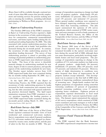*Money Smart* will be available through a national network of more than 800 centers that provide employment and training services for persons seeking new jobs or entering the workforce, including individuals participating in Welfare-to-Work programs. *PR-6-2001, FDIC, 1/19/01.* 

#### *Report on Underwriting Practices*

The October 2000 issue of the FDIC's semiannual *Report on Underwriting Practices* reported a slight increase in the occurrence of risky underwriting practices for construction, commercial (nonresidential) real-estate, and home-equity lending during the sixmonth period ending September 30, 2000. The risks associated with current underwriting practices, loan growth, and credit risk in banks' loan portfolios also increased during the six-month period. In contrast, the occurrence of risky underwriting practices for agriculture lending decreased. The survey of loan underwriting practices is aimed at providing early warnings of potential problems in underwriting practices at FDIC-supervised, state-chartered nonmember banks. The focus of the survey is threefold: material changes in underwriting standards for new loans, degree of risk in current practices, and specific aspects of the underwriting standards for new loans. The October report includes surveys from 1,124 FDIC-supervised banks that were examined during the six months ending September 30, 2000. *Report on Underwriting Practices, FDIC, October 2000.* 

In the April 2001 issue of the *Report on Underwriting Practices*, the FDIC reported that the occurrence of risky underwriting practices by banks increased for both construction and consumer lending, but the risks associated with general underwriting practices decreased slightly. The April report summarizes responses from FDIC examiners to survey questions regarding the lending practices at 1,181 FDIC-supervised banks examined during the six-month period ending March 31, 2001. *Report on Underwriting Practices, FDIC, April 2001.* 

#### *Real-Estate Survey—July 2000*

The July 2000 issue of the *Survey of Real Estate Trends* reported continued favorable views of local residential and commercial real-estate markets. Survey respondents were asked if general conditions for U.S. real-estate markets had changed (as characterized by vacancy rates, market prices, and the pace of sales) in the first six months of 2000. The percentage of respondents reporting no change was high across all property markets: single-family (58 percent), multifamily (72 percent), office (72 percent), retail (78 percent), and industrial (73 percent). Where general market conditions were reported to have changed, improving conditions were observed more often than worsening conditions. The July report summarized the opinions of 256 survey respondents, which consisted of FDIC senior examiners and asset managers as well as bank examiners of the Federal Reserve System, the Office of the Comptroller of the Currency, and the Office of Thrift Supervision. *Survey of Real Estate Trends, FDIC, July 2000.* 

#### *Real-Estate Survey—January 2001*

The January 2001 issue of the *Survey of Real Estate Trends* reported that conditions generally remained favorable in the nation's real-estate markets during the second half of 2000, although there was some deterioration, particularly involving singlefamily homes and local retail properties. The percentage of respondents reporting no change in the condition of U.S. real-estate markets was high across all property markets: single-family (56 percent), multifamily (75 percent), office (69 percent), retail (75 percent), and industrial (76 percent). However, reports of slight deterioration in conditions were more frequent than those of improvement for all property markets except industrial. This development was in contrast to the first half of 2000 when reports of improving conditions outnumbered those of worsening ones. Single-family markets had the highest proportion of respondents noting somewhat worsening conditions—27 percent of respondents reported worsening conditions *versus* 17 percent reporting better conditions. Eighteen percent of respondents reported deterioration in local retail markets, while only 7 percent reported better conditions. The January report summarized the opinions of 265 survey respondents, which consisted of FDIC senior examiners and asset managers as well as bank examiners of the Federal Reserve System, the Office of the Comptroller of the Currency, and the Office of Thrift Supervision. *Survey of Real Estate Trends, FDIC, January 2001.* 

#### *Insurance Funds' Financial Results for 2000*

The FDIC reported that the Bank Insurance Fund (BIF) experienced comprehensive income (net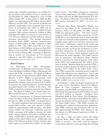income plus unrealized gains/losses on available-forsale securities) of \$1.6 billion for the 12 months ending December 31, 2000, compared to a loss of \$198 million during 1999. At December 31, 2000, the BIF balance was approximately \$31 billion, up from \$29.4 billion at year-end 1999. The increase in income was primarily attributable to low estimated losses recognized on institutions that failed in 2000 and an increase in the market value on available-for-sale securities. BIF revenues totaled \$1.9 billion in 2000, including \$1.8 billion in interest on investments in U.S. Treasury obligations and \$45 million in deposit insurance assessments. The Savings Association Insurance Fund (SAIF) reported comprehensive income of \$478 million in 2000, compared to \$441 million in 1999. The SAIF closed the year with a fund balance of \$10.8 billion, an increase from \$10.3 billion at year-end 1999. The SAIF earned \$664 million in revenue during 2000, consisting of \$644 million in interest on investments in U.S. Treasury obligations and \$19 million in deposit insurance assessments. *PR-29-2001, FDIC, 4/10/01.* 

#### *Bank Failures*

On September 29, 2000, Mississippi's Commissioner of Banking and Consumer Finance closed the Bank of Falkner, Falkner, Mississippi, and named the FDIC as receiver. The Bank of Falkner had total assets of approximately \$88.8 million and deposits of \$77.1 million in approximately 5,827 accounts. Citizens Bank & Savings Company, Russellville, Alabama, paid a premium of \$2.5 million to purchase the failed institution's insured deposits and approximately \$21.7 million of the assets. The FDIC retained the remaining assets for later disposition. The Bank of Falkner is the fourth failure of a BIF-insured institution in 2000. *PR-66-2000, FDIC, 9/29/00.* 

Hawaii's Commissioner of Financial Institutions closed the Bank of Honolulu, Honolulu, Hawaii, on October 13, 2000, and the FDIC was named receiver. The failed institution had total assets of approximately \$66.9 million and total deposits of \$59.5 million in approximately 5,900 accounts. The Bank of the Orient, San Francisco, California, paid the FDIC a premium of \$1 million to assume the failed bank's insured deposits and paid an additional premium of \$855,000 to purchase approximately \$52.2 million of the failed bank's assets. Additionally, the Bank of the Orient was given a 30-day exclusive purchase option on another \$9.3 million of the failed

bank's assets. The FDIC retained the remaining assets for later disposition. The FDIC estimates that the failure will cost the BIF approximately \$2.5 million. The Bank of Honolulu is the fifth failure of a BIF-insured institution in 2000. *PR-70-2000, FDIC, 10/13/00.* 

National State Bank, Metropolis, Illinois, was closed by the Office of the Comptroller of the Currency (OCC) on December 14, 2000, and the FDIC was appointed receiver. The OCC used its authority under the FDIC Improvement Act of 1991 (FDICIA) to close the bank when it discovered that the bank was critically undercapitalized—the bank's tangible equity capital was less than 2 percent of its total assets. Inadequate control of the credit and transaction risks associated with its merchant-processing activities involving the settlement of creditcard-sales transactions for merchants resulted in a high volume of losses, which depleted capital and threatened the bank's liquidity. The FDIC entered into an agreement with Banterra Bank, Marion, Illinois, to assume the insured deposits of the failed bank, which were approximately \$67 million at the time of closing. Banterra Bank also paid the FDIC a premium of approximately \$2 million for the right to purchase \$23.7 million of the failed bank's assets. The FDIC retained the remaining assets of approximately \$68 million for later disposition. This is the sixth failure of a BIF-insured institution in 2000, and the seventh failure of an institution insured by the FDIC in 2000. *PR-90-2000, FDIC, 12/14/00.* 

On February 2, 2001, the Bank Commissioner for the state of New Hampshire closed First Alliance Bank & Trust Company, Manchester, New Hampshire, and the FDIC was named receiver. The failed bank had approximately \$18.4 million in assets and \$17.5 million in deposits. Southern New Hampshire Bank & Trust, Salem, New Hampshire, paid the FDIC a premium of \$150,000 for the right to assume the deposits and to purchase \$17.1 million of the failed bank's assets. The FDIC retained the remaining \$1.3 million of assets for later disposition. The FDIC estimates this transaction will cost the BIF approximately \$119,000. First Alliance is the first failure of a BIF-insured institution in 2001. *PR-11-2001, FDIC, 2/2/01.* 

On May 3, 2001, the OCC closed The Malta National Bank, Malta, Ohio, and appointed the FDIC as receiver. The OCC used its statutory receivership authority to close the bank after finding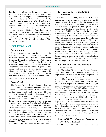that the bank had engaged in unsafe-and-unsound practices and had incurred significant losses. The failed bank had total deposits of approximately \$8.8 million and total assets of \$9.5 million. The FDIC entered into an agreement with North Valley Bank, Zanesville, Ohio, to assume all of the failed bank's deposits. North Valley Bank also purchased \$9.2 million of the failed bank's assets at a discount of approximately \$800,000 from book value. The FDIC retained the remaining assets for later disposition. The FDIC estimates the transaction will cost the BIF approximately \$80,000. This was the second failure of a BIF-insured institution in 2001. *PR-32-2001, FDIC, 5/3/01.* 

#### *Federal Reserve Board*

#### *Interest Rates*

Between January 3, 2001, and June 27, 2001, the Federal Open Market Committee (FOMC) lowered the targeted federal funds rate by 275 basis points, decreasing the rate from 6.50 percent to 3.75 percent. The Board of Governors decreased the discount rate by 275 basis points during the same time period, lowering the rate from 6.00 percent to 3.25 percent. The federal funds rate is the fee that banks charge each other for overnight loans, and the discount rate is the fee charged to financial institutions for borrowing from their district Federal Reserve Banks. *PR-FRB, 1/3/01, 1/31/01, 3/20/01, 4/18/01, 5/15/01, 6/27/01.* 

#### *Regulation Z*

The Federal Reserve Board adopted a final rule aimed at helping consumers decipher credit-card companies' marketing pitches about interest rates, late fees, grace periods, and other terms. The rule amends Regulation Z, which implements the Truth in Lending Act, to revise the disclosure requirements for credit-card solicitations and applications. Under the new rule, credit-card issuers will have to include an easy-to-read chart on all credit-card solicitations and applications, laying out in simple terms the interest rate consumers will pay to carry debt on the card. The rule comes in response to rising concern among bank regulators about overly aggressive marketing tactics by credit-card issuers that can confuse consumers and make credit-card purchases more expensive than anticipated. The rule is effective September 27, 2000, and compliance is mandatory as of October 1, 2001. *The Washington Post, 9/29/00; FR, 10/3/00.* 

#### *Assessment of Foreign Banks' U.S. Operations*

On October 24, 2000, the Federal Reserve announced a series of steps to update its five-year-old system of supervising foreign banking organizations that operate in the United States. The Federal Reserve plans to improve its "Strength of Support Assessment" (SOSA) process, through which it ranks foreign banks' ability to offer financial, liquidity, and management support to its American operations. The rankings help provide a point of reference for U.S. bank supervisors to assess the risks of a foreign bank's operations in the United States. Under the new system, the five current SOSA rankings will be streamlined into three rankings. The new initiative provides that the Federal Reserve will inform foreign banking organizations, as well as the banks' homecountry supervisors, of the SOSA rankings. In addition, the new initiative calls for the creation of a combined assessment rating for all of a foreign banking organization's U.S. branches, agencies, and commercial lending companies. *BBR, 10/30/00, p. 545.* 

#### *New Annual Reserve and Reporting Requirements*

 ject to a 10 percent reserve requirement. Effective On November 21, 2000, the Federal Reserve Board published in the Federal Register annual adjustments used to calculate reserve requirements and reporting requirements for depository institutions. The reserve requirements determine how much depository institutions must keep on hand either in cash, deposits at Federal Reserve Banks, or pass-through accounts at correspondent institutions. For the year 2001, the first \$5.5 million in net transaction accounts will be exempt from the reserve requirements. Amounts between \$5.5 million and \$42.8 million will be subject to a 3 percent requirement, and amounts above \$42.8 million are sub-September 2001, institutions must file reports on their deposit levels on a weekly, quarterly, or annual basis, depending on their deposit levels and their classification with respect to reserve requirements. However, U.S. branches and agencies of foreign banks must file deposit reports weekly, regardless of their size. *BBR, 11/27/00, p. 681.* 

#### *Financial Holding Companies Permitted to Offer Finder Services*

On December 13, 2000, the Federal Reserve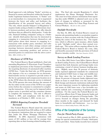Board approved a rule defining "finder" activities as financial in nature and therefore within the bounds of banks' legitimate business functions. A "finder" acts as an intermediary in a transaction that is negotiated between the buyer and seller, and facilitates the identification of the potential buyers and sellers. The rule, which amends Subpart I of Regulation Y, requires banks acting as finders to differentiate clearly between products and services they offer directly and those that are offered by third parties. Under the rule, financial holding companies acting as a finder can: identify third parties that may be interested in engaging in a transaction between themselves; ask third parties about their interest in engaging in a transaction with another party; introduce and refer potential parties to each other; arrange contacts and meetings between interested parties; and transmit information concerning products and services to potential parties in connection with the above activities. *BBR, 12/18/00, p. 783.* 

#### *Disclosure of ATM Fees*

The Federal Reserve Board published a final rule amending Regulation E (Electronic Fund Transfers) to implement provisions of the Gramm-Leach-Bliley Act requiring disclosure of automated-teller machine (ATM) fees. Under the final rule, an ATM operator who imposes a fee on a consumer for an electronicfund-transfer service is required to provide notice of the fee in a prominent and conspicuous location on or at the ATM where the electronic service is initiated. The ATM operator also must disclose the amount of the fee either on the screen of the ATM or on a paper notice before the consumer is committed to completing the transaction. A fee may not be imposed unless proper notice is provided and the consumer chooses to complete the transaction. The rule is effective March 1, 2001, and compliance with the rule is mandatory as of October 1, 2001. *PR-FRB, 3/1/01.* 

#### *HMDA Reporting Exemption Threshold Increased*

The Federal Reserve Board raised the asset-size exemption threshold from \$30 million to \$31 million for depository institutions that are required to report data under the Home Mortgage Disclosure Act (HMDA). In 2001, depository institutions with assets of \$31 million or less will be exempt from reporting data on their housing-related lending activ-

ities. The final rule amends Regulation C, which implements the Home Mortgage Disclosure Act. The asset level that releases institutions from reporting data under HMDA is adjusted each year on the basis of changes in inflation as measured by the Consumer Price Index for Urban Wage Earners and Clerical Workers. *NR 2001-10, OCC, 2/20/01.* 

#### *Daylight Overdrafts*

On May 30, 2001, the Federal Reserve issued an interim rule permitting banks to accumulate negative balances in their accounts with the Federal Reserve during the course of the business day. The regulation, which is effective upon issuance, allows banks to seek "daylight credit" above their normal overdraft caps. The action reflects ongoing efforts by the Federal Reserve Board to balance the costs, risks, and benefits associated with the provision of Federal Reserve intraday credits. *Dow Jones Newswires, 5/31/01.* 

#### *Survey on Bank Lending Practices*

In its May 2001 *Senior Loan Officer Opinion Survey on Bank Lending Practices*, the Federal Reserve Board reported that both domestic and foreign banks were continuing a trend of stricter business lending practices. Slightly more than 50 percent of domestic banks reported tightened standards for commercial and industrial (C&I) loans to large and middle-market firms since the last survey in January 2001. About 36 percent of domestic banks tightened standards on loans to small firms over the same period. Both foreign and domestic institutions indicated that the most important reasons for tightening standards and terms on C&I loans were a less favorable economic outlook and a worsening of industry-specific problems. For the report, the Federal Reserve surveyed loan officers from 55 large domestic banks and 21 U.S. branches and agencies of foreign banks. The survey focused on changes during the preceding three months in the supply and demand for bank loans to households and businesses. *Senior Loan Officer Opinion Survey on Bank Lending Practices, FRB, May 2001.* 

# *Office of the Comptroller of the Currency*

#### *Fees for Third-Party Exams*

A rule issued on May 8, 2001, permits the OCC to charge for special examinations of banks' third-party service providers. Some banks recently have entered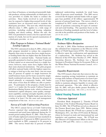new lines of business, or introduced potentially highrisk products, relying substantially on third-party service providers to enable the bank to conduct the activities. Since banks involved in such activities may be exposed to higher-than-normal levels of risk, examiners have an increased need to examine the third-party providers. The new rule, which becomes effective June 7, 2001, applies to a wide range of activities, including credit-card issuing, subprime lending, and check cashing. Before the rule, the OCC was permitted to assess a fee for a special examination of a bank, but not for special examinations of a third-party provider. *AB, 5/9/01.* 

#### *Pilot Program to Enhance National Banks' Lending Capacity*

The OCC announced on June 8, 2001, a three-year pilot program intended to reduce the competitive disparity that exists in states that have single-borrower lending limits that are higher than the federal limits available to national banks. National banks are generally permitted to lend no more than 15 percent of their capital on an unsecured basis to a single borrower; however, many states have higher limits for their state-chartered institutions. The pilot program will allow national banks with the highest supervisory ratings to lend up to the state limit—but not more than 25 percent of capital—to single borrowers for small-business loans and for loans secured by singlefamily-residential real estate. Because the program is aimed primarily at community banks, only banks with assets of less than \$1 billion are able to participate. To participate in the program, a bank must be rated 1 or 2 under the five-point Uniform Financial Institutions Rating System scale, which evaluates an institution's capital adequacy, asset quality, management capability, earnings strength, liquidity, and sensitivity to market risk. Eligible banks must also have a rating of at least 2 for the asset and management components of the test. *NR 2001-52, OCC, 6/8/01.* 

#### *Survey of Credit Underwriting Practices*

The OCC's annual *Survey of Credit Underwriting Practices* reported that underwriting standards for commercial and retail loans tightened during the 12 month period ending March 31, 2001. Fifty-five percent of banks tightened commercial loan standards in 2001, compared to 25 percent in 2000; 6 percent loosened standards in 2001, compared to 16 percent in 2000. The survey found that 32 percent of banks

tightened underwriting standards for retail loans, while 20 percent eased standards. The 2001 survey covered the 66 largest national banks with an aggregate loan portfolio of \$2 trillion—approximately 90 percent of national bank loans. The survey, which is completed by OCC senior examiners, consists of a series of questions concerning 16 types of commercial and retail lending. The questions focus on the direction of lending standards and the level of inherent risk in the portfolio and products of the banks. *NR 2001-59, OCC, 6/27/01.* 

# *Office of Thrift Supervision*

#### *Seidman Offers Resignation*

On July 3, 2001, Ellen Seidman announced that she submitted her resignation as the Director of the Office of Thrift Supervision (OTS). Her resignation is effective upon the confirmation and appointment of a replacement. Ms. Seidman has served as the Director of the OTS since October 27, 1997. Before becoming director, Ms. Seidman was a Special Assistant to President Clinton for Economic Policy at the White House National Economic Council. *OTS 01 43, OTS, 7/3/01.* 

#### *Liquidity Requirements*

The OTS issued a final rule that removes the regulation requiring savings institutions to maintain an average daily balance of liquid assets of at least 4 percent of their liquidity base. The final rule requires thrifts to maintain adequate liquidity to ensure safeand-sound operation. The rule, which is effective July 18, 2001, will give thrifts greater flexibility in adjusting their asset mix. *BBR, 3/19/01, p. 478; FR, 7/18/01.* 

# *Federal Housing Finance Board*

#### *Chairman Appointed*

President Bush designated J. Timothy O'Neill Chairman of the Federal Housing Finance Board on June 18, 2001. Mr. O'Neill has served as a director of the Finance Board since June 1995. Before joining the Finance Board, Mr. O'Neill was a partner in the Washington, D.C., law firm of O'Connor & Hannan, where he focused on trade and international law and legislative and regulatory issues. Mr. O'Neill was also Director of Congressional Affairs at the Finance Board in 1991 and 1992. *FHFB 01-13, FHFB, 6/19/01.*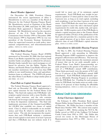#### *Board Member Appointed*

On December 28, 2000, President Clinton announced the recess appointment of Allan I. Mendelowitz to serve as a member of the Board of Directors for the Federal Housing Finance Board. Mr. Mendelowitz served as Chairman of the Board from December 28, 2000, until June 18, 2001, when President Bush appointed J. Timothy O'Neill as chairman. Mr. Mendelowitz served as the executive director of the U.S. Trade Deficit Review Commission from October 1999 to December 2000. From January 1999 to September 1999, he was vice president of the Economic Strategy Institution, where he supervised research on trade policy, international competitiveness, and telecommunications policy. *FHFB 00-41, FHFB, 12/28/00.* 

#### *Collateral Rules Eased*

The Federal Housing Finance Board (FHFB) announced on November 30, 2000, that four regional Home Loan Banks expanded the type of loans small member banks can pledge as collateral for advances. Member banks typically have used mortgages as collateral for advances, but the Dallas, Topeka, Des Moines, and Seattle Home Loan Banks will now permit member institutions with assets less than \$500 million to use small-business, farm, and agriculturebusiness loans as collateral. The FHFB will permit the other Home Loan Banks to adopt similar plans at any time. *AB, 12/1/00.* 

#### *Final Rule on Capital Standards*

The Federal Housing Finance Board approved a final rule on December 20, 2000, implementing a new capital structure for the Federal Home Loan Banks. The final rule replaces the FHLBanks' subscription capital structure with a more flexible, riskbased capital structure, and the rule contains risk-based and leverage-capital requirements similar to those for depository institutions. The final rule implements provisions of the Gramm-Leach-Bliley Act (GLBA) that establish two classes of capital stock: Class A, which is redeemable on six months' notice; and Class B, which is redeemable on five years' notice. The rule also incorporates the requirements that each FHLBank maintain a minimum ratio of total capital to total assets of at least 5 percent and that a FHLBank may not redeem stock if it

would fail to meet any of its minimum capital requirements. Each FHLBank may weight its permanent capital at 1.5 times paid-in value to meet the 5-percent test, as long as its total capital, excluding such weighting, is not less than 4 percent of its total assets. Each FHLBank also must have enough permanent capital to meet the rule's risk-based capital requirements for credit risk, market risk, and operations risk. GLBA requires each of the FHLBanks to submit a capital structure plan to the Finance Board for approval within 270 days of the publication of the final rule and provides for a transition period to the new capital structure of up to three years from the effective date of each FHLBank's capital structure plan. *FHFB 00-38, FHFB, 12/20/00.* 

#### *Amendment to Affordable Housing Program*

On May 4, 2001, the Federal Housing Finance Board approved a rule amending its Affordable Housing Program (AHP) regulations to improve the program's effectiveness and efficiency. The most significant rule change increases the maximum amount of money that can be set aside annually under a Federal Home Loan Bank's homeownership setaside program to the greater of \$3 million or 25 percent of a FHLBank's annual AHP contribution. Those limits previously were the greater of \$1.5 million or 15 percent of the FHLBank's annual AHP contribution. Each FHLBank independently operates an Affordable Housing Program in accordance with the FHLBank Act. Funding for each program varies by FHLBank, but banks must set aside a minimum of 10 percent of their funding for affordable housing initiatives. *FHFB 01-10, FHFB, 5/4/01; BBR, 5/14/01, p. 858.* 

#### *National Credit Union Administration*

#### *Acting Chairman Appointed*

On February 8, 2001, President Bush named Dennis Dollar Acting Chairman of the NCUA Board of Directors. Mr. Dollar has been a member of the Board since October 1997. His current term expires on August 2, 2001. Before joining the NCUA, Mr. Dollar served as CEO of the Gulfport VA Federal Credit Union from 1992 to 1997. Mr. Dollar also served two terms in the Mississippi House of Representatives from 1975 to 1983. *PR020901, NCUA, 02/09/01.*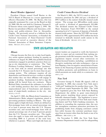#### *Board Member Appointed*

President Clinton named Geoff Bacino to the NCUA Board of Directors in a recess appointment effective December 29, 2000. Mr. Bacino, who was originally nominated for a seat on the Board on July 24, 2000, fills the seat held by Chairman Norman E. D'Amours whose term expired August 2, 1999. Mr. Bacino was president of Bacino and Associates, a lobbying and public-relations firm in Alexandria, Virginia. He previously served as a lobbyist for the Credit Union National Association, co-founded the National Association of State-Chartered Credit Unions, and served as executive director of the National Association of Share Insurance Corporations. *PR010201, NCUA, 01/02/01.* 

#### *Credit Unions Receive Dividend*

On March 8, 2001, the NCUA voted to waive an insurance premium for 2001 and pay a dividend of \$99.5 million to the nation's federally insured credit unions. The average size \$48-million credit union will receive a dividend of approximately \$11,000. The dividend returns the National Credit Union Share Insurance Fund (NCUSIF) to the normal operating level of 1.3 percent of deposits of federally insured credit unions. Since the NCUSIF was recapitalized in 1985, approximately \$552 million has been returned to federally insured credit unions in the form of dividends. *PR030801, NCUA, 3/8/01.* 

# **STATE LEGISLATION AND REGULATION**

#### *Illinois*

Chicago became the first city to take local legislative action against predatory lending by passing an ordinance on August 30, 2000, that prohibits financial institutions engaged in predatory practices from acting as city depositories or contractors. The "Anti-Predatory Lending Ordinance" defines "predatory" as any loan with an annual percentage rate that exceeds the U.S. Treasury rate by more than six percentage points. The ordinance requires all city depositories and financial-services vendors to pledge that neither they nor their affiliates will engage in predatory lending. Institutions that fail to sign the pledge will be barred from city contracts. Mayor Richard Daley introduced the ordinance in an effort to curb lending practices that have contributed to unprecedented rates of foreclosures and abandonment of single-family residences in the city. *BBR, 9/11/00, p. 319–320.* 

On April 17, 2001, the Illinois Joint Committee on Administrative Rules adopted regulations aimed at preventing predatory lending in Illinois. The regulations apply to high-risk loans, which are defined as: first-mortgage loans with an annual percentage rate of at least 6 percent more than the U.S. Treasury securities rate, and second-mortgage loans with an annual percentage rate of at least 8 percent greater than the U.S. Treasury securities rate. The regulations also apply to loans with total points and fees exceeding \$800 or 5 percent of the total loan, whichever is greater. When such high-risk loans are issued, lenders are required to verify the borrower's ability to repay and are restricted from tacking single-premium credit life insurance onto the loan. The regulations impose several other restrictions on Illinois-licensed lenders, including: a prohibition on deceptive marketing and sales techniques; a ban on loan flipping; a ban on negative amortization of loans; limits on the financing of points and fees; limitations on balloon payments; and prohibitions on loans in which payments are made solely to a contractor. *BBR, 4/9/01, p. 631.* 

#### *New York*

Governor George E. Pataki (R) signed a bill on September 8, 2000, that extends New York state's "wild card" banking law for another three years. The law will now expire September 10, 2003. The "wild card" legislation gives the New York State Banking Department the ability to grant state-chartered banks powers matching those powers enjoyed by federally chartered banks. The legislation is necessary to protect the viability of New York state's banking charter and New York's banking consumers. In addition to extending the expiration date, the new law strengthens consumer protection provisions by prohibiting banks from charging customers certain fees solely because the customer purchases insurance from an insurer other than the bank or one of its affiliates. *BBR, 9/25/00, p. 389.* 

On November 9, 2000, the New York State Insurance Department issued a rule for safeguarding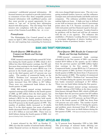consumers' confidential personal information. All licensed insurers are required to provide initial notice to consumers of how they share nonpublic personal financial information with unaffiliated parties, and they must provide an annual opportunity for consumers to "opt out" of having their information shared with third parties. The rule brings New York insurers into compliance with the privacy requirements of the Gramm-Leach-Bliley Act. *AB, 11/13/00.* 

#### *Pennsylvania*

The Philadelphia City Council passed an ordinance on April 5, 2001, banning predatory lending in the city and requiring loan counseling for borrowers who were charged high interest rates. The city is targeting nonbank lenders, however, and the ordinance exempts state and national banks and thrifts and trust companies. The ordinance prohibits lenders from making high-cost loans. A high-cost loan is defined as one with an interest rate more than 6.5 percentage points above the U.S. Treasury securities rate, and with total points and fees financed equal to four percentage points of the loan amount. Lenders found to be predatory will be fined and will lose all contracts with the city or city agencies. The ordinance also establishes a Predatory Lending Review Committee to investigate allegations of abusive lending and to help the victims of predatory lenders. *AB, 4/6/01.* 

### **BANK AND THRIFT PERFORMANCE**

#### *Fourth-Quarter 2000 Results for Commercial Banks and Savings Institutions*

FDIC-insured commercial banks earned \$17.8 billion during the fourth quarter of 2000, which is \$1.5 billion less than third-quarter earnings, but \$91 million more than earnings in the fourth quarter of 1999. Banks' annualized return on assets (ROA) was 1.16 percent in the fourth quarter, down from 1.28 percent in the third quarter and 1.27 percent one year earlier. The number of commercial banks on the FDIC's "Problem List" increased from 75 to 76 banks during the quarter, while assets of problem banks increased from \$14 billion to \$17 billion. There were two commercial bank failures in the fourth quarter of 2000.

FDIC BIF-insured mutual savings institutions reported earnings of \$2.6 billion in the fourth quarter of 2000, up \$49 million from the third quarter, but \$90 million less than earnings one year earlier. The industry's ROA for the fourth quarter held steady from the third quarter at 0.86 percent, but was down from 0.95 percent in the fourth quarter of 1999. The number of problem thrifts increased to 18 thrifts from 15 in the third quarter, but assets of problem thrifts decreased from \$7.3 billion in the third quarter to \$7.1 billion at year-end 2000. There were no thrift failures during the fourth quarter of 2000. *FDIC Quarterly Banking Profile, Fourth Quarter 2000.* 

#### *First-Quarter 2001 Results for Commercial Banks and Savings Institutions*

FDIC-insured commercial bank earnings rebounded in the first quarter of 2001—net income totaled \$19.9 billion in the quarter, up \$2.1 billion from the previous quarter and \$400 million higher than earnings in the first quarter of 2000. Commercial banks' average ROA was 1.27 percent in the first quarter of 2001, up from 1.16 percent in the fourth quarter of 2000, but down from 1.35 percent in the first quarter of 2000. The number of commercial banks on the FDIC's "Problem List" increased from 76 to 78 banks during the quarter, but assets of problem banks remained unchanged at \$17 billion. There was one bank failure during the first quarter.

FDIC BIF-insured mutual savings institutions reported earnings of \$2.9 billion in the three months from January through March 2001, which is \$300 million higher than the previous quarter but \$35 million lower than one year earlier. The industry's ROA for the first quarter was 0.95 percent, up from 0.86 percent in the fourth quarter of 2000, but down from 1.03 percent one year earlier. The number of problem thrifts declined from 18 to 17 during the quarter, and problem assets decreased from \$7.1 billion to \$6.1 billion. There were no thrift failures during the first quarter of 2001. *FDIC Quarterly Banking Profile, First Quarter 2001.* 

# **RECENT ARTICLES AND STUDIES**

2000, says that the number of national banks offering The percentage of national banks allowing cusonline financial services on Internet sites increased tomers to transact business on their Web sites

A report released by the OCC on October 27, by 52 percent from September 1999 to July 2000.